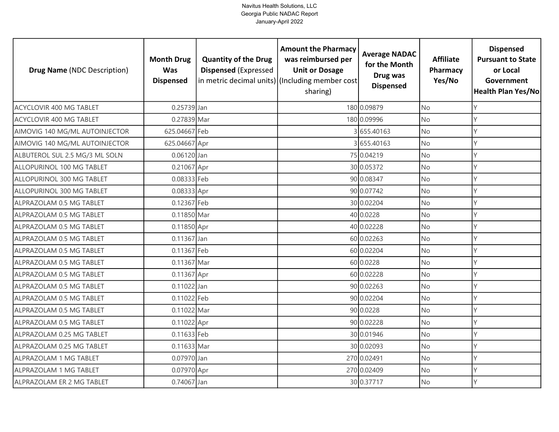| <b>Drug Name (NDC Description)</b> | <b>Month Drug</b><br><b>Was</b><br><b>Dispensed</b> | <b>Quantity of the Drug</b><br><b>Dispensed (Expressed</b> | <b>Amount the Pharmacy</b><br>was reimbursed per<br><b>Unit or Dosage</b><br>in metric decimal units) (Including member cost<br>sharing) | <b>Average NADAC</b><br>for the Month<br>Drug was<br><b>Dispensed</b> | <b>Affiliate</b><br>Pharmacy<br>Yes/No | <b>Dispensed</b><br><b>Pursuant to State</b><br>or Local<br>Government<br>Health Plan Yes/No |
|------------------------------------|-----------------------------------------------------|------------------------------------------------------------|------------------------------------------------------------------------------------------------------------------------------------------|-----------------------------------------------------------------------|----------------------------------------|----------------------------------------------------------------------------------------------|
| ACYCLOVIR 400 MG TABLET            | 0.25739 Jan                                         |                                                            |                                                                                                                                          | 180 0.09879                                                           | <b>No</b>                              | Y                                                                                            |
| ACYCLOVIR 400 MG TABLET            | 0.27839 Mar                                         |                                                            |                                                                                                                                          | 180 0.09996                                                           | No                                     | Y                                                                                            |
| AIMOVIG 140 MG/ML AUTOINJECTOR     | 625.04667 Feb                                       |                                                            |                                                                                                                                          | 3655.40163                                                            | <b>No</b>                              | Y                                                                                            |
| AIMOVIG 140 MG/ML AUTOINJECTOR     | 625.04667 Apr                                       |                                                            |                                                                                                                                          | 3655.40163                                                            | No                                     | Y                                                                                            |
| ALBUTEROL SUL 2.5 MG/3 ML SOLN     | 0.06120 Jan                                         |                                                            |                                                                                                                                          | 75 0.04219                                                            | <b>No</b>                              | Y                                                                                            |
| ALLOPURINOL 100 MG TABLET          | 0.21067 Apr                                         |                                                            |                                                                                                                                          | 30 0.05372                                                            | No                                     | Y                                                                                            |
| ALLOPURINOL 300 MG TABLET          | 0.08333 Feb                                         |                                                            |                                                                                                                                          | 90 0.08347                                                            | No                                     | Y                                                                                            |
| ALLOPURINOL 300 MG TABLET          | 0.08333 Apr                                         |                                                            |                                                                                                                                          | 90 0.07742                                                            | No                                     | Υ                                                                                            |
| ALPRAZOLAM 0.5 MG TABLET           | 0.12367 Feb                                         |                                                            |                                                                                                                                          | 30 0.02204                                                            | No                                     | Y                                                                                            |
| ALPRAZOLAM 0.5 MG TABLET           | 0.11850 Mar                                         |                                                            |                                                                                                                                          | 40 0.0228                                                             | No                                     | Y                                                                                            |
| ALPRAZOLAM 0.5 MG TABLET           | 0.11850 Apr                                         |                                                            |                                                                                                                                          | 40 0.02228                                                            | No                                     | Y                                                                                            |
| ALPRAZOLAM 0.5 MG TABLET           | $0.11367$ Jan                                       |                                                            |                                                                                                                                          | 60 0.02263                                                            | <b>No</b>                              | $\mathsf{Y}$                                                                                 |
| ALPRAZOLAM 0.5 MG TABLET           | 0.11367 Feb                                         |                                                            |                                                                                                                                          | 60 0.02204                                                            | No                                     | $\vee$                                                                                       |
| ALPRAZOLAM 0.5 MG TABLET           | 0.11367 Mar                                         |                                                            |                                                                                                                                          | 60 0.0228                                                             | <b>No</b>                              | Y                                                                                            |
| ALPRAZOLAM 0.5 MG TABLET           | 0.11367 Apr                                         |                                                            |                                                                                                                                          | 60 0.02228                                                            | No                                     | Y                                                                                            |
| ALPRAZOLAM 0.5 MG TABLET           | 0.11022 Jan                                         |                                                            |                                                                                                                                          | 90 0.02263                                                            | <b>No</b>                              | Y                                                                                            |
| ALPRAZOLAM 0.5 MG TABLET           | 0.11022 Feb                                         |                                                            |                                                                                                                                          | 90 0.02204                                                            | No                                     | Y                                                                                            |
| ALPRAZOLAM 0.5 MG TABLET           | 0.11022 Mar                                         |                                                            |                                                                                                                                          | 90 0.0228                                                             | <b>No</b>                              | Υ                                                                                            |
| ALPRAZOLAM 0.5 MG TABLET           | 0.11022 Apr                                         |                                                            |                                                                                                                                          | 90 0.02228                                                            | No                                     | Υ                                                                                            |
| ALPRAZOLAM 0.25 MG TABLET          | 0.11633 Feb                                         |                                                            |                                                                                                                                          | 30 0.01946                                                            | No                                     | Y                                                                                            |
| ALPRAZOLAM 0.25 MG TABLET          | 0.11633 Mar                                         |                                                            |                                                                                                                                          | 30 0.02093                                                            | No                                     | Υ                                                                                            |
| ALPRAZOLAM 1 MG TABLET             | 0.07970 Jan                                         |                                                            |                                                                                                                                          | 270 0.02491                                                           | No                                     | Y                                                                                            |
| ALPRAZOLAM 1 MG TABLET             | 0.07970 Apr                                         |                                                            |                                                                                                                                          | 270 0.02409                                                           | No                                     | Υ                                                                                            |
| ALPRAZOLAM ER 2 MG TABLET          | 0.74067 Jan                                         |                                                            |                                                                                                                                          | 30 0.37717                                                            | No                                     | $\vee$                                                                                       |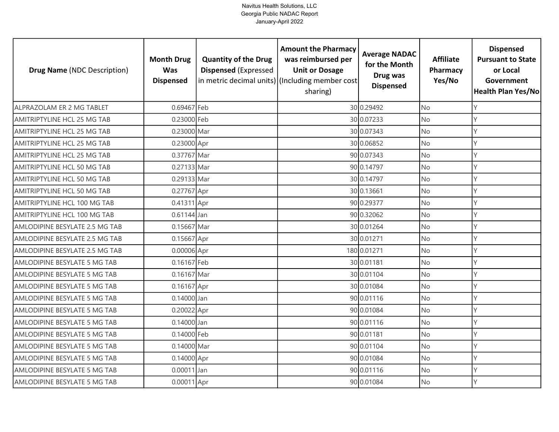| <b>Drug Name (NDC Description)</b> | <b>Month Drug</b><br><b>Was</b><br><b>Dispensed</b> | <b>Quantity of the Drug</b><br><b>Dispensed (Expressed</b> | <b>Amount the Pharmacy</b><br>was reimbursed per<br><b>Unit or Dosage</b><br>in metric decimal units) (Including member cost<br>sharing) | <b>Average NADAC</b><br>for the Month<br>Drug was<br><b>Dispensed</b> | <b>Affiliate</b><br>Pharmacy<br>Yes/No | <b>Dispensed</b><br><b>Pursuant to State</b><br>or Local<br>Government<br>Health Plan Yes/No |
|------------------------------------|-----------------------------------------------------|------------------------------------------------------------|------------------------------------------------------------------------------------------------------------------------------------------|-----------------------------------------------------------------------|----------------------------------------|----------------------------------------------------------------------------------------------|
| ALPRAZOLAM ER 2 MG TABLET          | 0.69467 Feb                                         |                                                            |                                                                                                                                          | 30 0.29492                                                            | <b>No</b>                              | Y                                                                                            |
| AMITRIPTYLINE HCL 25 MG TAB        | 0.23000 Feb                                         |                                                            |                                                                                                                                          | 30 0.07233                                                            | No                                     | Y                                                                                            |
| AMITRIPTYLINE HCL 25 MG TAB        | 0.23000 Mar                                         |                                                            |                                                                                                                                          | 30 0.07343                                                            | <b>No</b>                              | Y                                                                                            |
| AMITRIPTYLINE HCL 25 MG TAB        | 0.23000 Apr                                         |                                                            |                                                                                                                                          | 30 0.06852                                                            | No                                     | Y                                                                                            |
| AMITRIPTYLINE HCL 25 MG TAB        | 0.37767 Mar                                         |                                                            |                                                                                                                                          | 90 0.07343                                                            | <b>No</b>                              | Y                                                                                            |
| AMITRIPTYLINE HCL 50 MG TAB        | 0.27133 Mar                                         |                                                            |                                                                                                                                          | 90 0.14797                                                            | No                                     | Y                                                                                            |
| AMITRIPTYLINE HCL 50 MG TAB        | 0.29133 Mar                                         |                                                            |                                                                                                                                          | 30 0.14797                                                            | No                                     | Y                                                                                            |
| AMITRIPTYLINE HCL 50 MG TAB        | 0.27767 Apr                                         |                                                            |                                                                                                                                          | 30 0.13661                                                            | No                                     | Υ                                                                                            |
| AMITRIPTYLINE HCL 100 MG TAB       | 0.41311 Apr                                         |                                                            |                                                                                                                                          | 90 0.29377                                                            | No                                     | Y                                                                                            |
| AMITRIPTYLINE HCL 100 MG TAB       | $0.61144$ Jan                                       |                                                            |                                                                                                                                          | 90 0.32062                                                            | No                                     | Y                                                                                            |
| AMLODIPINE BESYLATE 2.5 MG TAB     | 0.15667 Mar                                         |                                                            |                                                                                                                                          | 30 0.01264                                                            | No                                     | Y                                                                                            |
| AMLODIPINE BESYLATE 2.5 MG TAB     | 0.15667 Apr                                         |                                                            |                                                                                                                                          | 30 0.01271                                                            | <b>No</b>                              | Υ                                                                                            |
| AMLODIPINE BESYLATE 2.5 MG TAB     | 0.00006 Apr                                         |                                                            |                                                                                                                                          | 180 0.01271                                                           | No                                     | $\vee$                                                                                       |
| AMLODIPINE BESYLATE 5 MG TAB       | 0.16167 Feb                                         |                                                            |                                                                                                                                          | 30 0.01181                                                            | <b>No</b>                              | Y                                                                                            |
| AMLODIPINE BESYLATE 5 MG TAB       | 0.16167 Mar                                         |                                                            |                                                                                                                                          | 30 0.01104                                                            | No                                     | Y                                                                                            |
| AMLODIPINE BESYLATE 5 MG TAB       | 0.16167 Apr                                         |                                                            |                                                                                                                                          | 30 0.01084                                                            | <b>No</b>                              | Y                                                                                            |
| AMLODIPINE BESYLATE 5 MG TAB       | 0.14000 Jan                                         |                                                            |                                                                                                                                          | 90 0.01116                                                            | No                                     | Y                                                                                            |
| AMLODIPINE BESYLATE 5 MG TAB       | 0.20022 Apr                                         |                                                            |                                                                                                                                          | 90 0.01084                                                            | <b>No</b>                              | Y                                                                                            |
| AMLODIPINE BESYLATE 5 MG TAB       | 0.14000 Jan                                         |                                                            |                                                                                                                                          | 90 0.01116                                                            | No                                     | Υ                                                                                            |
| AMLODIPINE BESYLATE 5 MG TAB       | 0.14000 Feb                                         |                                                            |                                                                                                                                          | 90 0.01181                                                            | No                                     | Y                                                                                            |
| AMLODIPINE BESYLATE 5 MG TAB       | 0.14000 Mar                                         |                                                            |                                                                                                                                          | 90 0.01104                                                            | No                                     | Υ                                                                                            |
| AMLODIPINE BESYLATE 5 MG TAB       | 0.14000 Apr                                         |                                                            |                                                                                                                                          | 90 0.01084                                                            | No                                     | Y                                                                                            |
| AMLODIPINE BESYLATE 5 MG TAB       | $0.00011$ Jan                                       |                                                            |                                                                                                                                          | 90 0.01116                                                            | No                                     | Υ                                                                                            |
| AMLODIPINE BESYLATE 5 MG TAB       | 0.00011 Apr                                         |                                                            |                                                                                                                                          | 90 0.01084                                                            | No                                     | $\vee$                                                                                       |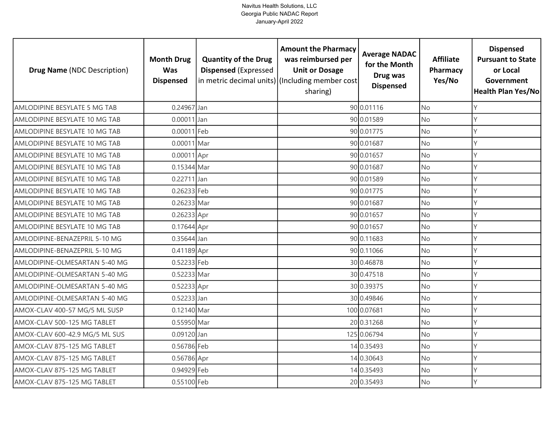| <b>Drug Name (NDC Description)</b> | <b>Month Drug</b><br><b>Was</b><br><b>Dispensed</b> | <b>Quantity of the Drug</b><br><b>Dispensed (Expressed</b> | <b>Amount the Pharmacy</b><br>was reimbursed per<br><b>Unit or Dosage</b><br>in metric decimal units) (Including member cost<br>sharing) | <b>Average NADAC</b><br>for the Month<br>Drug was<br><b>Dispensed</b> | <b>Affiliate</b><br>Pharmacy<br>Yes/No | <b>Dispensed</b><br><b>Pursuant to State</b><br>or Local<br>Government<br><b>Health Plan Yes/No</b> |
|------------------------------------|-----------------------------------------------------|------------------------------------------------------------|------------------------------------------------------------------------------------------------------------------------------------------|-----------------------------------------------------------------------|----------------------------------------|-----------------------------------------------------------------------------------------------------|
| AMLODIPINE BESYLATE 5 MG TAB       | 0.24967 Jan                                         |                                                            |                                                                                                                                          | 90 0.01116                                                            | <b>No</b>                              | Υ                                                                                                   |
| AMLODIPINE BESYLATE 10 MG TAB      | $0.00011$ Jan                                       |                                                            |                                                                                                                                          | 90 0.01589                                                            | <b>No</b>                              | Y                                                                                                   |
| AMLODIPINE BESYLATE 10 MG TAB      | 0.00011 Feb                                         |                                                            |                                                                                                                                          | 90 0.01775                                                            | <b>No</b>                              | Υ                                                                                                   |
| AMLODIPINE BESYLATE 10 MG TAB      | 0.00011 Mar                                         |                                                            |                                                                                                                                          | 90 0.01687                                                            | <b>No</b>                              | γ                                                                                                   |
| AMLODIPINE BESYLATE 10 MG TAB      | $0.00011$ Apr                                       |                                                            |                                                                                                                                          | 90 0.01657                                                            | <b>No</b>                              | γ                                                                                                   |
| AMLODIPINE BESYLATE 10 MG TAB      | 0.15344 Mar                                         |                                                            |                                                                                                                                          | 90 0.01687                                                            | <b>No</b>                              |                                                                                                     |
| AMLODIPINE BESYLATE 10 MG TAB      | 0.22711 Jan                                         |                                                            |                                                                                                                                          | 90 0.01589                                                            | <b>No</b>                              | γ                                                                                                   |
| AMLODIPINE BESYLATE 10 MG TAB      | 0.26233 Feb                                         |                                                            |                                                                                                                                          | 90 0.01775                                                            | <b>No</b>                              |                                                                                                     |
| AMLODIPINE BESYLATE 10 MG TAB      | 0.26233 Mar                                         |                                                            |                                                                                                                                          | 90 0.01687                                                            | <b>No</b>                              | Y                                                                                                   |
| AMLODIPINE BESYLATE 10 MG TAB      | 0.26233 Apr                                         |                                                            |                                                                                                                                          | 90 0.01657                                                            | <b>No</b>                              | Υ                                                                                                   |
| AMLODIPINE BESYLATE 10 MG TAB      | 0.17644 Apr                                         |                                                            |                                                                                                                                          | 90 0.01657                                                            | <b>No</b>                              | Y                                                                                                   |
| AMLODIPINE-BENAZEPRIL 5-10 MG      | 0.35644 Jan                                         |                                                            |                                                                                                                                          | 90 0.11683                                                            | <b>No</b>                              |                                                                                                     |
| AMLODIPINE-BENAZEPRIL 5-10 MG      | 0.41189 Apr                                         |                                                            |                                                                                                                                          | 90 0.11066                                                            | No                                     |                                                                                                     |
| AMLODIPINE-OLMESARTAN 5-40 MG      | 0.52233 Feb                                         |                                                            |                                                                                                                                          | 30 0.46878                                                            | <b>No</b>                              | γ                                                                                                   |
| AMLODIPINE-OLMESARTAN 5-40 MG      | 0.52233 Mar                                         |                                                            |                                                                                                                                          | 30 0.47518                                                            | No                                     | Υ                                                                                                   |
| AMLODIPINE-OLMESARTAN 5-40 MG      | 0.52233 Apr                                         |                                                            |                                                                                                                                          | 30 0.39375                                                            | No                                     | Υ                                                                                                   |
| AMLODIPINE-OLMESARTAN 5-40 MG      | $0.52233$ Jan                                       |                                                            |                                                                                                                                          | 30 0.49846                                                            | <b>No</b>                              | Y                                                                                                   |
| AMOX-CLAV 400-57 MG/5 ML SUSP      | 0.12140 Mar                                         |                                                            |                                                                                                                                          | 100 0.07681                                                           | <b>No</b>                              | Υ                                                                                                   |
| AMOX-CLAV 500-125 MG TABLET        | 0.55950 Mar                                         |                                                            |                                                                                                                                          | 20 0.31268                                                            | No                                     | γ                                                                                                   |
| AMOX-CLAV 600-42.9 MG/5 ML SUS     | 0.09120 Jan                                         |                                                            |                                                                                                                                          | 125 0.06794                                                           | <b>No</b>                              | Y                                                                                                   |
| AMOX-CLAV 875-125 MG TABLET        | 0.56786 Feb                                         |                                                            |                                                                                                                                          | 14 0.35493                                                            | <b>No</b>                              | Υ                                                                                                   |
| AMOX-CLAV 875-125 MG TABLET        | 0.56786 Apr                                         |                                                            |                                                                                                                                          | 14 0.30643                                                            | No                                     | Y                                                                                                   |
| AMOX-CLAV 875-125 MG TABLET        | 0.94929 Feb                                         |                                                            |                                                                                                                                          | 14 0.35493                                                            | No                                     |                                                                                                     |
| AMOX-CLAV 875-125 MG TABLET        | 0.55100 Feb                                         |                                                            |                                                                                                                                          | 20 0.35493                                                            | <b>No</b>                              | γ                                                                                                   |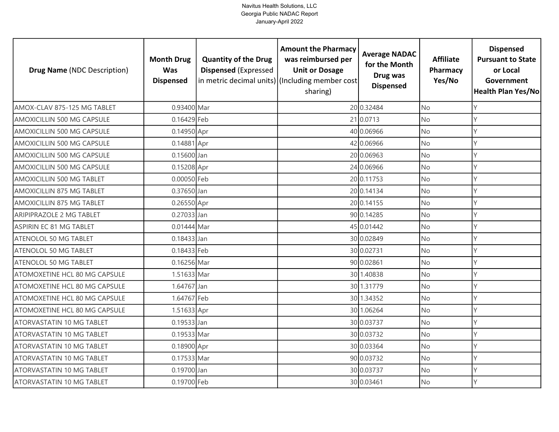| <b>Drug Name (NDC Description)</b> | <b>Month Drug</b><br><b>Was</b><br><b>Dispensed</b> | <b>Quantity of the Drug</b><br><b>Dispensed (Expressed</b> | <b>Amount the Pharmacy</b><br>was reimbursed per<br><b>Unit or Dosage</b><br>in metric decimal units) (Including member cost<br>sharing) | <b>Average NADAC</b><br>for the Month<br>Drug was<br><b>Dispensed</b> | <b>Affiliate</b><br>Pharmacy<br>Yes/No | <b>Dispensed</b><br><b>Pursuant to State</b><br>or Local<br>Government<br><b>Health Plan Yes/No</b> |
|------------------------------------|-----------------------------------------------------|------------------------------------------------------------|------------------------------------------------------------------------------------------------------------------------------------------|-----------------------------------------------------------------------|----------------------------------------|-----------------------------------------------------------------------------------------------------|
| AMOX-CLAV 875-125 MG TABLET        | 0.93400 Mar                                         |                                                            |                                                                                                                                          | 20 0.32484                                                            | <b>No</b>                              | Υ                                                                                                   |
| AMOXICILLIN 500 MG CAPSULE         | 0.16429 Feb                                         |                                                            |                                                                                                                                          | 21 0.0713                                                             | <b>No</b>                              | Y                                                                                                   |
| AMOXICILLIN 500 MG CAPSULE         | 0.14950 Apr                                         |                                                            |                                                                                                                                          | 40 0.06966                                                            | <b>No</b>                              |                                                                                                     |
| AMOXICILLIN 500 MG CAPSULE         | 0.14881 Apr                                         |                                                            |                                                                                                                                          | 42 0.06966                                                            | <b>No</b>                              |                                                                                                     |
| AMOXICILLIN 500 MG CAPSULE         | 0.15600 Jan                                         |                                                            |                                                                                                                                          | 20 0.06963                                                            | <b>No</b>                              |                                                                                                     |
| AMOXICILLIN 500 MG CAPSULE         | 0.15208 Apr                                         |                                                            |                                                                                                                                          | 24 0.06966                                                            | No                                     |                                                                                                     |
| AMOXICILLIN 500 MG TABLET          | 0.00050 Feb                                         |                                                            |                                                                                                                                          | 20 0.11753                                                            | <b>No</b>                              | Y                                                                                                   |
| AMOXICILLIN 875 MG TABLET          | 0.37650 Jan                                         |                                                            |                                                                                                                                          | 20 0.14134                                                            | <b>No</b>                              |                                                                                                     |
| AMOXICILLIN 875 MG TABLET          | 0.26550 Apr                                         |                                                            |                                                                                                                                          | 20 0.14155                                                            | No                                     |                                                                                                     |
| ARIPIPRAZOLE 2 MG TABLET           | 0.27033 Jan                                         |                                                            |                                                                                                                                          | 90 0.14285                                                            | <b>No</b>                              |                                                                                                     |
| ASPIRIN EC 81 MG TABLET            | 0.01444 Mar                                         |                                                            |                                                                                                                                          | 45 0.01442                                                            | <b>No</b>                              |                                                                                                     |
| <b>ATENOLOL 50 MG TABLET</b>       | $0.18433$ Jan                                       |                                                            |                                                                                                                                          | 30 0.02849                                                            | <b>No</b>                              |                                                                                                     |
| ATENOLOL 50 MG TABLET              | 0.18433 Feb                                         |                                                            |                                                                                                                                          | 30 0.02731                                                            | No                                     |                                                                                                     |
| ATENOLOL 50 MG TABLET              | 0.16256 Mar                                         |                                                            |                                                                                                                                          | 90 0.02861                                                            | <b>No</b>                              | γ                                                                                                   |
| ATOMOXETINE HCL 80 MG CAPSULE      | 1.51633 Mar                                         |                                                            |                                                                                                                                          | 30 1.40838                                                            | No                                     | γ                                                                                                   |
| ATOMOXETINE HCL 80 MG CAPSULE      | 1.64767 Jan                                         |                                                            |                                                                                                                                          | 30 1.31779                                                            | <b>No</b>                              | γ                                                                                                   |
| ATOMOXETINE HCL 80 MG CAPSULE      | 1.64767 Feb                                         |                                                            |                                                                                                                                          | 30 1.34352                                                            | <b>No</b>                              | Y                                                                                                   |
| ATOMOXETINE HCL 80 MG CAPSULE      | 1.51633 Apr                                         |                                                            |                                                                                                                                          | 30 1.06264                                                            | <b>No</b>                              |                                                                                                     |
| ATORVASTATIN 10 MG TABLET          | 0.19533 Jan                                         |                                                            |                                                                                                                                          | 30 0.03737                                                            | <b>No</b>                              |                                                                                                     |
| ATORVASTATIN 10 MG TABLET          | 0.19533 Mar                                         |                                                            |                                                                                                                                          | 30 0.03732                                                            | <b>No</b>                              | γ                                                                                                   |
| <b>ATORVASTATIN 10 MG TABLET</b>   | 0.18900 Apr                                         |                                                            |                                                                                                                                          | 30 0.03364                                                            | <b>No</b>                              | Υ                                                                                                   |
| ATORVASTATIN 10 MG TABLET          | 0.17533 Mar                                         |                                                            |                                                                                                                                          | 90 0.03732                                                            | <b>No</b>                              | Y                                                                                                   |
| <b>ATORVASTATIN 10 MG TABLET</b>   | 0.19700 Jan                                         |                                                            |                                                                                                                                          | 30 0.03737                                                            | No                                     |                                                                                                     |
| ATORVASTATIN 10 MG TABLET          | 0.19700 Feb                                         |                                                            |                                                                                                                                          | 30 0.03461                                                            | No                                     |                                                                                                     |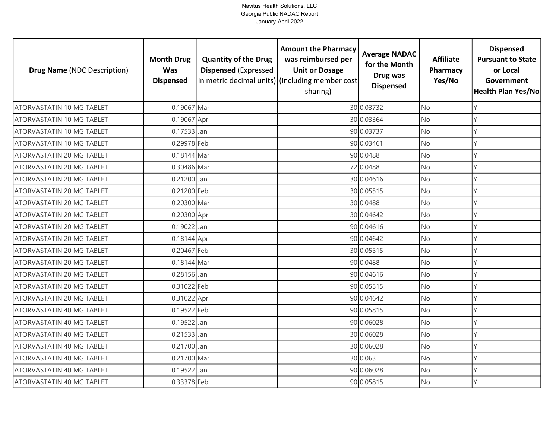| <b>Drug Name (NDC Description)</b> | <b>Month Drug</b><br><b>Was</b><br><b>Dispensed</b> | <b>Quantity of the Drug</b><br><b>Dispensed (Expressed</b> | <b>Amount the Pharmacy</b><br>was reimbursed per<br><b>Unit or Dosage</b><br>in metric decimal units) (Including member cost<br>sharing) | <b>Average NADAC</b><br>for the Month<br>Drug was<br><b>Dispensed</b> | <b>Affiliate</b><br>Pharmacy<br>Yes/No | <b>Dispensed</b><br><b>Pursuant to State</b><br>or Local<br>Government<br>Health Plan Yes/No |
|------------------------------------|-----------------------------------------------------|------------------------------------------------------------|------------------------------------------------------------------------------------------------------------------------------------------|-----------------------------------------------------------------------|----------------------------------------|----------------------------------------------------------------------------------------------|
| ATORVASTATIN 10 MG TABLET          | 0.19067 Mar                                         |                                                            |                                                                                                                                          | 30 0.03732                                                            | <b>No</b>                              | Y                                                                                            |
| <b>ATORVASTATIN 10 MG TABLET</b>   | 0.19067 Apr                                         |                                                            |                                                                                                                                          | 30 0.03364                                                            | No                                     | Y                                                                                            |
| ATORVASTATIN 10 MG TABLET          | $0.17533$ Jan                                       |                                                            |                                                                                                                                          | 90 0.03737                                                            | <b>No</b>                              | Y                                                                                            |
| <b>ATORVASTATIN 10 MG TABLET</b>   | 0.29978 Feb                                         |                                                            |                                                                                                                                          | 90 0.03461                                                            | No                                     | Y                                                                                            |
| ATORVASTATIN 20 MG TABLET          | 0.18144 Mar                                         |                                                            |                                                                                                                                          | 90 0.0488                                                             | No                                     | Υ                                                                                            |
| ATORVASTATIN 20 MG TABLET          | 0.30486 Mar                                         |                                                            |                                                                                                                                          | 72 0.0488                                                             | No                                     | Y                                                                                            |
| ATORVASTATIN 20 MG TABLET          | 0.21200 Jan                                         |                                                            |                                                                                                                                          | 30 0.04616                                                            | No                                     | Y                                                                                            |
| ATORVASTATIN 20 MG TABLET          | 0.21200 Feb                                         |                                                            |                                                                                                                                          | 30 0.05515                                                            | No                                     | Υ                                                                                            |
| ATORVASTATIN 20 MG TABLET          | 0.20300 Mar                                         |                                                            |                                                                                                                                          | 30 0.0488                                                             | No                                     | Y                                                                                            |
| ATORVASTATIN 20 MG TABLET          | 0.20300 Apr                                         |                                                            |                                                                                                                                          | 30 0.04642                                                            | No                                     | Y                                                                                            |
| ATORVASTATIN 20 MG TABLET          | 0.19022 Jan                                         |                                                            |                                                                                                                                          | 90 0.04616                                                            | No                                     | Y                                                                                            |
| ATORVASTATIN 20 MG TABLET          | 0.18144 Apr                                         |                                                            |                                                                                                                                          | 90 0.04642                                                            | No                                     | $\mathsf{Y}$                                                                                 |
| ATORVASTATIN 20 MG TABLET          | 0.20467 Feb                                         |                                                            |                                                                                                                                          | 30 0.05515                                                            | No                                     | Y                                                                                            |
| ATORVASTATIN 20 MG TABLET          | 0.18144 Mar                                         |                                                            |                                                                                                                                          | 90 0.0488                                                             | <b>No</b>                              | Y                                                                                            |
| ATORVASTATIN 20 MG TABLET          | 0.28156 Jan                                         |                                                            |                                                                                                                                          | 90 0.04616                                                            | No                                     | Y                                                                                            |
| ATORVASTATIN 20 MG TABLET          | 0.31022 Feb                                         |                                                            |                                                                                                                                          | 90 0.05515                                                            | <b>No</b>                              | Y                                                                                            |
| ATORVASTATIN 20 MG TABLET          | 0.31022 Apr                                         |                                                            |                                                                                                                                          | 90 0.04642                                                            | No                                     | Y                                                                                            |
| ATORVASTATIN 40 MG TABLET          | 0.19522 Feb                                         |                                                            |                                                                                                                                          | 90 0.05815                                                            | <b>No</b>                              | Y                                                                                            |
| ATORVASTATIN 40 MG TABLET          | 0.19522 Jan                                         |                                                            |                                                                                                                                          | 90 0.06028                                                            | No                                     | Υ                                                                                            |
| ATORVASTATIN 40 MG TABLET          | 0.21533 Jan                                         |                                                            |                                                                                                                                          | 30 0.06028                                                            | No                                     | Y                                                                                            |
| ATORVASTATIN 40 MG TABLET          | 0.21700 Jan                                         |                                                            |                                                                                                                                          | 30 0.06028                                                            | No                                     | Υ                                                                                            |
| ATORVASTATIN 40 MG TABLET          | 0.21700 Mar                                         |                                                            |                                                                                                                                          | 30 0.063                                                              | No                                     | Y                                                                                            |
| ATORVASTATIN 40 MG TABLET          | 0.19522 Jan                                         |                                                            |                                                                                                                                          | 90 0.06028                                                            | No                                     | Υ                                                                                            |
| ATORVASTATIN 40 MG TABLET          | 0.33378 Feb                                         |                                                            |                                                                                                                                          | 90 0.05815                                                            | No                                     | Y                                                                                            |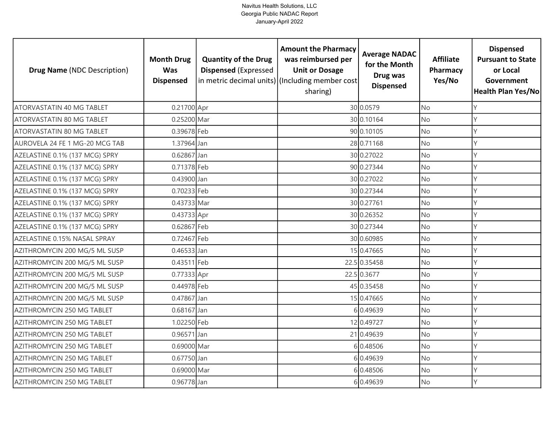| <b>Drug Name (NDC Description)</b> | <b>Month Drug</b><br><b>Was</b><br><b>Dispensed</b> | <b>Quantity of the Drug</b><br><b>Dispensed (Expressed</b> | <b>Amount the Pharmacy</b><br>was reimbursed per<br><b>Unit or Dosage</b><br>in metric decimal units) (Including member cost<br>sharing) | <b>Average NADAC</b><br>for the Month<br>Drug was<br><b>Dispensed</b> | <b>Affiliate</b><br>Pharmacy<br>Yes/No | <b>Dispensed</b><br><b>Pursuant to State</b><br>or Local<br>Government<br><b>Health Plan Yes/No</b> |
|------------------------------------|-----------------------------------------------------|------------------------------------------------------------|------------------------------------------------------------------------------------------------------------------------------------------|-----------------------------------------------------------------------|----------------------------------------|-----------------------------------------------------------------------------------------------------|
| ATORVASTATIN 40 MG TABLET          | 0.21700 Apr                                         |                                                            |                                                                                                                                          | 30 0.0579                                                             | <b>No</b>                              |                                                                                                     |
| ATORVASTATIN 80 MG TABLET          | 0.25200 Mar                                         |                                                            |                                                                                                                                          | 30 0.10164                                                            | <b>No</b>                              | Υ                                                                                                   |
| ATORVASTATIN 80 MG TABLET          | 0.39678 Feb                                         |                                                            |                                                                                                                                          | 90 0.10105                                                            | <b>No</b>                              | Y                                                                                                   |
| AUROVELA 24 FE 1 MG-20 MCG TAB     | 1.37964 Jan                                         |                                                            |                                                                                                                                          | 28 0.71168                                                            | No                                     | Υ                                                                                                   |
| AZELASTINE 0.1% (137 MCG) SPRY     | 0.62867 Jan                                         |                                                            |                                                                                                                                          | 30 0.27022                                                            | <b>No</b>                              | γ                                                                                                   |
| AZELASTINE 0.1% (137 MCG) SPRY     | 0.71378 Feb                                         |                                                            |                                                                                                                                          | 90 0.27344                                                            | <b>No</b>                              | Υ                                                                                                   |
| AZELASTINE 0.1% (137 MCG) SPRY     | 0.43900 Jan                                         |                                                            |                                                                                                                                          | 30 0.27022                                                            | No                                     | Y                                                                                                   |
| AZELASTINE 0.1% (137 MCG) SPRY     | 0.70233 Feb                                         |                                                            |                                                                                                                                          | 30 0.27344                                                            | <b>No</b>                              |                                                                                                     |
| AZELASTINE 0.1% (137 MCG) SPRY     | 0.43733 Mar                                         |                                                            |                                                                                                                                          | 30 0.27761                                                            | <b>No</b>                              |                                                                                                     |
| AZELASTINE 0.1% (137 MCG) SPRY     | 0.43733 Apr                                         |                                                            |                                                                                                                                          | 30 0.26352                                                            | <b>No</b>                              |                                                                                                     |
| AZELASTINE 0.1% (137 MCG) SPRY     | 0.62867 Feb                                         |                                                            |                                                                                                                                          | 30 0.27344                                                            | No                                     |                                                                                                     |
| AZELASTINE 0.15% NASAL SPRAY       | 0.72467 Feb                                         |                                                            |                                                                                                                                          | 30 0.60985                                                            | <b>No</b>                              |                                                                                                     |
| AZITHROMYCIN 200 MG/5 ML SUSP      | 0.46533 Jan                                         |                                                            |                                                                                                                                          | 15 0.47665                                                            | No                                     |                                                                                                     |
| AZITHROMYCIN 200 MG/5 ML SUSP      | 0.43511 Feb                                         |                                                            |                                                                                                                                          | 22.5 0.35458                                                          | <b>No</b>                              | Υ                                                                                                   |
| AZITHROMYCIN 200 MG/5 ML SUSP      | 0.77333 Apr                                         |                                                            |                                                                                                                                          | 22.5 0.3677                                                           | No                                     | Υ                                                                                                   |
| AZITHROMYCIN 200 MG/5 ML SUSP      | 0.44978 Feb                                         |                                                            |                                                                                                                                          | 45 0.35458                                                            | <b>No</b>                              | Υ                                                                                                   |
| AZITHROMYCIN 200 MG/5 ML SUSP      | 0.47867 Jan                                         |                                                            |                                                                                                                                          | 15 0.47665                                                            | <b>No</b>                              | Υ                                                                                                   |
| AZITHROMYCIN 250 MG TABLET         | $0.68167$ Jan                                       |                                                            |                                                                                                                                          | 6 0.49639                                                             | <b>No</b>                              | γ                                                                                                   |
| AZITHROMYCIN 250 MG TABLET         | 1.02250 Feb                                         |                                                            |                                                                                                                                          | 12 0.49727                                                            | No                                     | Υ                                                                                                   |
| AZITHROMYCIN 250 MG TABLET         | 0.96571 Jan                                         |                                                            |                                                                                                                                          | 21 0.49639                                                            | No                                     | V                                                                                                   |
| AZITHROMYCIN 250 MG TABLET         | 0.69000 Mar                                         |                                                            |                                                                                                                                          | 60.48506                                                              | <b>No</b>                              | γ                                                                                                   |
| AZITHROMYCIN 250 MG TABLET         | 0.67750 Jan                                         |                                                            |                                                                                                                                          | 60.49639                                                              | No                                     | V                                                                                                   |
| AZITHROMYCIN 250 MG TABLET         | 0.69000 Mar                                         |                                                            |                                                                                                                                          | 6 0.48506                                                             | <b>No</b>                              |                                                                                                     |
| AZITHROMYCIN 250 MG TABLET         | 0.96778 Jan                                         |                                                            |                                                                                                                                          | 6 0.49639                                                             | No                                     | γ                                                                                                   |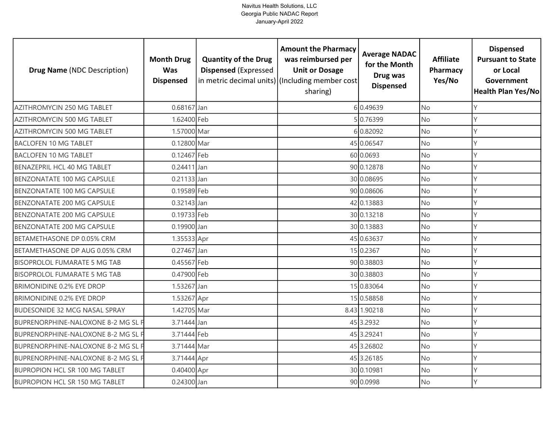| <b>Drug Name (NDC Description)</b>    | <b>Month Drug</b><br><b>Was</b><br><b>Dispensed</b> | <b>Quantity of the Drug</b><br><b>Dispensed (Expressed</b> | <b>Amount the Pharmacy</b><br>was reimbursed per<br><b>Unit or Dosage</b><br>in metric decimal units) (Including member cost<br>sharing) | <b>Average NADAC</b><br>for the Month<br>Drug was<br><b>Dispensed</b> | <b>Affiliate</b><br>Pharmacy<br>Yes/No | <b>Dispensed</b><br><b>Pursuant to State</b><br>or Local<br>Government<br><b>Health Plan Yes/No</b> |
|---------------------------------------|-----------------------------------------------------|------------------------------------------------------------|------------------------------------------------------------------------------------------------------------------------------------------|-----------------------------------------------------------------------|----------------------------------------|-----------------------------------------------------------------------------------------------------|
| AZITHROMYCIN 250 MG TABLET            | $0.68167$ Jan                                       |                                                            |                                                                                                                                          | 6 0.49639                                                             | <b>No</b>                              | γ                                                                                                   |
| AZITHROMYCIN 500 MG TABLET            | 1.62400 Feb                                         |                                                            |                                                                                                                                          | 50.76399                                                              | <b>No</b>                              | Υ                                                                                                   |
| AZITHROMYCIN 500 MG TABLET            | 1.57000 Mar                                         |                                                            |                                                                                                                                          | 60.82092                                                              | <b>No</b>                              | Υ                                                                                                   |
| <b>BACLOFEN 10 MG TABLET</b>          | 0.12800 Mar                                         |                                                            |                                                                                                                                          | 45 0.06547                                                            | <b>No</b>                              | Υ                                                                                                   |
| <b>BACLOFEN 10 MG TABLET</b>          | 0.12467 Feb                                         |                                                            |                                                                                                                                          | 60 0.0693                                                             | <b>No</b>                              | γ                                                                                                   |
| BENAZEPRIL HCL 40 MG TABLET           | 0.24411 Jan                                         |                                                            |                                                                                                                                          | 90 0.12878                                                            | <b>No</b>                              | Υ                                                                                                   |
| <b>BENZONATATE 100 MG CAPSULE</b>     | $0.21133$ Jan                                       |                                                            |                                                                                                                                          | 30 0.08695                                                            | <b>No</b>                              | Y                                                                                                   |
| <b>BENZONATATE 100 MG CAPSULE</b>     | 0.19589 Feb                                         |                                                            |                                                                                                                                          | 90 0.08606                                                            | <b>No</b>                              |                                                                                                     |
| BENZONATATE 200 MG CAPSULE            | 0.32143 Jan                                         |                                                            |                                                                                                                                          | 42 0.13883                                                            | No                                     |                                                                                                     |
| BENZONATATE 200 MG CAPSULE            | 0.19733 Feb                                         |                                                            |                                                                                                                                          | 30 0.13218                                                            | <b>No</b>                              |                                                                                                     |
| BENZONATATE 200 MG CAPSULE            | 0.19900 Jan                                         |                                                            |                                                                                                                                          | 30 0.13883                                                            | <b>No</b>                              |                                                                                                     |
| BETAMETHASONE DP 0.05% CRM            | 1.35533 Apr                                         |                                                            |                                                                                                                                          | 45 0.63637                                                            | <b>No</b>                              |                                                                                                     |
| BETAMETHASONE DP AUG 0.05% CRM        | 0.27467 Jan                                         |                                                            |                                                                                                                                          | 15 0.2367                                                             | <b>No</b>                              |                                                                                                     |
| <b>BISOPROLOL FUMARATE 5 MG TAB</b>   | 0.45567 Feb                                         |                                                            |                                                                                                                                          | 90 0.38803                                                            | <b>No</b>                              | Υ                                                                                                   |
| <b>BISOPROLOL FUMARATE 5 MG TAB</b>   | 0.47900 Feb                                         |                                                            |                                                                                                                                          | 30 0.38803                                                            | No                                     | Υ                                                                                                   |
| <b>BRIMONIDINE 0.2% EYE DROP</b>      | 1.53267 Jan                                         |                                                            |                                                                                                                                          | 15 0.83064                                                            | <b>No</b>                              | Υ                                                                                                   |
| <b>BRIMONIDINE 0.2% EYE DROP</b>      | 1.53267 Apr                                         |                                                            |                                                                                                                                          | 15 0.58858                                                            | No                                     | Υ                                                                                                   |
| <b>BUDESONIDE 32 MCG NASAL SPRAY</b>  | 1.42705 Mar                                         |                                                            |                                                                                                                                          | 8.43 1.90218                                                          | <b>No</b>                              | Y                                                                                                   |
| BUPRENORPHINE-NALOXONE 8-2 MG SL F    | 3.71444 Jan                                         |                                                            |                                                                                                                                          | 45 3.2932                                                             | No                                     |                                                                                                     |
| BUPRENORPHINE-NALOXONE 8-2 MG SL F    | 3.71444 Feb                                         |                                                            |                                                                                                                                          | 45 3.29241                                                            | <b>No</b>                              |                                                                                                     |
| BUPRENORPHINE-NALOXONE 8-2 MG SL F    | 3.71444 Mar                                         |                                                            |                                                                                                                                          | 45 3.26802                                                            | No                                     |                                                                                                     |
| BUPRENORPHINE-NALOXONE 8-2 MG SL F    | 3.71444 Apr                                         |                                                            |                                                                                                                                          | 45 3.26185                                                            | No                                     |                                                                                                     |
| <b>BUPROPION HCL SR 100 MG TABLET</b> | 0.40400 Apr                                         |                                                            |                                                                                                                                          | 30 0.10981                                                            | <b>No</b>                              |                                                                                                     |
| <b>BUPROPION HCL SR 150 MG TABLET</b> | 0.24300 Jan                                         |                                                            |                                                                                                                                          | 90 0.0998                                                             | No                                     | γ                                                                                                   |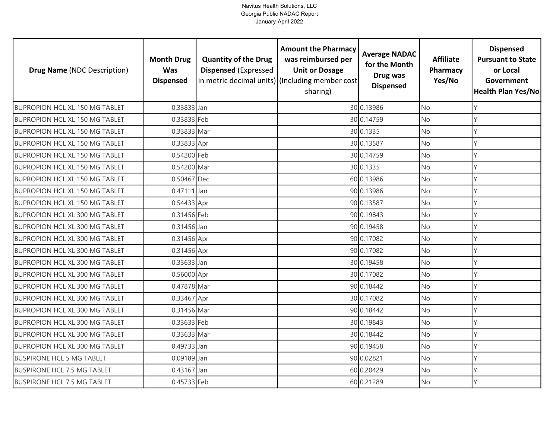| <b>Drug Name (NDC Description)</b>    | <b>Month Drug</b><br><b>Was</b><br><b>Dispensed</b> | <b>Quantity of the Drug</b><br><b>Dispensed (Expressed</b> | <b>Amount the Pharmacy</b><br>was reimbursed per<br><b>Unit or Dosage</b><br>in metric decimal units) (Including member cost<br>sharing) | <b>Average NADAC</b><br>for the Month<br>Drug was<br><b>Dispensed</b> | <b>Affiliate</b><br>Pharmacy<br>Yes/No | <b>Dispensed</b><br><b>Pursuant to State</b><br>or Local<br>Government<br><b>Health Plan Yes/No</b> |
|---------------------------------------|-----------------------------------------------------|------------------------------------------------------------|------------------------------------------------------------------------------------------------------------------------------------------|-----------------------------------------------------------------------|----------------------------------------|-----------------------------------------------------------------------------------------------------|
| <b>BUPROPION HCL XL 150 MG TABLET</b> | 0.33833 Jan                                         |                                                            |                                                                                                                                          | 30 0.13986                                                            | <b>No</b>                              | Υ                                                                                                   |
| <b>BUPROPION HCL XL 150 MG TABLET</b> | 0.33833 Feb                                         |                                                            |                                                                                                                                          | 30 0.14759                                                            | <b>No</b>                              | Υ                                                                                                   |
| <b>BUPROPION HCL XL 150 MG TABLET</b> | 0.33833 Mar                                         |                                                            |                                                                                                                                          | 30 0.1335                                                             | <b>No</b>                              | Υ                                                                                                   |
| <b>BUPROPION HCL XL 150 MG TABLET</b> | 0.33833 Apr                                         |                                                            |                                                                                                                                          | 30 0.13587                                                            | <b>No</b>                              | γ                                                                                                   |
| <b>BUPROPION HCL XL 150 MG TABLET</b> | 0.54200 Feb                                         |                                                            |                                                                                                                                          | 30 0.14759                                                            | <b>No</b>                              | Y                                                                                                   |
| <b>BUPROPION HCL XL 150 MG TABLET</b> | 0.54200 Mar                                         |                                                            |                                                                                                                                          | 30 0.1335                                                             | <b>No</b>                              | Υ                                                                                                   |
| <b>BUPROPION HCL XL 150 MG TABLET</b> | 0.50467 Dec                                         |                                                            |                                                                                                                                          | 60 0.13986                                                            | No                                     | Y                                                                                                   |
| <b>BUPROPION HCL XL 150 MG TABLET</b> | $0.47111$ Jan                                       |                                                            |                                                                                                                                          | 90 0.13986                                                            | <b>No</b>                              |                                                                                                     |
| <b>BUPROPION HCL XL 150 MG TABLET</b> | $0.54433$ Apr                                       |                                                            |                                                                                                                                          | 90 0.13587                                                            | <b>No</b>                              | Y                                                                                                   |
| <b>BUPROPION HCL XL 300 MG TABLET</b> | 0.31456 Feb                                         |                                                            |                                                                                                                                          | 90 0.19843                                                            | <b>No</b>                              | Υ                                                                                                   |
| BUPROPION HCL XL 300 MG TABLET        | 0.31456 Jan                                         |                                                            |                                                                                                                                          | 90 0.19458                                                            | <b>No</b>                              | Y                                                                                                   |
| <b>BUPROPION HCL XL 300 MG TABLET</b> | 0.31456 Apr                                         |                                                            |                                                                                                                                          | 90 0.17082                                                            | <b>No</b>                              |                                                                                                     |
| <b>BUPROPION HCL XL 300 MG TABLET</b> | 0.31456 Apr                                         |                                                            |                                                                                                                                          | 90 0.17082                                                            | <b>No</b>                              |                                                                                                     |
| <b>BUPROPION HCL XL 300 MG TABLET</b> | 0.33633 Jan                                         |                                                            |                                                                                                                                          | 30 0.19458                                                            | <b>No</b>                              | Υ                                                                                                   |
| BUPROPION HCL XL 300 MG TABLET        | 0.56000 Apr                                         |                                                            |                                                                                                                                          | 30 0.17082                                                            | No                                     | Υ                                                                                                   |
| <b>BUPROPION HCL XL 300 MG TABLET</b> | 0.47878 Mar                                         |                                                            |                                                                                                                                          | 90 0.18442                                                            | No                                     | γ                                                                                                   |
| <b>BUPROPION HCL XL 300 MG TABLET</b> | 0.33467 Apr                                         |                                                            |                                                                                                                                          | 30 0.17082                                                            | <b>No</b>                              | Y                                                                                                   |
| <b>BUPROPION HCL XL 300 MG TABLET</b> | 0.31456 Mar                                         |                                                            |                                                                                                                                          | 90 0.18442                                                            | <b>No</b>                              | Υ                                                                                                   |
| <b>BUPROPION HCL XL 300 MG TABLET</b> | 0.33633 Feb                                         |                                                            |                                                                                                                                          | 30 0.19843                                                            | <b>No</b>                              | Υ                                                                                                   |
| <b>BUPROPION HCL XL 300 MG TABLET</b> | 0.33633 Mar                                         |                                                            |                                                                                                                                          | 30 0.18442                                                            | <b>No</b>                              | γ                                                                                                   |
| <b>BUPROPION HCL XL 300 MG TABLET</b> | 0.49733 Jan                                         |                                                            |                                                                                                                                          | 90 0.19458                                                            | <b>No</b>                              | Υ                                                                                                   |
| <b>BUSPIRONE HCL 5 MG TABLET</b>      | 0.09189 Jan                                         |                                                            |                                                                                                                                          | 90 0.02821                                                            | No                                     | Y                                                                                                   |
| <b>BUSPIRONE HCL 7.5 MG TABLET</b>    | 0.43167 Jan                                         |                                                            |                                                                                                                                          | 60 0.20429                                                            | <b>No</b>                              |                                                                                                     |
| <b>BUSPIRONE HCL 7.5 MG TABLET</b>    | 0.45733 Feb                                         |                                                            |                                                                                                                                          | 60 0.21289                                                            | <b>No</b>                              | γ                                                                                                   |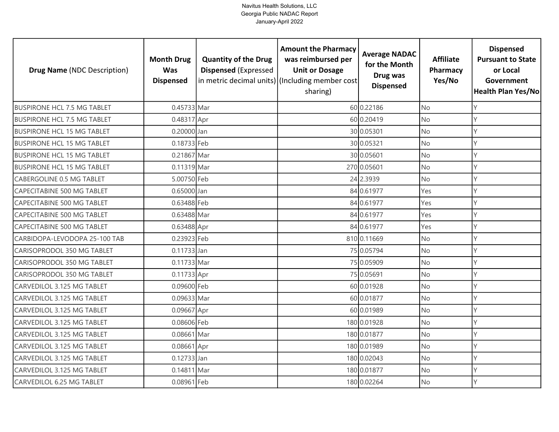| <b>Drug Name (NDC Description)</b> | <b>Month Drug</b><br><b>Was</b><br><b>Dispensed</b> | <b>Quantity of the Drug</b><br><b>Dispensed (Expressed</b> | <b>Amount the Pharmacy</b><br>was reimbursed per<br><b>Unit or Dosage</b><br>in metric decimal units) (Including member cost<br>sharing) | <b>Average NADAC</b><br>for the Month<br>Drug was<br><b>Dispensed</b> | <b>Affiliate</b><br>Pharmacy<br>Yes/No | <b>Dispensed</b><br><b>Pursuant to State</b><br>or Local<br>Government<br>Health Plan Yes/No |
|------------------------------------|-----------------------------------------------------|------------------------------------------------------------|------------------------------------------------------------------------------------------------------------------------------------------|-----------------------------------------------------------------------|----------------------------------------|----------------------------------------------------------------------------------------------|
| <b>BUSPIRONE HCL 7.5 MG TABLET</b> | 0.45733 Mar                                         |                                                            |                                                                                                                                          | 60 0.22186                                                            | <b>No</b>                              | Y                                                                                            |
| <b>BUSPIRONE HCL 7.5 MG TABLET</b> | 0.48317 Apr                                         |                                                            |                                                                                                                                          | 60 0.20419                                                            | No                                     | Y                                                                                            |
| <b>BUSPIRONE HCL 15 MG TABLET</b>  | 0.20000 Jan                                         |                                                            |                                                                                                                                          | 30 0.05301                                                            | <b>No</b>                              | Y                                                                                            |
| <b>BUSPIRONE HCL 15 MG TABLET</b>  | 0.18733 Feb                                         |                                                            |                                                                                                                                          | 30 0.05321                                                            | No                                     | Y                                                                                            |
| <b>BUSPIRONE HCL 15 MG TABLET</b>  | 0.21867 Mar                                         |                                                            |                                                                                                                                          | 30 0.05601                                                            | <b>No</b>                              | Y                                                                                            |
| <b>BUSPIRONE HCL 15 MG TABLET</b>  | 0.11319 Mar                                         |                                                            |                                                                                                                                          | 270 0.05601                                                           | No                                     | Y                                                                                            |
| CABERGOLINE 0.5 MG TABLET          | 5.00750 Feb                                         |                                                            |                                                                                                                                          | 24 2.3939                                                             | No                                     | Y                                                                                            |
| <b>CAPECITABINE 500 MG TABLET</b>  | 0.65000 Jan                                         |                                                            |                                                                                                                                          | 84 0.61977                                                            | Yes                                    | Υ                                                                                            |
| CAPECITABINE 500 MG TABLET         | 0.63488 Feb                                         |                                                            |                                                                                                                                          | 84 0.61977                                                            | Yes                                    | Y                                                                                            |
| <b>CAPECITABINE 500 MG TABLET</b>  | 0.63488 Mar                                         |                                                            |                                                                                                                                          | 84 0.61977                                                            | Yes                                    | Y                                                                                            |
| CAPECITABINE 500 MG TABLET         | 0.63488 Apr                                         |                                                            |                                                                                                                                          | 84 0.61977                                                            | Yes                                    | $\vee$                                                                                       |
| CARBIDOPA-LEVODOPA 25-100 TAB      | 0.23923 Feb                                         |                                                            |                                                                                                                                          | 810 0.11669                                                           | <b>No</b>                              | $\mathsf{Y}$                                                                                 |
| CARISOPRODOL 350 MG TABLET         | 0.11733 Jan                                         |                                                            |                                                                                                                                          | 75 0.05794                                                            | No                                     | $\vee$                                                                                       |
| CARISOPRODOL 350 MG TABLET         | 0.11733 Mar                                         |                                                            |                                                                                                                                          | 75 0.05909                                                            | <b>No</b>                              | Y                                                                                            |
| CARISOPRODOL 350 MG TABLET         | 0.11733 Apr                                         |                                                            |                                                                                                                                          | 75 0.05691                                                            | No                                     | Y                                                                                            |
| CARVEDILOL 3.125 MG TABLET         | 0.09600 Feb                                         |                                                            |                                                                                                                                          | 60 0.01928                                                            | <b>No</b>                              | Y                                                                                            |
| CARVEDILOL 3.125 MG TABLET         | 0.09633 Mar                                         |                                                            |                                                                                                                                          | 60 0.01877                                                            | No                                     | Y                                                                                            |
| CARVEDILOL 3.125 MG TABLET         | 0.09667 Apr                                         |                                                            |                                                                                                                                          | 60 0.01989                                                            | <b>No</b>                              | Y                                                                                            |
| CARVEDILOL 3.125 MG TABLET         | 0.08606 Feb                                         |                                                            |                                                                                                                                          | 180 0.01928                                                           | No                                     | Υ                                                                                            |
| CARVEDILOL 3.125 MG TABLET         | 0.08661 Mar                                         |                                                            |                                                                                                                                          | 180 0.01877                                                           | No                                     | Y                                                                                            |
| CARVEDILOL 3.125 MG TABLET         | 0.08661 Apr                                         |                                                            |                                                                                                                                          | 180 0.01989                                                           | No                                     | Υ                                                                                            |
| CARVEDILOL 3.125 MG TABLET         | 0.12733 Jan                                         |                                                            |                                                                                                                                          | 180 0.02043                                                           | No                                     | Y                                                                                            |
| CARVEDILOL 3.125 MG TABLET         | 0.14811 Mar                                         |                                                            |                                                                                                                                          | 180 0.01877                                                           | No                                     | Υ                                                                                            |
| CARVEDILOL 6.25 MG TABLET          | 0.08961 Feb                                         |                                                            |                                                                                                                                          | 180 0.02264                                                           | No                                     | $\vee$                                                                                       |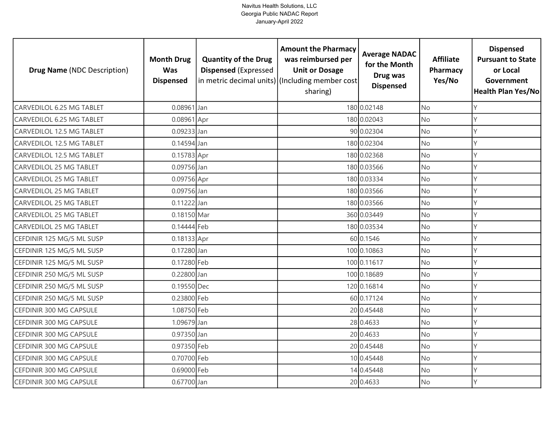| <b>Drug Name (NDC Description)</b> | <b>Month Drug</b><br><b>Was</b><br><b>Dispensed</b> | <b>Quantity of the Drug</b><br><b>Dispensed (Expressed</b> | <b>Amount the Pharmacy</b><br>was reimbursed per<br><b>Unit or Dosage</b><br>in metric decimal units) (Including member cost<br>sharing) | <b>Average NADAC</b><br>for the Month<br>Drug was<br><b>Dispensed</b> | <b>Affiliate</b><br>Pharmacy<br>Yes/No | <b>Dispensed</b><br><b>Pursuant to State</b><br>or Local<br>Government<br>Health Plan Yes/No |
|------------------------------------|-----------------------------------------------------|------------------------------------------------------------|------------------------------------------------------------------------------------------------------------------------------------------|-----------------------------------------------------------------------|----------------------------------------|----------------------------------------------------------------------------------------------|
| CARVEDILOL 6.25 MG TABLET          | $0.08961$ Jan                                       |                                                            |                                                                                                                                          | 180 0.02148                                                           | <b>No</b>                              | Y                                                                                            |
| CARVEDILOL 6.25 MG TABLET          | 0.08961 Apr                                         |                                                            |                                                                                                                                          | 180 0.02043                                                           | No                                     | Y                                                                                            |
| CARVEDILOL 12.5 MG TABLET          | 0.09233 Jan                                         |                                                            |                                                                                                                                          | 90 0.02304                                                            | <b>No</b>                              | Y                                                                                            |
| <b>CARVEDILOL 12.5 MG TABLET</b>   | 0.14594 Jan                                         |                                                            |                                                                                                                                          | 180 0.02304                                                           | <b>No</b>                              | Y                                                                                            |
| CARVEDILOL 12.5 MG TABLET          | 0.15783 Apr                                         |                                                            |                                                                                                                                          | 180 0.02368                                                           | <b>No</b>                              | Υ                                                                                            |
| <b>CARVEDILOL 25 MG TABLET</b>     | 0.09756 Jan                                         |                                                            |                                                                                                                                          | 180 0.03566                                                           | No                                     | Y                                                                                            |
| <b>CARVEDILOL 25 MG TABLET</b>     | 0.09756 Apr                                         |                                                            |                                                                                                                                          | 180 0.03334                                                           | No                                     | Y                                                                                            |
| <b>CARVEDILOL 25 MG TABLET</b>     | 0.09756 Jan                                         |                                                            |                                                                                                                                          | 180 0.03566                                                           | No                                     | Υ                                                                                            |
| <b>CARVEDILOL 25 MG TABLET</b>     | 0.11222 Jan                                         |                                                            |                                                                                                                                          | 180 0.03566                                                           | No                                     | Y                                                                                            |
| <b>CARVEDILOL 25 MG TABLET</b>     | 0.18150 Mar                                         |                                                            |                                                                                                                                          | 360 0.03449                                                           | <b>No</b>                              | Y                                                                                            |
| CARVEDILOL 25 MG TABLET            | 0.14444 Feb                                         |                                                            |                                                                                                                                          | 180 0.03534                                                           | No                                     | $\vee$                                                                                       |
| CEFDINIR 125 MG/5 ML SUSP          | 0.18133 Apr                                         |                                                            |                                                                                                                                          | 60 0.1546                                                             | <b>No</b>                              | $\mathsf{Y}$                                                                                 |
| CEFDINIR 125 MG/5 ML SUSP          | 0.17280 Jan                                         |                                                            |                                                                                                                                          | 100 0.10863                                                           | No                                     | Y                                                                                            |
| CEFDINIR 125 MG/5 ML SUSP          | 0.17280 Feb                                         |                                                            |                                                                                                                                          | 100 0.11617                                                           | No                                     | Y                                                                                            |
| CEFDINIR 250 MG/5 ML SUSP          | 0.22800 Jan                                         |                                                            |                                                                                                                                          | 100 0.18689                                                           | No                                     | Y                                                                                            |
| CEFDINIR 250 MG/5 ML SUSP          | 0.19550 Dec                                         |                                                            |                                                                                                                                          | 120 0.16814                                                           | No                                     | Y                                                                                            |
| CEFDINIR 250 MG/5 ML SUSP          | 0.23800 Feb                                         |                                                            |                                                                                                                                          | 60 0.17124                                                            | No                                     | Y                                                                                            |
| CEFDINIR 300 MG CAPSULE            | 1.08750 Feb                                         |                                                            |                                                                                                                                          | 20 0.45448                                                            | <b>No</b>                              | Y                                                                                            |
| CEFDINIR 300 MG CAPSULE            | 1.09679 Jan                                         |                                                            |                                                                                                                                          | 28 0.4633                                                             | No                                     | Y                                                                                            |
| CEFDINIR 300 MG CAPSULE            | 0.97350 Jan                                         |                                                            |                                                                                                                                          | 20 0.4633                                                             | <b>No</b>                              | Y                                                                                            |
| CEFDINIR 300 MG CAPSULE            | 0.97350 Feb                                         |                                                            |                                                                                                                                          | 20 0.45448                                                            | No                                     | Y                                                                                            |
| CEFDINIR 300 MG CAPSULE            | 0.70700 Feb                                         |                                                            |                                                                                                                                          | 10 0.45448                                                            | No                                     | Y                                                                                            |
| CEFDINIR 300 MG CAPSULE            | 0.69000 Feb                                         |                                                            |                                                                                                                                          | 14 0.45448                                                            | No                                     | Υ                                                                                            |
| CEFDINIR 300 MG CAPSULE            | 0.67700 Jan                                         |                                                            |                                                                                                                                          | 20 0.4633                                                             | No                                     | Y                                                                                            |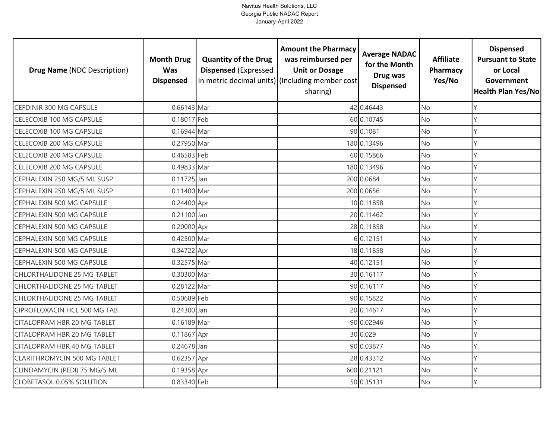| <b>Drug Name (NDC Description)</b>  | <b>Month Drug</b><br><b>Was</b><br><b>Dispensed</b> | <b>Quantity of the Drug</b><br><b>Dispensed (Expressed</b> | <b>Amount the Pharmacy</b><br>was reimbursed per<br><b>Unit or Dosage</b><br>in metric decimal units) (Including member cost<br>sharing) | <b>Average NADAC</b><br>for the Month<br>Drug was<br><b>Dispensed</b> | <b>Affiliate</b><br>Pharmacy<br>Yes/No | <b>Dispensed</b><br><b>Pursuant to State</b><br>or Local<br>Government<br>Health Plan Yes/No |
|-------------------------------------|-----------------------------------------------------|------------------------------------------------------------|------------------------------------------------------------------------------------------------------------------------------------------|-----------------------------------------------------------------------|----------------------------------------|----------------------------------------------------------------------------------------------|
| CEFDINIR 300 MG CAPSULE             | 0.66143 Mar                                         |                                                            |                                                                                                                                          | 42 0.46443                                                            | <b>No</b>                              | Y                                                                                            |
| CELECOXIB 100 MG CAPSULE            | 0.18017 Feb                                         |                                                            |                                                                                                                                          | 60 0.10745                                                            | No                                     | Y                                                                                            |
| CELECOXIB 100 MG CAPSULE            | 0.16944 Mar                                         |                                                            |                                                                                                                                          | 90 0.1081                                                             | <b>No</b>                              | Y                                                                                            |
| CELECOXIB 200 MG CAPSULE            | 0.27950 Mar                                         |                                                            |                                                                                                                                          | 180 0.13496                                                           | <b>No</b>                              | Y                                                                                            |
| CELECOXIB 200 MG CAPSULE            | 0.46583 Feb                                         |                                                            |                                                                                                                                          | 60 0.15866                                                            | <b>No</b>                              | Υ                                                                                            |
| CELECOXIB 200 MG CAPSULE            | 0.49833 Mar                                         |                                                            |                                                                                                                                          | 180 0.13496                                                           | <b>No</b>                              | Y                                                                                            |
| CEPHALEXIN 250 MG/5 ML SUSP         | 0.11725 Jan                                         |                                                            |                                                                                                                                          | 200 0.0684                                                            | No                                     | Y                                                                                            |
| CEPHALEXIN 250 MG/5 ML SUSP         | 0.11400 Mar                                         |                                                            |                                                                                                                                          | 200 0.0656                                                            | No                                     | Υ                                                                                            |
| CEPHALEXIN 500 MG CAPSULE           | 0.24400 Apr                                         |                                                            |                                                                                                                                          | 10 0.11858                                                            | No.                                    | Y                                                                                            |
| CEPHALEXIN 500 MG CAPSULE           | 0.21100 Jan                                         |                                                            |                                                                                                                                          | 20 0.11462                                                            | <b>No</b>                              | Y                                                                                            |
| CEPHALEXIN 500 MG CAPSULE           | 0.20000 Apr                                         |                                                            |                                                                                                                                          | 28 0.11858                                                            | No                                     | $\vee$                                                                                       |
| CEPHALEXIN 500 MG CAPSULE           | 0.42500 Mar                                         |                                                            |                                                                                                                                          | 6 0.12151                                                             | <b>No</b>                              | Y                                                                                            |
| CEPHALEXIN 500 MG CAPSULE           | 0.34722 Apr                                         |                                                            |                                                                                                                                          | 18 0.11858                                                            | No                                     | Y                                                                                            |
| CEPHALEXIN 500 MG CAPSULE           | 0.32575 Mar                                         |                                                            |                                                                                                                                          | 40 0.12151                                                            | No                                     | Y                                                                                            |
| <b>CHLORTHALIDONE 25 MG TABLET</b>  | 0.30300 Mar                                         |                                                            |                                                                                                                                          | 30 0.16117                                                            | No                                     | Y                                                                                            |
| <b>CHLORTHALIDONE 25 MG TABLET</b>  | 0.28122 Mar                                         |                                                            |                                                                                                                                          | 90 0.16117                                                            | No                                     | Y                                                                                            |
| <b>CHLORTHALIDONE 25 MG TABLET</b>  | 0.50689 Feb                                         |                                                            |                                                                                                                                          | 90 0.15822                                                            | No                                     | Y                                                                                            |
| CIPROFLOXACIN HCL 500 MG TAB        | 0.24300 Jan                                         |                                                            |                                                                                                                                          | 20 0.14617                                                            | <b>No</b>                              | Y                                                                                            |
| CITALOPRAM HBR 20 MG TABLET         | 0.16189 Mar                                         |                                                            |                                                                                                                                          | 90 0.02946                                                            | No                                     | Y                                                                                            |
| CITALOPRAM HBR 20 MG TABLET         | 0.11867 Apr                                         |                                                            |                                                                                                                                          | 30 0.029                                                              | <b>No</b>                              | Y                                                                                            |
| CITALOPRAM HBR 40 MG TABLET         | 0.24678 Jan                                         |                                                            |                                                                                                                                          | 90 0.03877                                                            | <b>No</b>                              | Y                                                                                            |
| <b>CLARITHROMYCIN 500 MG TABLET</b> | 0.62357 Apr                                         |                                                            |                                                                                                                                          | 28 0.43312                                                            | No                                     | Y                                                                                            |
| CLINDAMYCIN (PEDI) 75 MG/5 ML       | 0.19358 Apr                                         |                                                            |                                                                                                                                          | 600 0.21121                                                           | No                                     | Υ                                                                                            |
| <b>CLOBETASOL 0.05% SOLUTION</b>    | 0.83340 Feb                                         |                                                            |                                                                                                                                          | 50 0.35131                                                            | No                                     | Y                                                                                            |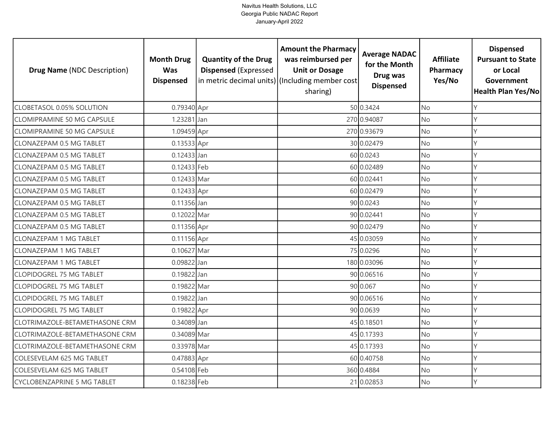| <b>Drug Name (NDC Description)</b> | <b>Month Drug</b><br><b>Was</b><br><b>Dispensed</b> | <b>Quantity of the Drug</b><br><b>Dispensed (Expressed</b> | <b>Amount the Pharmacy</b><br>was reimbursed per<br><b>Unit or Dosage</b><br>in metric decimal units) (Including member cost<br>sharing) | <b>Average NADAC</b><br>for the Month<br>Drug was<br><b>Dispensed</b> | <b>Affiliate</b><br>Pharmacy<br>Yes/No | <b>Dispensed</b><br><b>Pursuant to State</b><br>or Local<br>Government<br>Health Plan Yes/No |
|------------------------------------|-----------------------------------------------------|------------------------------------------------------------|------------------------------------------------------------------------------------------------------------------------------------------|-----------------------------------------------------------------------|----------------------------------------|----------------------------------------------------------------------------------------------|
| <b>CLOBETASOL 0.05% SOLUTION</b>   | 0.79340 Apr                                         |                                                            |                                                                                                                                          | 50 0.3424                                                             | <b>No</b>                              | Y                                                                                            |
| <b>CLOMIPRAMINE 50 MG CAPSULE</b>  | 1.23281 Jan                                         |                                                            |                                                                                                                                          | 270 0.94087                                                           | No                                     | Y                                                                                            |
| <b>CLOMIPRAMINE 50 MG CAPSULE</b>  | 1.09459 Apr                                         |                                                            |                                                                                                                                          | 270 0.93679                                                           | <b>No</b>                              | Y                                                                                            |
| <b>CLONAZEPAM 0.5 MG TABLET</b>    | 0.13533 Apr                                         |                                                            |                                                                                                                                          | 30 0.02479                                                            | No                                     | Y                                                                                            |
| CLONAZEPAM 0.5 MG TABLET           | 0.12433 Jan                                         |                                                            |                                                                                                                                          | 60 0.0243                                                             | <b>No</b>                              | Y                                                                                            |
| <b>CLONAZEPAM 0.5 MG TABLET</b>    | 0.12433 Feb                                         |                                                            |                                                                                                                                          | 60 0.02489                                                            | No                                     | Y                                                                                            |
| CLONAZEPAM 0.5 MG TABLET           | 0.12433 Mar                                         |                                                            |                                                                                                                                          | 60 0.02441                                                            | No                                     | Y                                                                                            |
| <b>CLONAZEPAM 0.5 MG TABLET</b>    | 0.12433 Apr                                         |                                                            |                                                                                                                                          | 60 0.02479                                                            | No                                     | Υ                                                                                            |
| <b>CLONAZEPAM 0.5 MG TABLET</b>    | 0.11356 Jan                                         |                                                            |                                                                                                                                          | 90 0.0243                                                             | No                                     | Y                                                                                            |
| <b>CLONAZEPAM 0.5 MG TABLET</b>    | 0.12022 Mar                                         |                                                            |                                                                                                                                          | 90 0.02441                                                            | No                                     | Y                                                                                            |
| <b>CLONAZEPAM 0.5 MG TABLET</b>    | 0.11356 Apr                                         |                                                            |                                                                                                                                          | 90 0.02479                                                            | No                                     | $\vee$                                                                                       |
| <b>CLONAZEPAM 1 MG TABLET</b>      | 0.11156 Apr                                         |                                                            |                                                                                                                                          | 45 0.03059                                                            | <b>No</b>                              | Y                                                                                            |
| <b>CLONAZEPAM 1 MG TABLET</b>      | 0.10627 Mar                                         |                                                            |                                                                                                                                          | 75 0.0296                                                             | No                                     | Y                                                                                            |
| <b>CLONAZEPAM 1 MG TABLET</b>      | 0.09822 Jan                                         |                                                            |                                                                                                                                          | 180 0.03096                                                           | <b>No</b>                              | Y                                                                                            |
| <b>CLOPIDOGREL 75 MG TABLET</b>    | 0.19822 Jan                                         |                                                            |                                                                                                                                          | 90 0.06516                                                            | No                                     | Y                                                                                            |
| <b>CLOPIDOGREL 75 MG TABLET</b>    | 0.19822 Mar                                         |                                                            |                                                                                                                                          | 90 0.067                                                              | <b>No</b>                              | Y                                                                                            |
| <b>CLOPIDOGREL 75 MG TABLET</b>    | 0.19822 Jan                                         |                                                            |                                                                                                                                          | 90 0.06516                                                            | No                                     | Y                                                                                            |
| <b>CLOPIDOGREL 75 MG TABLET</b>    | 0.19822 Apr                                         |                                                            |                                                                                                                                          | 90 0.0639                                                             | <b>No</b>                              | Y                                                                                            |
| CLOTRIMAZOLE-BETAMETHASONE CRM     | 0.34089 Jan                                         |                                                            |                                                                                                                                          | 45 0.18501                                                            | No                                     | Υ                                                                                            |
| CLOTRIMAZOLE-BETAMETHASONE CRM     | 0.34089 Mar                                         |                                                            |                                                                                                                                          | 45 0.17393                                                            | No                                     | Y                                                                                            |
| CLOTRIMAZOLE-BETAMETHASONE CRM     | 0.33978 Mar                                         |                                                            |                                                                                                                                          | 45 0.17393                                                            | No                                     | Υ                                                                                            |
| COLESEVELAM 625 MG TABLET          | 0.47883 Apr                                         |                                                            |                                                                                                                                          | 60 0.40758                                                            | No                                     | Y                                                                                            |
| COLESEVELAM 625 MG TABLET          | 0.54108 Feb                                         |                                                            |                                                                                                                                          | 360 0.4884                                                            | No                                     | Y                                                                                            |
| <b>CYCLOBENZAPRINE 5 MG TABLET</b> | 0.18238 Feb                                         |                                                            |                                                                                                                                          | 21 0.02853                                                            | No                                     | $\vee$                                                                                       |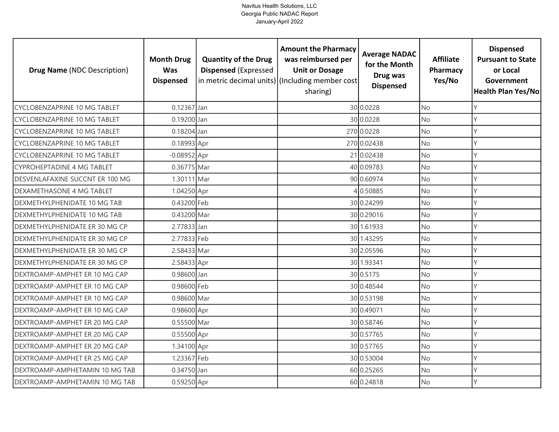| <b>Drug Name (NDC Description)</b>  | <b>Month Drug</b><br><b>Was</b><br><b>Dispensed</b> | <b>Quantity of the Drug</b><br><b>Dispensed (Expressed</b> | <b>Amount the Pharmacy</b><br>was reimbursed per<br><b>Unit or Dosage</b><br>in metric decimal units) (Including member cost<br>sharing) | <b>Average NADAC</b><br>for the Month<br>Drug was<br><b>Dispensed</b> | <b>Affiliate</b><br>Pharmacy<br>Yes/No | <b>Dispensed</b><br><b>Pursuant to State</b><br>or Local<br>Government<br><b>Health Plan Yes/No</b> |
|-------------------------------------|-----------------------------------------------------|------------------------------------------------------------|------------------------------------------------------------------------------------------------------------------------------------------|-----------------------------------------------------------------------|----------------------------------------|-----------------------------------------------------------------------------------------------------|
| <b>CYCLOBENZAPRINE 10 MG TABLET</b> | $0.12367$ Jan                                       |                                                            |                                                                                                                                          | 30 0.0228                                                             | <b>No</b>                              | Y                                                                                                   |
| <b>CYCLOBENZAPRINE 10 MG TABLET</b> | 0.19200 Jan                                         |                                                            |                                                                                                                                          | 30 0.0228                                                             | No                                     | Υ                                                                                                   |
| <b>CYCLOBENZAPRINE 10 MG TABLET</b> | 0.18204 Jan                                         |                                                            |                                                                                                                                          | 270 0.0228                                                            | <b>No</b>                              | Υ                                                                                                   |
| <b>CYCLOBENZAPRINE 10 MG TABLET</b> | 0.18993 Apr                                         |                                                            |                                                                                                                                          | 270 0.02438                                                           | <b>No</b>                              | Υ                                                                                                   |
| CYCLOBENZAPRINE 10 MG TABLET        | $-0.08952$ Apr                                      |                                                            |                                                                                                                                          | 21 0.02438                                                            | <b>No</b>                              | γ                                                                                                   |
| <b>CYPROHEPTADINE 4 MG TABLET</b>   | 0.36775 Mar                                         |                                                            |                                                                                                                                          | 40 0.09783                                                            | <b>No</b>                              |                                                                                                     |
| DESVENLAFAXINE SUCCNT ER 100 MG     | 1.30111 Mar                                         |                                                            |                                                                                                                                          | 90 0.60974                                                            | No                                     | V                                                                                                   |
| DEXAMETHASONE 4 MG TABLET           | 1.04250 Apr                                         |                                                            |                                                                                                                                          | 0.50885                                                               | No                                     |                                                                                                     |
| DEXMETHYLPHENIDATE 10 MG TAB        | 0.43200 Feb                                         |                                                            |                                                                                                                                          | 30 0.24299                                                            | No                                     |                                                                                                     |
| DEXMETHYLPHENIDATE 10 MG TAB        | 0.43200 Mar                                         |                                                            |                                                                                                                                          | 30 0.29016                                                            | No                                     |                                                                                                     |
| DEXMETHYLPHENIDATE ER 30 MG CP      | 2.77833 Jan                                         |                                                            |                                                                                                                                          | 30 1.61933                                                            | No                                     |                                                                                                     |
| DEXMETHYLPHENIDATE ER 30 MG CP      | 2.77833 Feb                                         |                                                            |                                                                                                                                          | 30 1.43295                                                            | <b>No</b>                              |                                                                                                     |
| DEXMETHYLPHENIDATE ER 30 MG CP      | 2.58433 Mar                                         |                                                            |                                                                                                                                          | 30 2.05596                                                            | No                                     |                                                                                                     |
| DEXMETHYLPHENIDATE ER 30 MG CP      | 2.58433 Apr                                         |                                                            |                                                                                                                                          | 30 1.93341                                                            | <b>No</b>                              | Υ                                                                                                   |
| DEXTROAMP-AMPHET ER 10 MG CAP       | 0.98600 Jan                                         |                                                            |                                                                                                                                          | 30 0.5175                                                             | No                                     | Y                                                                                                   |
| DEXTROAMP-AMPHET ER 10 MG CAP       | 0.98600 Feb                                         |                                                            |                                                                                                                                          | 30 0.48544                                                            | <b>No</b>                              | Υ                                                                                                   |
| DEXTROAMP-AMPHET ER 10 MG CAP       | 0.98600 Mar                                         |                                                            |                                                                                                                                          | 30 0.53198                                                            | No                                     | Υ                                                                                                   |
| DEXTROAMP-AMPHET ER 10 MG CAP       | 0.98600 Apr                                         |                                                            |                                                                                                                                          | 30 0.49071                                                            | <b>No</b>                              | Y                                                                                                   |
| DEXTROAMP-AMPHET ER 20 MG CAP       | 0.55500 Mar                                         |                                                            |                                                                                                                                          | 30 0.58746                                                            | No                                     |                                                                                                     |
| DEXTROAMP-AMPHET ER 20 MG CAP       | 0.55500 Apr                                         |                                                            |                                                                                                                                          | 30 0.57765                                                            | No                                     |                                                                                                     |
| DEXTROAMP-AMPHET ER 20 MG CAP       | 1.34100 Apr                                         |                                                            |                                                                                                                                          | 30 0.57765                                                            | No                                     |                                                                                                     |
| DEXTROAMP-AMPHET ER 25 MG CAP       | 1.23367 Feb                                         |                                                            |                                                                                                                                          | 30 0.53004                                                            | No                                     |                                                                                                     |
| DEXTROAMP-AMPHETAMIN 10 MG TAB      | 0.34750 Jan                                         |                                                            |                                                                                                                                          | 60 0.25265                                                            | No                                     |                                                                                                     |
| DEXTROAMP-AMPHETAMIN 10 MG TAB      | 0.59250 Apr                                         |                                                            |                                                                                                                                          | 60 0.24818                                                            | No                                     |                                                                                                     |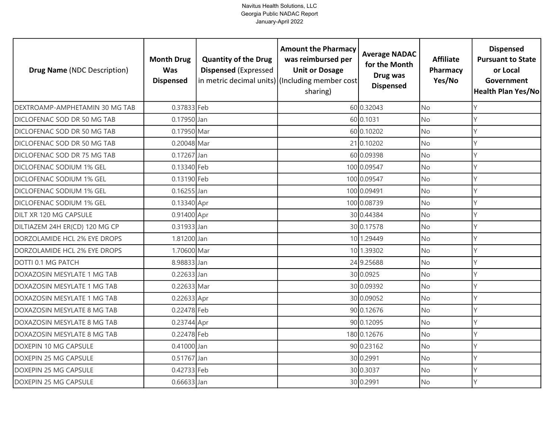| <b>Drug Name (NDC Description)</b> | <b>Month Drug</b><br><b>Was</b><br><b>Dispensed</b> | <b>Quantity of the Drug</b><br><b>Dispensed (Expressed</b> | <b>Amount the Pharmacy</b><br>was reimbursed per<br><b>Unit or Dosage</b><br>in metric decimal units) (Including member cost<br>sharing) | <b>Average NADAC</b><br>for the Month<br>Drug was<br><b>Dispensed</b> | <b>Affiliate</b><br>Pharmacy<br>Yes/No | <b>Dispensed</b><br><b>Pursuant to State</b><br>or Local<br>Government<br><b>Health Plan Yes/No</b> |
|------------------------------------|-----------------------------------------------------|------------------------------------------------------------|------------------------------------------------------------------------------------------------------------------------------------------|-----------------------------------------------------------------------|----------------------------------------|-----------------------------------------------------------------------------------------------------|
| DEXTROAMP-AMPHETAMIN 30 MG TAB     | 0.37833 Feb                                         |                                                            |                                                                                                                                          | 60 0.32043                                                            | <b>No</b>                              | Υ                                                                                                   |
| DICLOFENAC SOD DR 50 MG TAB        | 0.17950 Jan                                         |                                                            |                                                                                                                                          | 60 0.1031                                                             | <b>No</b>                              | Υ                                                                                                   |
| DICLOFENAC SOD DR 50 MG TAB        | 0.17950 Mar                                         |                                                            |                                                                                                                                          | 60 0.10202                                                            | <b>No</b>                              | Υ                                                                                                   |
| DICLOFENAC SOD DR 50 MG TAB        | 0.20048 Mar                                         |                                                            |                                                                                                                                          | 21 0.10202                                                            | No                                     | Υ                                                                                                   |
| DICLOFENAC SOD DR 75 MG TAB        | 0.17267 Jan                                         |                                                            |                                                                                                                                          | 60 0.09398                                                            | <b>No</b>                              |                                                                                                     |
| DICLOFENAC SODIUM 1% GEL           | 0.13340 Feb                                         |                                                            |                                                                                                                                          | 100 0.09547                                                           | No                                     | Υ                                                                                                   |
| DICLOFENAC SODIUM 1% GEL           | 0.13190 Feb                                         |                                                            |                                                                                                                                          | 100 0.09547                                                           | No                                     | Y                                                                                                   |
| DICLOFENAC SODIUM 1% GEL           | $0.16255$ Jan                                       |                                                            |                                                                                                                                          | 100 0.09491                                                           | No                                     |                                                                                                     |
| DICLOFENAC SODIUM 1% GEL           | 0.13340 Apr                                         |                                                            |                                                                                                                                          | 100 0.08739                                                           | No                                     |                                                                                                     |
| DILT XR 120 MG CAPSULE             | 0.91400 Apr                                         |                                                            |                                                                                                                                          | 30 0.44384                                                            | <b>No</b>                              |                                                                                                     |
| DILTIAZEM 24H ER(CD) 120 MG CP     | 0.31933 Jan                                         |                                                            |                                                                                                                                          | 30 0.17578                                                            | No                                     |                                                                                                     |
| DORZOLAMIDE HCL 2% EYE DROPS       | 1.81200 Jan                                         |                                                            |                                                                                                                                          | 10 1.29449                                                            | <b>No</b>                              |                                                                                                     |
| DORZOLAMIDE HCL 2% EYE DROPS       | 1.70600 Mar                                         |                                                            |                                                                                                                                          | 10 1.39302                                                            | No                                     | V                                                                                                   |
| DOTTI 0.1 MG PATCH                 | 8.98833 Jan                                         |                                                            |                                                                                                                                          | 24 9.25688                                                            | <b>No</b>                              | Y                                                                                                   |
| DOXAZOSIN MESYLATE 1 MG TAB        | $0.22633$ Jan                                       |                                                            |                                                                                                                                          | 30 0.0925                                                             | No                                     | Υ                                                                                                   |
| DOXAZOSIN MESYLATE 1 MG TAB        | 0.22633 Mar                                         |                                                            |                                                                                                                                          | 30 0.09392                                                            | No                                     | Υ                                                                                                   |
| DOXAZOSIN MESYLATE 1 MG TAB        | 0.22633 Apr                                         |                                                            |                                                                                                                                          | 30 0.09052                                                            | <b>No</b>                              | Y                                                                                                   |
| DOXAZOSIN MESYLATE 8 MG TAB        | 0.22478 Feb                                         |                                                            |                                                                                                                                          | 90 0.12676                                                            | <b>No</b>                              | Υ                                                                                                   |
| DOXAZOSIN MESYLATE 8 MG TAB        | 0.23744 Apr                                         |                                                            |                                                                                                                                          | 90 0.12095                                                            | <b>No</b>                              | γ                                                                                                   |
| DOXAZOSIN MESYLATE 8 MG TAB        | 0.22478 Feb                                         |                                                            |                                                                                                                                          | 180 0.12676                                                           | <b>No</b>                              |                                                                                                     |
| DOXEPIN 10 MG CAPSULE              | 0.41000 Jan                                         |                                                            |                                                                                                                                          | 90 0.23162                                                            | <b>No</b>                              | Υ                                                                                                   |
| DOXEPIN 25 MG CAPSULE              | $0.51767$ Jan                                       |                                                            |                                                                                                                                          | 30 0.2991                                                             | No                                     | Y                                                                                                   |
| DOXEPIN 25 MG CAPSULE              | 0.42733 Feb                                         |                                                            |                                                                                                                                          | 30 0.3037                                                             | No                                     |                                                                                                     |
| DOXEPIN 25 MG CAPSULE              | 0.66633 Jan                                         |                                                            |                                                                                                                                          | 30 0.2991                                                             | <b>No</b>                              | γ                                                                                                   |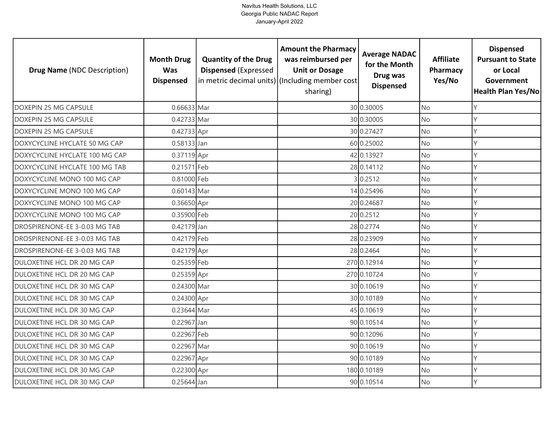| <b>Drug Name (NDC Description)</b> | <b>Month Drug</b><br><b>Was</b><br><b>Dispensed</b> | <b>Quantity of the Drug</b><br><b>Dispensed (Expressed</b> | <b>Amount the Pharmacy</b><br>was reimbursed per<br><b>Unit or Dosage</b><br>in metric decimal units) (Including member cost<br>sharing) | <b>Average NADAC</b><br>for the Month<br>Drug was<br><b>Dispensed</b> | <b>Affiliate</b><br>Pharmacy<br>Yes/No | <b>Dispensed</b><br><b>Pursuant to State</b><br>or Local<br>Government<br>Health Plan Yes/No |
|------------------------------------|-----------------------------------------------------|------------------------------------------------------------|------------------------------------------------------------------------------------------------------------------------------------------|-----------------------------------------------------------------------|----------------------------------------|----------------------------------------------------------------------------------------------|
| DOXEPIN 25 MG CAPSULE              | 0.66633 Mar                                         |                                                            |                                                                                                                                          | 30 0.30005                                                            | <b>No</b>                              | Y                                                                                            |
| <b>DOXEPIN 25 MG CAPSULE</b>       | 0.42733 Mar                                         |                                                            |                                                                                                                                          | 30 0.30005                                                            | No                                     | Y                                                                                            |
| DOXEPIN 25 MG CAPSULE              | 0.42733 Apr                                         |                                                            |                                                                                                                                          | 30 0.27427                                                            | <b>No</b>                              | Y                                                                                            |
| DOXYCYCLINE HYCLATE 50 MG CAP      | 0.58133 Jan                                         |                                                            |                                                                                                                                          | 60 0.25002                                                            | No                                     | Y                                                                                            |
| DOXYCYCLINE HYCLATE 100 MG CAP     | 0.37119 Apr                                         |                                                            |                                                                                                                                          | 42 0.13927                                                            | <b>No</b>                              | Υ                                                                                            |
| DOXYCYCLINE HYCLATE 100 MG TAB     | 0.21571 Feb                                         |                                                            |                                                                                                                                          | 28 0.14112                                                            | No                                     | Y                                                                                            |
| DOXYCYCLINE MONO 100 MG CAP        | 0.81000 Feb                                         |                                                            |                                                                                                                                          | 30.2512                                                               | No                                     | Y                                                                                            |
| DOXYCYCLINE MONO 100 MG CAP        | 0.60143 Mar                                         |                                                            |                                                                                                                                          | 14 0.25496                                                            | No                                     | Υ                                                                                            |
| DOXYCYCLINE MONO 100 MG CAP        | 0.36650 Apr                                         |                                                            |                                                                                                                                          | 20 0.24687                                                            | <b>No</b>                              | Y                                                                                            |
| DOXYCYCLINE MONO 100 MG CAP        | 0.35900 Feb                                         |                                                            |                                                                                                                                          | 20 0.2512                                                             | <b>No</b>                              | Y                                                                                            |
| DROSPIRENONE-EE 3-0.03 MG TAB      | 0.42179 Jan                                         |                                                            |                                                                                                                                          | 28 0.2774                                                             | No                                     | $\vee$                                                                                       |
| DROSPIRENONE-EE 3-0.03 MG TAB      | 0.42179 Feb                                         |                                                            |                                                                                                                                          | 28 0.23909                                                            | <b>No</b>                              | Υ                                                                                            |
| DROSPIRENONE-EE 3-0.03 MG TAB      | 0.42179 Apr                                         |                                                            |                                                                                                                                          | 28 0.2464                                                             | No                                     | Y                                                                                            |
| DULOXETINE HCL DR 20 MG CAP        | 0.25359 Feb                                         |                                                            |                                                                                                                                          | 270 0.12914                                                           | No                                     | Y                                                                                            |
| DULOXETINE HCL DR 20 MG CAP        | 0.25359 Apr                                         |                                                            |                                                                                                                                          | 270 0.10724                                                           | No                                     | Y                                                                                            |
| DULOXETINE HCL DR 30 MG CAP        | 0.24300 Mar                                         |                                                            |                                                                                                                                          | 30 0.10619                                                            | No                                     | Y                                                                                            |
| DULOXETINE HCL DR 30 MG CAP        | 0.24300 Apr                                         |                                                            |                                                                                                                                          | 30 0.10189                                                            | No                                     | Y                                                                                            |
| DULOXETINE HCL DR 30 MG CAP        | 0.23644 Mar                                         |                                                            |                                                                                                                                          | 45 0.10619                                                            | <b>No</b>                              | Y                                                                                            |
| DULOXETINE HCL DR 30 MG CAP        | 0.22967 Jan                                         |                                                            |                                                                                                                                          | 90 0.10514                                                            | No                                     | Y                                                                                            |
| DULOXETINE HCL DR 30 MG CAP        | 0.22967 Feb                                         |                                                            |                                                                                                                                          | 90 0.12096                                                            | <b>No</b>                              | Y                                                                                            |
| DULOXETINE HCL DR 30 MG CAP        | 0.22967 Mar                                         |                                                            |                                                                                                                                          | 90 0.10619                                                            | No                                     | Υ                                                                                            |
| DULOXETINE HCL DR 30 MG CAP        | 0.22967 Apr                                         |                                                            |                                                                                                                                          | 90 0.10189                                                            | No                                     | Y                                                                                            |
| DULOXETINE HCL DR 30 MG CAP        | 0.22300 Apr                                         |                                                            |                                                                                                                                          | 180 0.10189                                                           | No                                     | Υ                                                                                            |
| DULOXETINE HCL DR 30 MG CAP        | 0.25644 Jan                                         |                                                            |                                                                                                                                          | 90 0.10514                                                            | No                                     | Y                                                                                            |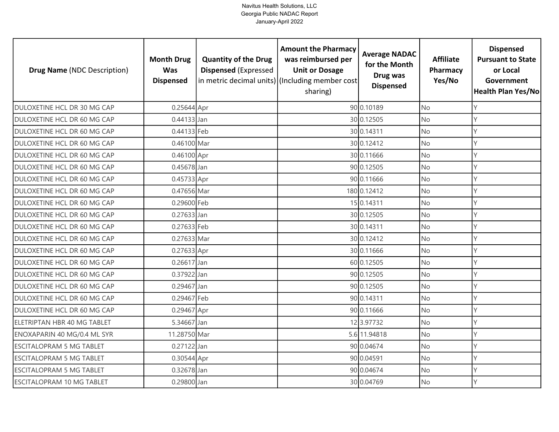| <b>Drug Name (NDC Description)</b> | <b>Month Drug</b><br><b>Was</b><br><b>Dispensed</b> | <b>Quantity of the Drug</b><br><b>Dispensed (Expressed</b> | <b>Amount the Pharmacy</b><br>was reimbursed per<br><b>Unit or Dosage</b><br>in metric decimal units) (Including member cost<br>sharing) | <b>Average NADAC</b><br>for the Month<br>Drug was<br><b>Dispensed</b> | <b>Affiliate</b><br>Pharmacy<br>Yes/No | <b>Dispensed</b><br><b>Pursuant to State</b><br>or Local<br>Government<br>Health Plan Yes/No |
|------------------------------------|-----------------------------------------------------|------------------------------------------------------------|------------------------------------------------------------------------------------------------------------------------------------------|-----------------------------------------------------------------------|----------------------------------------|----------------------------------------------------------------------------------------------|
| DULOXETINE HCL DR 30 MG CAP        | 0.25644 Apr                                         |                                                            |                                                                                                                                          | 90 0.10189                                                            | <b>No</b>                              | Y                                                                                            |
| DULOXETINE HCL DR 60 MG CAP        | $0.44133$ Jan                                       |                                                            |                                                                                                                                          | 30 0.12505                                                            | <b>No</b>                              | Y                                                                                            |
| DULOXETINE HCL DR 60 MG CAP        | 0.44133 Feb                                         |                                                            |                                                                                                                                          | 30 0.14311                                                            | <b>No</b>                              | Y                                                                                            |
| DULOXETINE HCL DR 60 MG CAP        | 0.46100 Mar                                         |                                                            |                                                                                                                                          | 30 0.12412                                                            | <b>No</b>                              | Y                                                                                            |
| DULOXETINE HCL DR 60 MG CAP        | 0.46100 Apr                                         |                                                            |                                                                                                                                          | 30 0.11666                                                            | <b>No</b>                              | Υ                                                                                            |
| DULOXETINE HCL DR 60 MG CAP        | 0.45678 Jan                                         |                                                            |                                                                                                                                          | 90 0.12505                                                            | No                                     | Υ                                                                                            |
| DULOXETINE HCL DR 60 MG CAP        | 0.45733 Apr                                         |                                                            |                                                                                                                                          | 90 0.11666                                                            | No                                     | Υ                                                                                            |
| DULOXETINE HCL DR 60 MG CAP        | 0.47656 Mar                                         |                                                            |                                                                                                                                          | 180 0.12412                                                           | No                                     | Υ                                                                                            |
| DULOXETINE HCL DR 60 MG CAP        | 0.29600 Feb                                         |                                                            |                                                                                                                                          | 15 0.14311                                                            | No                                     | Y                                                                                            |
| DULOXETINE HCL DR 60 MG CAP        | $0.27633$ Jan                                       |                                                            |                                                                                                                                          | 30 0.12505                                                            | <b>No</b>                              | Y                                                                                            |
| DULOXETINE HCL DR 60 MG CAP        | 0.27633 Feb                                         |                                                            |                                                                                                                                          | 30 0.14311                                                            | No                                     | $\vee$                                                                                       |
| DULOXETINE HCL DR 60 MG CAP        | 0.27633 Mar                                         |                                                            |                                                                                                                                          | 30 0.12412                                                            | <b>No</b>                              | Υ                                                                                            |
| DULOXETINE HCL DR 60 MG CAP        | 0.27633 Apr                                         |                                                            |                                                                                                                                          | 30 0.11666                                                            | No                                     | Y                                                                                            |
| DULOXETINE HCL DR 60 MG CAP        | 0.26617 Jan                                         |                                                            |                                                                                                                                          | 60 0.12505                                                            | <b>No</b>                              | Y                                                                                            |
| DULOXETINE HCL DR 60 MG CAP        | 0.37922 Jan                                         |                                                            |                                                                                                                                          | 90 0.12505                                                            | No                                     | Y                                                                                            |
| DULOXETINE HCL DR 60 MG CAP        | 0.29467 Jan                                         |                                                            |                                                                                                                                          | 90 0.12505                                                            | No                                     | Y                                                                                            |
| DULOXETINE HCL DR 60 MG CAP        | 0.29467 Feb                                         |                                                            |                                                                                                                                          | 90 0.14311                                                            | No                                     | Y                                                                                            |
| DULOXETINE HCL DR 60 MG CAP        | 0.29467 Apr                                         |                                                            |                                                                                                                                          | 90 0.11666                                                            | <b>No</b>                              | Y                                                                                            |
| ELETRIPTAN HBR 40 MG TABLET        | 5.34667 Jan                                         |                                                            |                                                                                                                                          | 12 3.97732                                                            | No                                     | Y                                                                                            |
| ENOXAPARIN 40 MG/0.4 ML SYR        | 11.28750 Mar                                        |                                                            |                                                                                                                                          | 5.6 11.94818                                                          | <b>No</b>                              | Y                                                                                            |
| <b>ESCITALOPRAM 5 MG TABLET</b>    | 0.27122 Jan                                         |                                                            |                                                                                                                                          | 90 0.04674                                                            | No                                     | Y                                                                                            |
| <b>ESCITALOPRAM 5 MG TABLET</b>    | 0.30544 Apr                                         |                                                            |                                                                                                                                          | 90 0.04591                                                            | No                                     | Y                                                                                            |
| <b>ESCITALOPRAM 5 MG TABLET</b>    | 0.32678 Jan                                         |                                                            |                                                                                                                                          | 90 0.04674                                                            | No                                     | Υ                                                                                            |
| <b>ESCITALOPRAM 10 MG TABLET</b>   | 0.29800 Jan                                         |                                                            |                                                                                                                                          | 30 0.04769                                                            | No                                     | Y                                                                                            |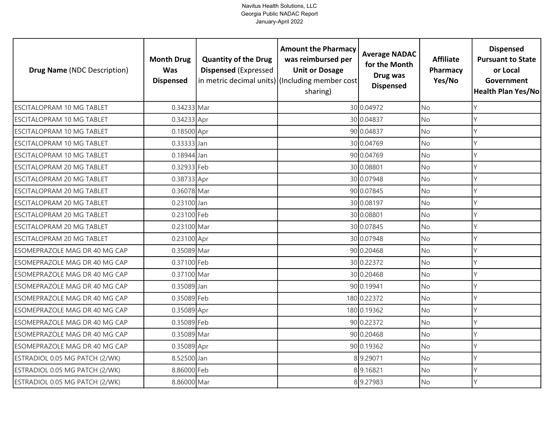| <b>Drug Name (NDC Description)</b> | <b>Month Drug</b><br><b>Was</b><br><b>Dispensed</b> | <b>Quantity of the Drug</b><br><b>Dispensed (Expressed</b> | <b>Amount the Pharmacy</b><br>was reimbursed per<br><b>Unit or Dosage</b><br>in metric decimal units) (Including member cost<br>sharing) | <b>Average NADAC</b><br>for the Month<br>Drug was<br><b>Dispensed</b> | <b>Affiliate</b><br>Pharmacy<br>Yes/No | <b>Dispensed</b><br><b>Pursuant to State</b><br>or Local<br>Government<br>Health Plan Yes/No |
|------------------------------------|-----------------------------------------------------|------------------------------------------------------------|------------------------------------------------------------------------------------------------------------------------------------------|-----------------------------------------------------------------------|----------------------------------------|----------------------------------------------------------------------------------------------|
| ESCITALOPRAM 10 MG TABLET          | 0.34233 Mar                                         |                                                            |                                                                                                                                          | 30 0.04972                                                            | <b>No</b>                              | Y                                                                                            |
| <b>ESCITALOPRAM 10 MG TABLET</b>   | 0.34233 Apr                                         |                                                            |                                                                                                                                          | 30 0.04837                                                            | No                                     | Y                                                                                            |
| <b>ESCITALOPRAM 10 MG TABLET</b>   | 0.18500 Apr                                         |                                                            |                                                                                                                                          | 90 0.04837                                                            | <b>No</b>                              | Y                                                                                            |
| <b>ESCITALOPRAM 10 MG TABLET</b>   | 0.33333 Jan                                         |                                                            |                                                                                                                                          | 30 0.04769                                                            | No                                     | Y                                                                                            |
| <b>ESCITALOPRAM 10 MG TABLET</b>   | 0.18944 Jan                                         |                                                            |                                                                                                                                          | 90 0.04769                                                            | <b>No</b>                              | Y                                                                                            |
| <b>ESCITALOPRAM 20 MG TABLET</b>   | 0.32933 Feb                                         |                                                            |                                                                                                                                          | 30 0.08801                                                            | No                                     | Y                                                                                            |
| ESCITALOPRAM 20 MG TABLET          | 0.38733 Apr                                         |                                                            |                                                                                                                                          | 30 0.07948                                                            | No                                     | Y                                                                                            |
| <b>ESCITALOPRAM 20 MG TABLET</b>   | 0.36078 Mar                                         |                                                            |                                                                                                                                          | 90 0.07845                                                            | No                                     | Υ                                                                                            |
| ESCITALOPRAM 20 MG TABLET          | 0.23100 Jan                                         |                                                            |                                                                                                                                          | 30 0.08197                                                            | No                                     | Y                                                                                            |
| <b>ESCITALOPRAM 20 MG TABLET</b>   | 0.23100 Feb                                         |                                                            |                                                                                                                                          | 30 0.08801                                                            | No                                     | Y                                                                                            |
| ESCITALOPRAM 20 MG TABLET          | 0.23100 Mar                                         |                                                            |                                                                                                                                          | 30 0.07845                                                            | No                                     | Y                                                                                            |
| <b>ESCITALOPRAM 20 MG TABLET</b>   | 0.23100 Apr                                         |                                                            |                                                                                                                                          | 30 0.07948                                                            | <b>No</b>                              | $\mathsf{Y}$                                                                                 |
| ESOMEPRAZOLE MAG DR 40 MG CAP      | 0.35089 Mar                                         |                                                            |                                                                                                                                          | 90 0.20468                                                            | No                                     | $\vee$                                                                                       |
| ESOMEPRAZOLE MAG DR 40 MG CAP      | 0.37100 Feb                                         |                                                            |                                                                                                                                          | 30 0.22372                                                            | <b>No</b>                              | Y                                                                                            |
| ESOMEPRAZOLE MAG DR 40 MG CAP      | 0.37100 Mar                                         |                                                            |                                                                                                                                          | 30 0.20468                                                            | No                                     | Y                                                                                            |
| ESOMEPRAZOLE MAG DR 40 MG CAP      | 0.35089 Jan                                         |                                                            |                                                                                                                                          | 90 0.19941                                                            | <b>No</b>                              | Y                                                                                            |
| ESOMEPRAZOLE MAG DR 40 MG CAP      | 0.35089 Feb                                         |                                                            |                                                                                                                                          | 180 0.22372                                                           | No                                     | Y                                                                                            |
| ESOMEPRAZOLE MAG DR 40 MG CAP      | 0.35089 Apr                                         |                                                            |                                                                                                                                          | 180 0.19362                                                           | <b>No</b>                              | Y                                                                                            |
| ESOMEPRAZOLE MAG DR 40 MG CAP      | 0.35089 Feb                                         |                                                            |                                                                                                                                          | 90 0.22372                                                            | No                                     | Υ                                                                                            |
| ESOMEPRAZOLE MAG DR 40 MG CAP      | 0.35089 Mar                                         |                                                            |                                                                                                                                          | 90 0.20468                                                            | No                                     | Y                                                                                            |
| ESOMEPRAZOLE MAG DR 40 MG CAP      | 0.35089 Apr                                         |                                                            |                                                                                                                                          | 90 0.19362                                                            | No                                     | Υ                                                                                            |
| ESTRADIOL 0.05 MG PATCH (2/WK)     | 8.52500 Jan                                         |                                                            |                                                                                                                                          | 89.29071                                                              | No                                     | Y                                                                                            |
| ESTRADIOL 0.05 MG PATCH (2/WK)     | 8.86000 Feb                                         |                                                            |                                                                                                                                          | 89.16821                                                              | No                                     | Υ                                                                                            |
| ESTRADIOL 0.05 MG PATCH (2/WK)     | 8.86000 Mar                                         |                                                            |                                                                                                                                          | 89.27983                                                              | No                                     | $\mathsf{Y}$                                                                                 |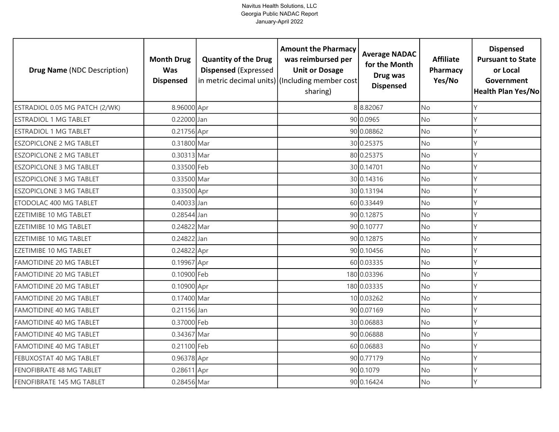| <b>Drug Name (NDC Description)</b> | <b>Month Drug</b><br><b>Was</b><br><b>Dispensed</b> | <b>Quantity of the Drug</b><br><b>Dispensed (Expressed</b><br>in metric decimal units) (Including member cost | <b>Amount the Pharmacy</b><br>was reimbursed per<br><b>Unit or Dosage</b><br>sharing) | <b>Average NADAC</b><br>for the Month<br>Drug was<br><b>Dispensed</b> | <b>Affiliate</b><br>Pharmacy<br>Yes/No | <b>Dispensed</b><br><b>Pursuant to State</b><br>or Local<br>Government<br>Health Plan Yes/No |
|------------------------------------|-----------------------------------------------------|---------------------------------------------------------------------------------------------------------------|---------------------------------------------------------------------------------------|-----------------------------------------------------------------------|----------------------------------------|----------------------------------------------------------------------------------------------|
| ESTRADIOL 0.05 MG PATCH (2/WK)     | 8.96000 Apr                                         |                                                                                                               |                                                                                       | 88.82067                                                              | <b>No</b>                              | Y                                                                                            |
| <b>ESTRADIOL 1 MG TABLET</b>       | 0.22000 Jan                                         |                                                                                                               |                                                                                       | 90 0.0965                                                             | No                                     | Y                                                                                            |
| <b>ESTRADIOL 1 MG TABLET</b>       | 0.21756 Apr                                         |                                                                                                               |                                                                                       | 90 0.08862                                                            | <b>No</b>                              | Y                                                                                            |
| <b>ESZOPICLONE 2 MG TABLET</b>     | 0.31800 Mar                                         |                                                                                                               |                                                                                       | 30 0.25375                                                            | No                                     | Y                                                                                            |
| <b>ESZOPICLONE 2 MG TABLET</b>     | 0.30313 Mar                                         |                                                                                                               |                                                                                       | 80 0.25375                                                            | <b>No</b>                              | Υ                                                                                            |
| <b>ESZOPICLONE 3 MG TABLET</b>     | 0.33500 Feb                                         |                                                                                                               |                                                                                       | 30 0.14701                                                            | No                                     | Υ                                                                                            |
| <b>ESZOPICLONE 3 MG TABLET</b>     | 0.33500 Mar                                         |                                                                                                               |                                                                                       | 30 0.14316                                                            | No                                     | Y                                                                                            |
| <b>ESZOPICLONE 3 MG TABLET</b>     | 0.33500 Apr                                         |                                                                                                               |                                                                                       | 30 0.13194                                                            | No                                     | Y                                                                                            |
| ETODOLAC 400 MG TABLET             | 0.40033 Jan                                         |                                                                                                               |                                                                                       | 60 0.33449                                                            | No                                     | V                                                                                            |
| <b>EZETIMIBE 10 MG TABLET</b>      | 0.28544 Jan                                         |                                                                                                               |                                                                                       | 90 0.12875                                                            | <b>No</b>                              | Υ                                                                                            |
| EZETIMIBE 10 MG TABLET             | 0.24822 Mar                                         |                                                                                                               |                                                                                       | 90 0.10777                                                            | No                                     | Y                                                                                            |
| <b>EZETIMIBE 10 MG TABLET</b>      | 0.24822 Jan                                         |                                                                                                               |                                                                                       | 90 0.12875                                                            | <b>No</b>                              | Y                                                                                            |
| <b>EZETIMIBE 10 MG TABLET</b>      | 0.24822 Apr                                         |                                                                                                               |                                                                                       | 90 0.10456                                                            | No                                     | $\vee$                                                                                       |
| <b>FAMOTIDINE 20 MG TABLET</b>     | 0.19967 Apr                                         |                                                                                                               |                                                                                       | 60 0.03335                                                            | <b>No</b>                              | Y                                                                                            |
| <b>FAMOTIDINE 20 MG TABLET</b>     | 0.10900 Feb                                         |                                                                                                               |                                                                                       | 180 0.03396                                                           | No                                     | Y                                                                                            |
| <b>FAMOTIDINE 20 MG TABLET</b>     | $0.10900$ Apr                                       |                                                                                                               |                                                                                       | 180 0.03335                                                           | <b>No</b>                              | Y                                                                                            |
| <b>FAMOTIDINE 20 MG TABLET</b>     | 0.17400 Mar                                         |                                                                                                               |                                                                                       | 10 0.03262                                                            | No                                     | Y                                                                                            |
| <b>FAMOTIDINE 40 MG TABLET</b>     | 0.21156 Jan                                         |                                                                                                               |                                                                                       | 90 0.07169                                                            | <b>No</b>                              | Y                                                                                            |
| <b>FAMOTIDINE 40 MG TABLET</b>     | 0.37000 Feb                                         |                                                                                                               |                                                                                       | 30 0.06883                                                            | No                                     | Υ                                                                                            |
| <b>FAMOTIDINE 40 MG TABLET</b>     | 0.34367 Mar                                         |                                                                                                               |                                                                                       | 90 0.06888                                                            | No                                     | Y                                                                                            |
| <b>FAMOTIDINE 40 MG TABLET</b>     | 0.21100 Feb                                         |                                                                                                               |                                                                                       | 60 0.06883                                                            | No                                     | Υ                                                                                            |
| FEBUXOSTAT 40 MG TABLET            | 0.96378 Apr                                         |                                                                                                               |                                                                                       | 90 0.77179                                                            | No                                     | Y                                                                                            |
| FENOFIBRATE 48 MG TABLET           | 0.28611 Apr                                         |                                                                                                               |                                                                                       | 90 0.1079                                                             | No                                     | Υ                                                                                            |
| FENOFIBRATE 145 MG TABLET          | 0.28456 Mar                                         |                                                                                                               |                                                                                       | 90 0.16424                                                            | No.                                    | $\vee$                                                                                       |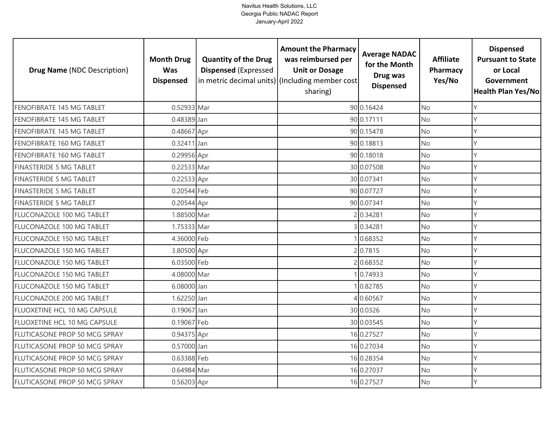| <b>Drug Name (NDC Description)</b>   | <b>Month Drug</b><br><b>Was</b><br><b>Dispensed</b> | <b>Quantity of the Drug</b><br><b>Dispensed (Expressed</b> | <b>Amount the Pharmacy</b><br>was reimbursed per<br><b>Unit or Dosage</b><br>in metric decimal units) (Including member cost)<br>sharing) | <b>Average NADAC</b><br>for the Month<br>Drug was<br><b>Dispensed</b> | <b>Affiliate</b><br>Pharmacy<br>Yes/No | <b>Dispensed</b><br><b>Pursuant to State</b><br>or Local<br>Government<br><b>Health Plan Yes/No</b> |
|--------------------------------------|-----------------------------------------------------|------------------------------------------------------------|-------------------------------------------------------------------------------------------------------------------------------------------|-----------------------------------------------------------------------|----------------------------------------|-----------------------------------------------------------------------------------------------------|
| FENOFIBRATE 145 MG TABLET            | 0.52933 Mar                                         |                                                            |                                                                                                                                           | 90 0.16424                                                            | <b>No</b>                              | Υ                                                                                                   |
| FENOFIBRATE 145 MG TABLET            | 0.48389 Jan                                         |                                                            |                                                                                                                                           | 90 0.17111                                                            | <b>No</b>                              | Y                                                                                                   |
| FENOFIBRATE 145 MG TABLET            | 0.48667 Apr                                         |                                                            |                                                                                                                                           | 90 0.15478                                                            | <b>No</b>                              | Υ                                                                                                   |
| FENOFIBRATE 160 MG TABLET            | 0.32411 Jan                                         |                                                            |                                                                                                                                           | 90 0.18813                                                            | No                                     | Υ                                                                                                   |
| FENOFIBRATE 160 MG TABLET            | 0.29956 Apr                                         |                                                            |                                                                                                                                           | 90 0.18018                                                            | <b>No</b>                              | γ                                                                                                   |
| <b>FINASTERIDE 5 MG TABLET</b>       | 0.22533 Mar                                         |                                                            |                                                                                                                                           | 30 0.07508                                                            | No                                     | Υ                                                                                                   |
| <b>FINASTERIDE 5 MG TABLET</b>       | 0.22533 Apr                                         |                                                            |                                                                                                                                           | 30 0.07341                                                            | No                                     | Y                                                                                                   |
| <b>FINASTERIDE 5 MG TABLET</b>       | 0.20544 Feb                                         |                                                            |                                                                                                                                           | 90 0.07727                                                            | No                                     |                                                                                                     |
| FINASTERIDE 5 MG TABLET              | 0.20544 Apr                                         |                                                            |                                                                                                                                           | 90 0.07341                                                            | No                                     |                                                                                                     |
| FLUCONAZOLE 100 MG TABLET            | 1.88500 Mar                                         |                                                            |                                                                                                                                           | 2 0.34281                                                             | <b>No</b>                              |                                                                                                     |
| FLUCONAZOLE 100 MG TABLET            | 1.75333 Mar                                         |                                                            |                                                                                                                                           | 30.34281                                                              | No                                     |                                                                                                     |
| FLUCONAZOLE 150 MG TABLET            | 4.36000 Feb                                         |                                                            |                                                                                                                                           | 0.68352                                                               | <b>No</b>                              |                                                                                                     |
| FLUCONAZOLE 150 MG TABLET            | 3.80500 Apr                                         |                                                            |                                                                                                                                           | 2 0.7815                                                              | <b>No</b>                              |                                                                                                     |
| FLUCONAZOLE 150 MG TABLET            | 6.03500 Feb                                         |                                                            |                                                                                                                                           | 20.68352                                                              | <b>No</b>                              | Y                                                                                                   |
| FLUCONAZOLE 150 MG TABLET            | 4.08000 Mar                                         |                                                            |                                                                                                                                           | 0.74933                                                               | No                                     | Υ                                                                                                   |
| FLUCONAZOLE 150 MG TABLET            | 6.08000 Jan                                         |                                                            |                                                                                                                                           | 0.82785                                                               | <b>No</b>                              | Υ                                                                                                   |
| <b>FLUCONAZOLE 200 MG TABLET</b>     | 1.62250 Jan                                         |                                                            |                                                                                                                                           | 40.60567                                                              | <b>No</b>                              | Y                                                                                                   |
| FLUOXETINE HCL 10 MG CAPSULE         | 0.19067 Jan                                         |                                                            |                                                                                                                                           | 30 0.0326                                                             | <b>No</b>                              | Υ                                                                                                   |
| FLUOXETINE HCL 10 MG CAPSULE         | 0.19067 Feb                                         |                                                            |                                                                                                                                           | 30 0.03545                                                            | No                                     | γ                                                                                                   |
| FLUTICASONE PROP 50 MCG SPRAY        | 0.94375 Apr                                         |                                                            |                                                                                                                                           | 16 0.27527                                                            | <b>No</b>                              |                                                                                                     |
| FLUTICASONE PROP 50 MCG SPRAY        | 0.57000 Jan                                         |                                                            |                                                                                                                                           | 16 0.27034                                                            | No                                     | ٧                                                                                                   |
| FLUTICASONE PROP 50 MCG SPRAY        | 0.63388 Feb                                         |                                                            |                                                                                                                                           | 16 0.28354                                                            | No                                     | V                                                                                                   |
| <b>FLUTICASONE PROP 50 MCG SPRAY</b> | 0.64984 Mar                                         |                                                            |                                                                                                                                           | 16 0.27037                                                            | No                                     |                                                                                                     |
| FLUTICASONE PROP 50 MCG SPRAY        | 0.56203 Apr                                         |                                                            |                                                                                                                                           | 16 0.27527                                                            | <b>No</b>                              | Y                                                                                                   |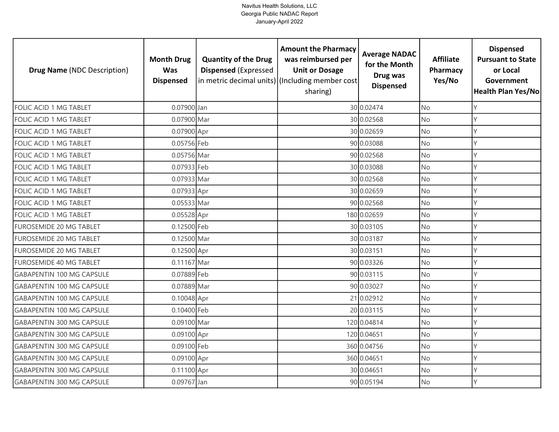| <b>Drug Name (NDC Description)</b> | <b>Month Drug</b><br><b>Was</b><br><b>Dispensed</b> | <b>Quantity of the Drug</b><br><b>Dispensed (Expressed</b><br>in metric decimal units) (Including member cost | <b>Amount the Pharmacy</b><br>was reimbursed per<br><b>Unit or Dosage</b><br>sharing) | <b>Average NADAC</b><br>for the Month<br>Drug was<br><b>Dispensed</b> | <b>Affiliate</b><br>Pharmacy<br>Yes/No | <b>Dispensed</b><br><b>Pursuant to State</b><br>or Local<br>Government<br><b>Health Plan Yes/No</b> |
|------------------------------------|-----------------------------------------------------|---------------------------------------------------------------------------------------------------------------|---------------------------------------------------------------------------------------|-----------------------------------------------------------------------|----------------------------------------|-----------------------------------------------------------------------------------------------------|
| FOLIC ACID 1 MG TABLET             | 0.07900 Jan                                         |                                                                                                               |                                                                                       | 30 0.02474                                                            | <b>No</b>                              | Y                                                                                                   |
| FOLIC ACID 1 MG TABLET             | 0.07900 Mar                                         |                                                                                                               |                                                                                       | 30 0.02568                                                            | No                                     | Y                                                                                                   |
| FOLIC ACID 1 MG TABLET             | 0.07900 Apr                                         |                                                                                                               |                                                                                       | 30 0.02659                                                            | <b>No</b>                              | Y                                                                                                   |
| FOLIC ACID 1 MG TABLET             | 0.05756 Feb                                         |                                                                                                               |                                                                                       | 90 0.03088                                                            | No                                     | Y                                                                                                   |
| FOLIC ACID 1 MG TABLET             | 0.05756 Mar                                         |                                                                                                               |                                                                                       | 90 0.02568                                                            | No                                     | Y                                                                                                   |
| FOLIC ACID 1 MG TABLET             | 0.07933 Feb                                         |                                                                                                               |                                                                                       | 30 0.03088                                                            | No                                     | Y                                                                                                   |
| FOLIC ACID 1 MG TABLET             | 0.07933 Mar                                         |                                                                                                               |                                                                                       | 30 0.02568                                                            | No                                     | Y                                                                                                   |
| FOLIC ACID 1 MG TABLET             | 0.07933 Apr                                         |                                                                                                               |                                                                                       | 30 0.02659                                                            | No                                     | Ý                                                                                                   |
| FOLIC ACID 1 MG TABLET             | 0.05533 Mar                                         |                                                                                                               |                                                                                       | 90 0.02568                                                            | No.                                    | Y                                                                                                   |
| FOLIC ACID 1 MG TABLET             | 0.05528 Apr                                         |                                                                                                               |                                                                                       | 180 0.02659                                                           | No                                     | Y                                                                                                   |
| FUROSEMIDE 20 MG TABLET            | 0.12500 Feb                                         |                                                                                                               |                                                                                       | 30 0.03105                                                            | No                                     | Y                                                                                                   |
| FUROSEMIDE 20 MG TABLET            | 0.12500 Mar                                         |                                                                                                               |                                                                                       | 30 0.03187                                                            | <b>No</b>                              | Y                                                                                                   |
| FUROSEMIDE 20 MG TABLET            | 0.12500 Apr                                         |                                                                                                               |                                                                                       | 30 0.03151                                                            | No                                     | Y                                                                                                   |
| FUROSEMIDE 40 MG TABLET            | 0.11167 Mar                                         |                                                                                                               |                                                                                       | 90 0.03326                                                            | <b>No</b>                              | Y                                                                                                   |
| <b>GABAPENTIN 100 MG CAPSULE</b>   | 0.07889 Feb                                         |                                                                                                               |                                                                                       | 90 0.03115                                                            | No                                     | Y                                                                                                   |
| <b>GABAPENTIN 100 MG CAPSULE</b>   | 0.07889 Mar                                         |                                                                                                               |                                                                                       | 90 0.03027                                                            | <b>No</b>                              | Y                                                                                                   |
| <b>GABAPENTIN 100 MG CAPSULE</b>   | 0.10048 Apr                                         |                                                                                                               |                                                                                       | 21 0.02912                                                            | No                                     | Y                                                                                                   |
| <b>GABAPENTIN 100 MG CAPSULE</b>   | 0.10400 Feb                                         |                                                                                                               |                                                                                       | 20 0.03115                                                            | <b>No</b>                              | Y                                                                                                   |
| <b>GABAPENTIN 300 MG CAPSULE</b>   | 0.09100 Mar                                         |                                                                                                               |                                                                                       | 120 0.04814                                                           | No                                     | Υ                                                                                                   |
| <b>GABAPENTIN 300 MG CAPSULE</b>   | 0.09100 Apr                                         |                                                                                                               |                                                                                       | 120 0.04651                                                           | No                                     | Y                                                                                                   |
| GABAPENTIN 300 MG CAPSULE          | 0.09100 Feb                                         |                                                                                                               |                                                                                       | 360 0.04756                                                           | No                                     | Υ                                                                                                   |
| <b>GABAPENTIN 300 MG CAPSULE</b>   | 0.09100 Apr                                         |                                                                                                               |                                                                                       | 360 0.04651                                                           | No                                     | Y                                                                                                   |
| <b>GABAPENTIN 300 MG CAPSULE</b>   | 0.11100 Apr                                         |                                                                                                               |                                                                                       | 30 0.04651                                                            | No                                     | Υ                                                                                                   |
| <b>GABAPENTIN 300 MG CAPSULE</b>   | 0.09767 Jan                                         |                                                                                                               |                                                                                       | 90 0.05194                                                            | No.                                    | V                                                                                                   |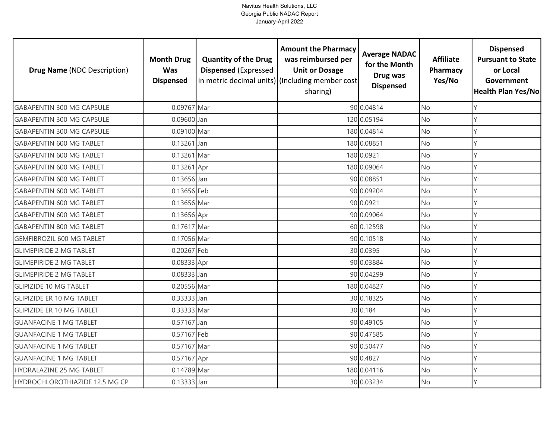| <b>Drug Name (NDC Description)</b> | <b>Month Drug</b><br><b>Was</b><br><b>Dispensed</b> | <b>Quantity of the Drug</b><br><b>Dispensed (Expressed</b> | <b>Amount the Pharmacy</b><br>was reimbursed per<br><b>Unit or Dosage</b><br>in metric decimal units) (Including member cost<br>sharing) | <b>Average NADAC</b><br>for the Month<br>Drug was<br><b>Dispensed</b> | <b>Affiliate</b><br>Pharmacy<br>Yes/No | <b>Dispensed</b><br><b>Pursuant to State</b><br>or Local<br>Government<br>Health Plan Yes/No |
|------------------------------------|-----------------------------------------------------|------------------------------------------------------------|------------------------------------------------------------------------------------------------------------------------------------------|-----------------------------------------------------------------------|----------------------------------------|----------------------------------------------------------------------------------------------|
| <b>GABAPENTIN 300 MG CAPSULE</b>   | 0.09767 Mar                                         |                                                            |                                                                                                                                          | 90 0.04814                                                            | <b>No</b>                              | Y                                                                                            |
| <b>GABAPENTIN 300 MG CAPSULE</b>   | 0.09600 Jan                                         |                                                            |                                                                                                                                          | 120 0.05194                                                           | No                                     | Y                                                                                            |
| <b>GABAPENTIN 300 MG CAPSULE</b>   | 0.09100 Mar                                         |                                                            |                                                                                                                                          | 180 0.04814                                                           | No                                     | $\mathsf{Y}$                                                                                 |
| <b>GABAPENTIN 600 MG TABLET</b>    | 0.13261 Jan                                         |                                                            |                                                                                                                                          | 180 0.08851                                                           | <b>No</b>                              | Y                                                                                            |
| <b>GABAPENTIN 600 MG TABLET</b>    | 0.13261 Mar                                         |                                                            |                                                                                                                                          | 180 0.0921                                                            | No                                     | Y                                                                                            |
| <b>GABAPENTIN 600 MG TABLET</b>    | 0.13261 Apr                                         |                                                            |                                                                                                                                          | 180 0.09064                                                           | <b>No</b>                              | Υ                                                                                            |
| <b>GABAPENTIN 600 MG TABLET</b>    | 0.13656 Jan                                         |                                                            |                                                                                                                                          | 90 0.08851                                                            | No                                     | Υ                                                                                            |
| <b>GABAPENTIN 600 MG TABLET</b>    | 0.13656 Feb                                         |                                                            |                                                                                                                                          | 90 0.09204                                                            | <b>No</b>                              | Υ                                                                                            |
| <b>GABAPENTIN 600 MG TABLET</b>    | 0.13656 Mar                                         |                                                            |                                                                                                                                          | 90 0.0921                                                             | No                                     | Y                                                                                            |
| <b>GABAPENTIN 600 MG TABLET</b>    | 0.13656 Apr                                         |                                                            |                                                                                                                                          | 90 0.09064                                                            | No                                     | Y                                                                                            |
| <b>GABAPENTIN 800 MG TABLET</b>    | 0.17617 Mar                                         |                                                            |                                                                                                                                          | 60 0.12598                                                            | No                                     | Y                                                                                            |
| <b>GEMFIBROZIL 600 MG TABLET</b>   | 0.17056 Mar                                         |                                                            |                                                                                                                                          | 90 0.10518                                                            | No                                     | Y                                                                                            |
| <b>GLIMEPIRIDE 2 MG TABLET</b>     | 0.20267 Feb                                         |                                                            |                                                                                                                                          | 30 0.0395                                                             | No                                     |                                                                                              |
| <b>GLIMEPIRIDE 2 MG TABLET</b>     | 0.08333 Apr                                         |                                                            |                                                                                                                                          | 90 0.03884                                                            | <b>No</b>                              | Y                                                                                            |
| <b>GLIMEPIRIDE 2 MG TABLET</b>     | $0.08333$ Jan                                       |                                                            |                                                                                                                                          | 90 0.04299                                                            | No                                     | Y                                                                                            |
| <b>GLIPIZIDE 10 MG TABLET</b>      | 0.20556 Mar                                         |                                                            |                                                                                                                                          | 180 0.04827                                                           | <b>No</b>                              | Y                                                                                            |
| <b>GLIPIZIDE ER 10 MG TABLET</b>   | 0.33333 Jan                                         |                                                            |                                                                                                                                          | 30 0.18325                                                            | No                                     | Y                                                                                            |
| <b>GLIPIZIDE ER 10 MG TABLET</b>   | 0.33333 Mar                                         |                                                            |                                                                                                                                          | 30 0.184                                                              | <b>No</b>                              | Υ                                                                                            |
| <b>GUANFACINE 1 MG TABLET</b>      | 0.57167 Jan                                         |                                                            |                                                                                                                                          | 90 0.49105                                                            | No                                     | Υ                                                                                            |
| <b>GUANFACINE 1 MG TABLET</b>      | 0.57167 Feb                                         |                                                            |                                                                                                                                          | 90 0.47585                                                            | No                                     | Y                                                                                            |
| <b>GUANFACINE 1 MG TABLET</b>      | 0.57167 Mar                                         |                                                            |                                                                                                                                          | 90 0.50477                                                            | No                                     | Υ                                                                                            |
| <b>GUANFACINE 1 MG TABLET</b>      | 0.57167 Apr                                         |                                                            |                                                                                                                                          | 90 0.4827                                                             | No                                     | Y                                                                                            |
| HYDRALAZINE 25 MG TABLET           | 0.14789 Mar                                         |                                                            |                                                                                                                                          | 180 0.04116                                                           | No                                     | Υ                                                                                            |
| HYDROCHLOROTHIAZIDE 12.5 MG CP     | $0.13333$ Jan                                       |                                                            |                                                                                                                                          | 30 0.03234                                                            | No                                     | $\vee$                                                                                       |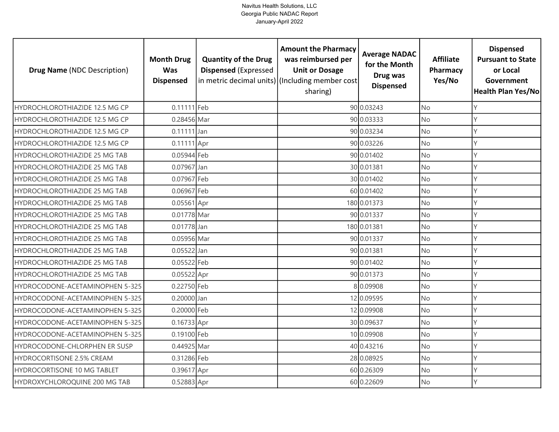| <b>Drug Name (NDC Description)</b> | <b>Month Drug</b><br><b>Was</b><br><b>Dispensed</b> | <b>Quantity of the Drug</b><br><b>Dispensed (Expressed</b> | <b>Amount the Pharmacy</b><br>was reimbursed per<br><b>Unit or Dosage</b><br>in metric decimal units) (Including member cost<br>sharing) | <b>Average NADAC</b><br>for the Month<br>Drug was<br><b>Dispensed</b> | <b>Affiliate</b><br>Pharmacy<br>Yes/No | <b>Dispensed</b><br><b>Pursuant to State</b><br>or Local<br>Government<br>Health Plan Yes/No |
|------------------------------------|-----------------------------------------------------|------------------------------------------------------------|------------------------------------------------------------------------------------------------------------------------------------------|-----------------------------------------------------------------------|----------------------------------------|----------------------------------------------------------------------------------------------|
| HYDROCHLOROTHIAZIDE 12.5 MG CP     | 0.11111 Feb                                         |                                                            |                                                                                                                                          | 90 0.03243                                                            | <b>No</b>                              | Y                                                                                            |
| HYDROCHLOROTHIAZIDE 12.5 MG CP     | 0.28456 Mar                                         |                                                            |                                                                                                                                          | 90 0.03333                                                            | No                                     | Y                                                                                            |
| HYDROCHLOROTHIAZIDE 12.5 MG CP     | $0.11111$ Jan                                       |                                                            |                                                                                                                                          | 90 0.03234                                                            | <b>No</b>                              | Y                                                                                            |
| HYDROCHLOROTHIAZIDE 12.5 MG CP     | 0.11111 Apr                                         |                                                            |                                                                                                                                          | 90 0.03226                                                            | No                                     | Y                                                                                            |
| HYDROCHLOROTHIAZIDE 25 MG TAB      | 0.05944 Feb                                         |                                                            |                                                                                                                                          | 90 0.01402                                                            | <b>No</b>                              | Υ                                                                                            |
| HYDROCHLOROTHIAZIDE 25 MG TAB      | 0.07967 Jan                                         |                                                            |                                                                                                                                          | 30 0.01381                                                            | No                                     | Υ                                                                                            |
| HYDROCHLOROTHIAZIDE 25 MG TAB      | 0.07967 Feb                                         |                                                            |                                                                                                                                          | 30 0.01402                                                            | No                                     | Y                                                                                            |
| HYDROCHLOROTHIAZIDE 25 MG TAB      | 0.06967 Feb                                         |                                                            |                                                                                                                                          | 60 0.01402                                                            | No                                     | Υ                                                                                            |
| HYDROCHLOROTHIAZIDE 25 MG TAB      | 0.05561 Apr                                         |                                                            |                                                                                                                                          | 180 0.01373                                                           | No                                     | V                                                                                            |
| HYDROCHLOROTHIAZIDE 25 MG TAB      | 0.01778 Mar                                         |                                                            |                                                                                                                                          | 90 0.01337                                                            | <b>No</b>                              | Υ                                                                                            |
| HYDROCHLOROTHIAZIDE 25 MG TAB      | 0.01778 Jan                                         |                                                            |                                                                                                                                          | 180 0.01381                                                           | <b>No</b>                              | Y                                                                                            |
| HYDROCHLOROTHIAZIDE 25 MG TAB      | 0.05956 Mar                                         |                                                            |                                                                                                                                          | 90 0.01337                                                            | <b>No</b>                              | Y                                                                                            |
| HYDROCHLOROTHIAZIDE 25 MG TAB      | $0.05522$ Jan                                       |                                                            |                                                                                                                                          | 90 0.01381                                                            | No                                     | $\vee$                                                                                       |
| HYDROCHLOROTHIAZIDE 25 MG TAB      | 0.05522 Feb                                         |                                                            |                                                                                                                                          | 90 0.01402                                                            | <b>No</b>                              | Y                                                                                            |
| HYDROCHLOROTHIAZIDE 25 MG TAB      | 0.05522 Apr                                         |                                                            |                                                                                                                                          | 90 0.01373                                                            | No                                     | Y                                                                                            |
| HYDROCODONE-ACETAMINOPHEN 5-325    | 0.22750 Feb                                         |                                                            |                                                                                                                                          | 8 0.09908                                                             | <b>No</b>                              | Y                                                                                            |
| HYDROCODONE-ACETAMINOPHEN 5-325    | 0.20000 Jan                                         |                                                            |                                                                                                                                          | 12 0.09595                                                            | <b>No</b>                              | Y                                                                                            |
| HYDROCODONE-ACETAMINOPHEN 5-325    | 0.20000 Feb                                         |                                                            |                                                                                                                                          | 12 0.09908                                                            | <b>No</b>                              | $\mathsf{Y}$                                                                                 |
| HYDROCODONE-ACETAMINOPHEN 5-325    | 0.16733 Apr                                         |                                                            |                                                                                                                                          | 30 0.09637                                                            | No                                     | Y                                                                                            |
| HYDROCODONE-ACETAMINOPHEN 5-325    | 0.19100 Feb                                         |                                                            |                                                                                                                                          | 10 0.09908                                                            | No                                     | Y                                                                                            |
| HYDROCODONE-CHLORPHEN ER SUSP      | 0.44925 Mar                                         |                                                            |                                                                                                                                          | 40 0.43216                                                            | No                                     | Υ                                                                                            |
| HYDROCORTISONE 2.5% CREAM          | 0.31286 Feb                                         |                                                            |                                                                                                                                          | 28 0.08925                                                            | No                                     | γ                                                                                            |
| HYDROCORTISONE 10 MG TABLET        | 0.39617 Apr                                         |                                                            |                                                                                                                                          | 60 0.26309                                                            | No                                     | Υ                                                                                            |
| HYDROXYCHLOROQUINE 200 MG TAB      | 0.52883 Apr                                         |                                                            |                                                                                                                                          | 60 0.22609                                                            | No                                     | Y                                                                                            |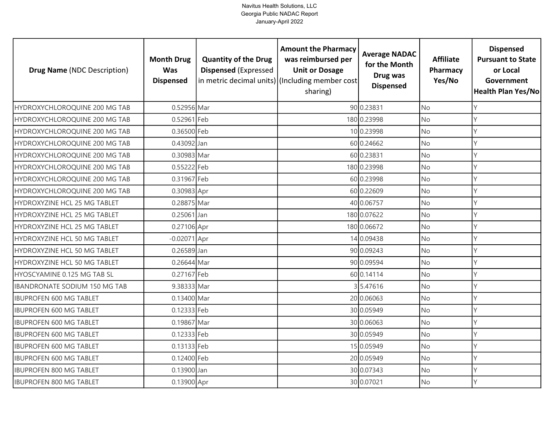| <b>Drug Name (NDC Description)</b> | <b>Month Drug</b><br><b>Was</b><br><b>Dispensed</b> | <b>Quantity of the Drug</b><br><b>Dispensed (Expressed</b> | <b>Amount the Pharmacy</b><br>was reimbursed per<br><b>Unit or Dosage</b><br>in metric decimal units) (Including member cost<br>sharing) | <b>Average NADAC</b><br>for the Month<br>Drug was<br><b>Dispensed</b> | <b>Affiliate</b><br>Pharmacy<br>Yes/No | <b>Dispensed</b><br><b>Pursuant to State</b><br>or Local<br>Government<br>Health Plan Yes/No |
|------------------------------------|-----------------------------------------------------|------------------------------------------------------------|------------------------------------------------------------------------------------------------------------------------------------------|-----------------------------------------------------------------------|----------------------------------------|----------------------------------------------------------------------------------------------|
| HYDROXYCHLOROQUINE 200 MG TAB      | 0.52956 Mar                                         |                                                            |                                                                                                                                          | 90 0.23831                                                            | <b>No</b>                              | Y                                                                                            |
| HYDROXYCHLOROQUINE 200 MG TAB      | 0.52961 Feb                                         |                                                            |                                                                                                                                          | 180 0.23998                                                           | No                                     | Y                                                                                            |
| HYDROXYCHLOROQUINE 200 MG TAB      | 0.36500 Feb                                         |                                                            |                                                                                                                                          | 10 0.23998                                                            | <b>No</b>                              | Y                                                                                            |
| HYDROXYCHLOROQUINE 200 MG TAB      | 0.43092 Jan                                         |                                                            |                                                                                                                                          | 60 0.24662                                                            | <b>No</b>                              | Y                                                                                            |
| HYDROXYCHLOROQUINE 200 MG TAB      | 0.30983 Mar                                         |                                                            |                                                                                                                                          | 60 0.23831                                                            | <b>No</b>                              | Y                                                                                            |
| HYDROXYCHLOROQUINE 200 MG TAB      | 0.55222 Feb                                         |                                                            |                                                                                                                                          | 180 0.23998                                                           | <b>No</b>                              | Y                                                                                            |
| HYDROXYCHLOROQUINE 200 MG TAB      | 0.31967 Feb                                         |                                                            |                                                                                                                                          | 60 0.23998                                                            | No                                     | Y                                                                                            |
| HYDROXYCHLOROQUINE 200 MG TAB      | 0.30983 Apr                                         |                                                            |                                                                                                                                          | 60 0.22609                                                            | No                                     | Υ                                                                                            |
| HYDROXYZINE HCL 25 MG TABLET       | 0.28875 Mar                                         |                                                            |                                                                                                                                          | 40 0.06757                                                            | No                                     | γ                                                                                            |
| HYDROXYZINE HCL 25 MG TABLET       | $0.25061$ Jan                                       |                                                            |                                                                                                                                          | 180 0.07622                                                           | No                                     | Υ                                                                                            |
| HYDROXYZINE HCL 25 MG TABLET       | 0.27106 Apr                                         |                                                            |                                                                                                                                          | 180 0.06672                                                           | No                                     | Y                                                                                            |
| HYDROXYZINE HCL 50 MG TABLET       | $-0.02071$ Apr                                      |                                                            |                                                                                                                                          | 14 0.09438                                                            | No                                     | Υ                                                                                            |
| HYDROXYZINE HCL 50 MG TABLET       | 0.26589 Jan                                         |                                                            |                                                                                                                                          | 90 0.09243                                                            | No                                     | Y                                                                                            |
| HYDROXYZINE HCL 50 MG TABLET       | 0.26644 Mar                                         |                                                            |                                                                                                                                          | 90 0.09594                                                            | No                                     | Y                                                                                            |
| HYOSCYAMINE 0.125 MG TAB SL        | 0.27167 Feb                                         |                                                            |                                                                                                                                          | 60 0.14114                                                            | No                                     | Y                                                                                            |
| IBANDRONATE SODIUM 150 MG TAB      | 9.38333 Mar                                         |                                                            |                                                                                                                                          | 3 5.47616                                                             | No                                     | Y                                                                                            |
| <b>IBUPROFEN 600 MG TABLET</b>     | 0.13400 Mar                                         |                                                            |                                                                                                                                          | 20 0.06063                                                            | <b>No</b>                              | Y                                                                                            |
| <b>IBUPROFEN 600 MG TABLET</b>     | 0.12333 Feb                                         |                                                            |                                                                                                                                          | 30 0.05949                                                            | <b>No</b>                              | $\mathsf{Y}$                                                                                 |
| <b>IBUPROFEN 600 MG TABLET</b>     | 0.19867 Mar                                         |                                                            |                                                                                                                                          | 30 0.06063                                                            | No                                     | Y                                                                                            |
| <b>IBUPROFEN 600 MG TABLET</b>     | 0.12333 Feb                                         |                                                            |                                                                                                                                          | 30 0.05949                                                            | <b>No</b>                              | Y                                                                                            |
| <b>IBUPROFEN 600 MG TABLET</b>     | 0.13133 Feb                                         |                                                            |                                                                                                                                          | 15 0.05949                                                            | No                                     | Y                                                                                            |
| <b>IBUPROFEN 600 MG TABLET</b>     | 0.12400 Feb                                         |                                                            |                                                                                                                                          | 20 0.05949                                                            | <b>No</b>                              | Y                                                                                            |
| <b>IBUPROFEN 800 MG TABLET</b>     | 0.13900 Jan                                         |                                                            |                                                                                                                                          | 30 0.07343                                                            | No                                     | Υ                                                                                            |
| <b>IBUPROFEN 800 MG TABLET</b>     | 0.13900 Apr                                         |                                                            |                                                                                                                                          | 30 0.07021                                                            | No                                     | Y                                                                                            |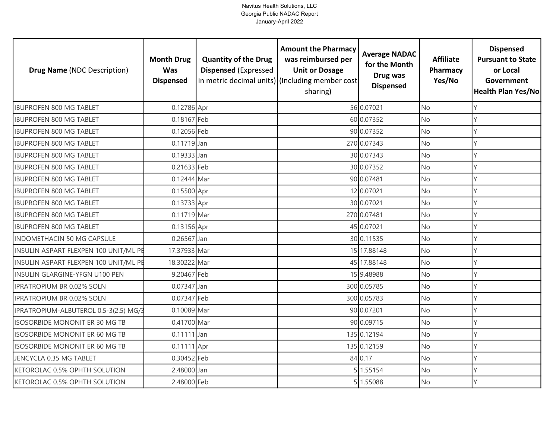| <b>Drug Name (NDC Description)</b>    | <b>Month Drug</b><br><b>Was</b><br><b>Dispensed</b> | <b>Quantity of the Drug</b><br><b>Dispensed (Expressed</b> | <b>Amount the Pharmacy</b><br>was reimbursed per<br><b>Unit or Dosage</b><br>in metric decimal units) (Including member cost<br>sharing) | <b>Average NADAC</b><br>for the Month<br>Drug was<br><b>Dispensed</b> | <b>Affiliate</b><br>Pharmacy<br>Yes/No | <b>Dispensed</b><br><b>Pursuant to State</b><br>or Local<br>Government<br><b>Health Plan Yes/No</b> |
|---------------------------------------|-----------------------------------------------------|------------------------------------------------------------|------------------------------------------------------------------------------------------------------------------------------------------|-----------------------------------------------------------------------|----------------------------------------|-----------------------------------------------------------------------------------------------------|
| <b>IBUPROFEN 800 MG TABLET</b>        | 0.12786 Apr                                         |                                                            |                                                                                                                                          | 56 0.07021                                                            | <b>No</b>                              |                                                                                                     |
| <b>IBUPROFEN 800 MG TABLET</b>        | 0.18167 Feb                                         |                                                            |                                                                                                                                          | 60 0.07352                                                            | <b>No</b>                              |                                                                                                     |
| <b>IBUPROFEN 800 MG TABLET</b>        | 0.12056 Feb                                         |                                                            |                                                                                                                                          | 90 0.07352                                                            | <b>No</b>                              | Y                                                                                                   |
| <b>IBUPROFEN 800 MG TABLET</b>        | $0.11719$ Jan                                       |                                                            |                                                                                                                                          | 270 0.07343                                                           | <b>No</b>                              | Υ                                                                                                   |
| <b>IBUPROFEN 800 MG TABLET</b>        | 0.19333 Jan                                         |                                                            |                                                                                                                                          | 30 0.07343                                                            | <b>No</b>                              | γ                                                                                                   |
| <b>IBUPROFEN 800 MG TABLET</b>        | 0.21633 Feb                                         |                                                            |                                                                                                                                          | 30 0.07352                                                            | <b>No</b>                              |                                                                                                     |
| <b>IBUPROFEN 800 MG TABLET</b>        | 0.12444 Mar                                         |                                                            |                                                                                                                                          | 90 0.07481                                                            | <b>No</b>                              |                                                                                                     |
| <b>IBUPROFEN 800 MG TABLET</b>        | 0.15500 Apr                                         |                                                            |                                                                                                                                          | 12 0.07021                                                            | <b>No</b>                              |                                                                                                     |
| <b>IBUPROFEN 800 MG TABLET</b>        | 0.13733 Apr                                         |                                                            |                                                                                                                                          | 30 0.07021                                                            | No                                     |                                                                                                     |
| <b>IBUPROFEN 800 MG TABLET</b>        | 0.11719 Mar                                         |                                                            |                                                                                                                                          | 270 0.07481                                                           | <b>No</b>                              |                                                                                                     |
| <b>IBUPROFEN 800 MG TABLET</b>        | 0.13156 Apr                                         |                                                            |                                                                                                                                          | 45 0.07021                                                            | <b>No</b>                              |                                                                                                     |
| <b>INDOMETHACIN 50 MG CAPSULE</b>     | $0.26567$ Jan                                       |                                                            |                                                                                                                                          | 30 0.11535                                                            | <b>No</b>                              |                                                                                                     |
| INSULIN ASPART FLEXPEN 100 UNIT/ML PE | 17.37933 Mar                                        |                                                            |                                                                                                                                          | 15 17.88148                                                           | No                                     |                                                                                                     |
| INSULIN ASPART FLEXPEN 100 UNIT/ML PE | 18.30222 Mar                                        |                                                            |                                                                                                                                          | 45 17.88148                                                           | <b>No</b>                              | γ                                                                                                   |
| <b>INSULIN GLARGINE-YFGN U100 PEN</b> | 9.20467 Feb                                         |                                                            |                                                                                                                                          | 15 9.48988                                                            | No                                     | Υ                                                                                                   |
| <b>IPRATROPIUM BR 0.02% SOLN</b>      | 0.07347 Jan                                         |                                                            |                                                                                                                                          | 300 0.05785                                                           | <b>No</b>                              | Υ                                                                                                   |
| <b>IPRATROPIUM BR 0.02% SOLN</b>      | 0.07347 Feb                                         |                                                            |                                                                                                                                          | 300 0.05783                                                           | <b>No</b>                              | Υ                                                                                                   |
| IPRATROPIUM-ALBUTEROL 0.5-3(2.5) MG/3 | 0.10089 Mar                                         |                                                            |                                                                                                                                          | 90 0.07201                                                            | <b>No</b>                              |                                                                                                     |
| <b>ISOSORBIDE MONONIT ER 30 MG TB</b> | 0.41700 Mar                                         |                                                            |                                                                                                                                          | 90 0.09715                                                            | No                                     | Υ                                                                                                   |
| ISOSORBIDE MONONIT ER 60 MG TB        | $0.11111$ Jan                                       |                                                            |                                                                                                                                          | 135 0.12194                                                           | No                                     | V                                                                                                   |
| ISOSORBIDE MONONIT ER 60 MG TB        | 0.11111 Apr                                         |                                                            |                                                                                                                                          | 135 0.12159                                                           | <b>No</b>                              |                                                                                                     |
| JENCYCLA 0.35 MG TABLET               | 0.30452 Feb                                         |                                                            |                                                                                                                                          | 84 0.17                                                               | No                                     |                                                                                                     |
| KETOROLAC 0.5% OPHTH SOLUTION         | 2.48000 Jan                                         |                                                            |                                                                                                                                          | 5 1.55154                                                             | <b>No</b>                              |                                                                                                     |
| KETOROLAC 0.5% OPHTH SOLUTION         | 2.48000 Feb                                         |                                                            |                                                                                                                                          | 5 1.55088                                                             | No                                     | γ                                                                                                   |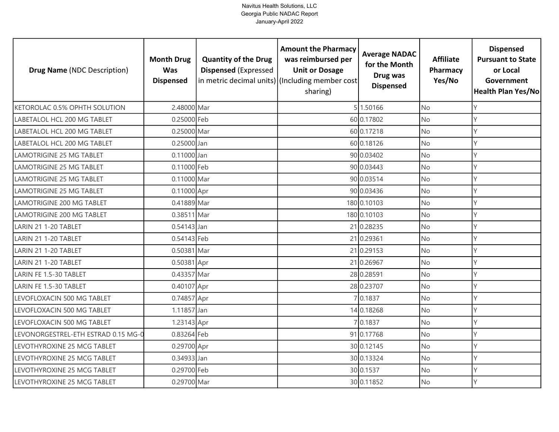| <b>Drug Name (NDC Description)</b>  | <b>Month Drug</b><br><b>Was</b><br><b>Dispensed</b> | <b>Quantity of the Drug</b><br><b>Dispensed (Expressed</b> | <b>Amount the Pharmacy</b><br>was reimbursed per<br><b>Unit or Dosage</b><br>in metric decimal units) (Including member cost<br>sharing) | <b>Average NADAC</b><br>for the Month<br>Drug was<br><b>Dispensed</b> | <b>Affiliate</b><br>Pharmacy<br>Yes/No | <b>Dispensed</b><br><b>Pursuant to State</b><br>or Local<br>Government<br>Health Plan Yes/No |
|-------------------------------------|-----------------------------------------------------|------------------------------------------------------------|------------------------------------------------------------------------------------------------------------------------------------------|-----------------------------------------------------------------------|----------------------------------------|----------------------------------------------------------------------------------------------|
| KETOROLAC 0.5% OPHTH SOLUTION       | 2.48000 Mar                                         |                                                            |                                                                                                                                          | 5 1.50166                                                             | <b>No</b>                              | Y                                                                                            |
| LABETALOL HCL 200 MG TABLET         | 0.25000 Feb                                         |                                                            |                                                                                                                                          | 60 0.17802                                                            | No                                     | Y                                                                                            |
| LABETALOL HCL 200 MG TABLET         | 0.25000 Mar                                         |                                                            |                                                                                                                                          | 60 0.17218                                                            | No                                     | Y                                                                                            |
| LABETALOL HCL 200 MG TABLET         | 0.25000 Jan                                         |                                                            |                                                                                                                                          | 60 0.18126                                                            | <b>No</b>                              | Y                                                                                            |
| LAMOTRIGINE 25 MG TABLET            | $0.11000$ Jan                                       |                                                            |                                                                                                                                          | 90 0.03402                                                            | <b>No</b>                              | γ                                                                                            |
| <b>LAMOTRIGINE 25 MG TABLET</b>     | 0.11000 Feb                                         |                                                            |                                                                                                                                          | 90 0.03443                                                            | No                                     |                                                                                              |
| LAMOTRIGINE 25 MG TABLET            | 0.11000 Mar                                         |                                                            |                                                                                                                                          | 90 0.03514                                                            | No                                     | Υ                                                                                            |
| <b>LAMOTRIGINE 25 MG TABLET</b>     | 0.11000 Apr                                         |                                                            |                                                                                                                                          | 90 0.03436                                                            | No                                     | $\mathsf{Y}$                                                                                 |
| LAMOTRIGINE 200 MG TABLET           | 0.41889 Mar                                         |                                                            |                                                                                                                                          | 180 0.10103                                                           | No                                     | γ                                                                                            |
| <b>LAMOTRIGINE 200 MG TABLET</b>    | 0.38511 Mar                                         |                                                            |                                                                                                                                          | 180 0.10103                                                           | No                                     | $\mathsf{Y}$                                                                                 |
| LARIN 21 1-20 TABLET                | $0.54143$ Jan                                       |                                                            |                                                                                                                                          | 21 0.28235                                                            | No                                     | Y                                                                                            |
| LARIN 21 1-20 TABLET                | 0.54143 Feb                                         |                                                            |                                                                                                                                          | 21 0.29361                                                            | <b>No</b>                              | $\mathsf{Y}$                                                                                 |
| LARIN 21 1-20 TABLET                | 0.50381 Mar                                         |                                                            |                                                                                                                                          | 21 0.29153                                                            | No                                     | Y                                                                                            |
| LARIN 21 1-20 TABLET                | 0.50381 Apr                                         |                                                            |                                                                                                                                          | 21 0.26967                                                            | No                                     | Y                                                                                            |
| LARIN FE 1.5-30 TABLET              | 0.43357 Mar                                         |                                                            |                                                                                                                                          | 28 0.28591                                                            | No                                     | Y                                                                                            |
| LARIN FE 1.5-30 TABLET              | 0.40107 Apr                                         |                                                            |                                                                                                                                          | 28 0.23707                                                            | <b>No</b>                              | Y                                                                                            |
| LEVOFLOXACIN 500 MG TABLET          | 0.74857 Apr                                         |                                                            |                                                                                                                                          | 7 0.1837                                                              | No                                     | Y                                                                                            |
| LEVOFLOXACIN 500 MG TABLET          | 1.11857 Jan                                         |                                                            |                                                                                                                                          | 14 0.18268                                                            | <b>No</b>                              | Y                                                                                            |
| LEVOFLOXACIN 500 MG TABLET          | 1.23143 Apr                                         |                                                            |                                                                                                                                          | 70.1837                                                               | No                                     | Y                                                                                            |
| LEVONORGESTREL-ETH ESTRAD 0.15 MG-0 | 0.83264 Feb                                         |                                                            |                                                                                                                                          | 91 0.17768                                                            | <b>No</b>                              |                                                                                              |
| LEVOTHYROXINE 25 MCG TABLET         | 0.29700 Apr                                         |                                                            |                                                                                                                                          | 30 0.12145                                                            | No                                     | Υ                                                                                            |
| LEVOTHYROXINE 25 MCG TABLET         | 0.34933 Jan                                         |                                                            |                                                                                                                                          | 30 0.13324                                                            | No                                     | Υ                                                                                            |
| LEVOTHYROXINE 25 MCG TABLET         | 0.29700 Feb                                         |                                                            |                                                                                                                                          | 30 0.1537                                                             | No                                     | Υ                                                                                            |
| LEVOTHYROXINE 25 MCG TABLET         | 0.29700 Mar                                         |                                                            |                                                                                                                                          | 30 0.11852                                                            | No                                     | $\vee$                                                                                       |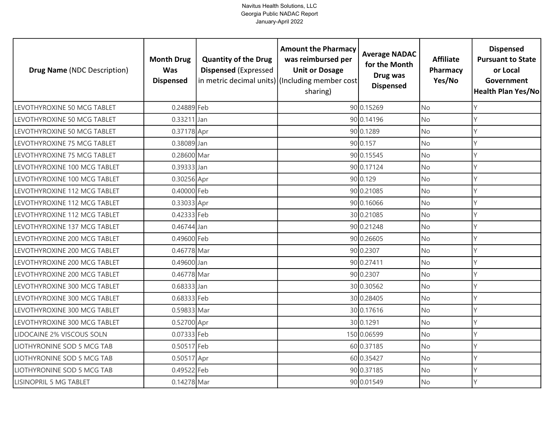| <b>Drug Name (NDC Description)</b> | <b>Month Drug</b><br><b>Was</b><br><b>Dispensed</b> | <b>Quantity of the Drug</b><br><b>Dispensed (Expressed</b> | <b>Amount the Pharmacy</b><br>was reimbursed per<br><b>Unit or Dosage</b><br>in metric decimal units) (Including member cost<br>sharing) | <b>Average NADAC</b><br>for the Month<br>Drug was<br><b>Dispensed</b> | <b>Affiliate</b><br>Pharmacy<br>Yes/No | <b>Dispensed</b><br><b>Pursuant to State</b><br>or Local<br>Government<br>Health Plan Yes/No |
|------------------------------------|-----------------------------------------------------|------------------------------------------------------------|------------------------------------------------------------------------------------------------------------------------------------------|-----------------------------------------------------------------------|----------------------------------------|----------------------------------------------------------------------------------------------|
| LEVOTHYROXINE 50 MCG TABLET        | 0.24889 Feb                                         |                                                            |                                                                                                                                          | 90 0.15269                                                            | <b>No</b>                              | Y                                                                                            |
| LEVOTHYROXINE 50 MCG TABLET        | $0.33211$ Jan                                       |                                                            |                                                                                                                                          | 90 0.14196                                                            | <b>No</b>                              | Y                                                                                            |
| LEVOTHYROXINE 50 MCG TABLET        | 0.37178 Apr                                         |                                                            |                                                                                                                                          | 90 0.1289                                                             | <b>No</b>                              | Y                                                                                            |
| LEVOTHYROXINE 75 MCG TABLET        | 0.38089 Jan                                         |                                                            |                                                                                                                                          | 90 0.157                                                              | No                                     | Y                                                                                            |
| LEVOTHYROXINE 75 MCG TABLET        | 0.28600 Mar                                         |                                                            |                                                                                                                                          | 90 0.15545                                                            | <b>No</b>                              | Υ                                                                                            |
| LEVOTHYROXINE 100 MCG TABLET       | 0.39333 Jan                                         |                                                            |                                                                                                                                          | 90 0.17124                                                            | No                                     | Y                                                                                            |
| LEVOTHYROXINE 100 MCG TABLET       | 0.30256 Apr                                         |                                                            |                                                                                                                                          | 90 0.129                                                              | No                                     | Y                                                                                            |
| LEVOTHYROXINE 112 MCG TABLET       | 0.40000 Feb                                         |                                                            |                                                                                                                                          | 90 0.21085                                                            | No                                     | Υ                                                                                            |
| LEVOTHYROXINE 112 MCG TABLET       | 0.33033 Apr                                         |                                                            |                                                                                                                                          | 90 0.16066                                                            | <b>No</b>                              | γ                                                                                            |
| LEVOTHYROXINE 112 MCG TABLET       | 0.42333 Feb                                         |                                                            |                                                                                                                                          | 30 0.21085                                                            | No                                     | Y                                                                                            |
| LEVOTHYROXINE 137 MCG TABLET       | 0.46744 Jan                                         |                                                            |                                                                                                                                          | 90 0.21248                                                            | No                                     | $\vee$                                                                                       |
| LEVOTHYROXINE 200 MCG TABLET       | 0.49600 Feb                                         |                                                            |                                                                                                                                          | 90 0.26605                                                            | <b>No</b>                              | $\mathsf{Y}$                                                                                 |
| LEVOTHYROXINE 200 MCG TABLET       | 0.46778 Mar                                         |                                                            |                                                                                                                                          | 90 0.2307                                                             | No                                     | $\mathsf{Y}$                                                                                 |
| LEVOTHYROXINE 200 MCG TABLET       | 0.49600 Jan                                         |                                                            |                                                                                                                                          | 90 0.27411                                                            | No                                     | Y                                                                                            |
| LEVOTHYROXINE 200 MCG TABLET       | 0.46778 Mar                                         |                                                            |                                                                                                                                          | 90 0.2307                                                             | No                                     | Y                                                                                            |
| LEVOTHYROXINE 300 MCG TABLET       | 0.68333 Jan                                         |                                                            |                                                                                                                                          | 30 0.30562                                                            | No                                     | Y                                                                                            |
| LEVOTHYROXINE 300 MCG TABLET       | 0.68333 Feb                                         |                                                            |                                                                                                                                          | 30 0.28405                                                            | <b>No</b>                              | Y                                                                                            |
| LEVOTHYROXINE 300 MCG TABLET       | 0.59833 Mar                                         |                                                            |                                                                                                                                          | 30 0.17616                                                            | <b>No</b>                              | Y                                                                                            |
| LEVOTHYROXINE 300 MCG TABLET       | 0.52700 Apr                                         |                                                            |                                                                                                                                          | 30 0.1291                                                             | No                                     | Y                                                                                            |
| LIDOCAINE 2% VISCOUS SOLN          | 0.07333 Feb                                         |                                                            |                                                                                                                                          | 150 0.06599                                                           | <b>No</b>                              | Y                                                                                            |
| LIOTHYRONINE SOD 5 MCG TAB         | 0.50517 Feb                                         |                                                            |                                                                                                                                          | 60 0.37185                                                            | No                                     | Y                                                                                            |
| LIOTHYRONINE SOD 5 MCG TAB         | 0.50517 Apr                                         |                                                            |                                                                                                                                          | 60 0.35427                                                            | No                                     | Y                                                                                            |
| LIOTHYRONINE SOD 5 MCG TAB         | 0.49522 Feb                                         |                                                            |                                                                                                                                          | 90 0.37185                                                            | No                                     | Υ                                                                                            |
| <b>LISINOPRIL 5 MG TABLET</b>      | 0.14278 Mar                                         |                                                            |                                                                                                                                          | 90 0.01549                                                            | No                                     | Y                                                                                            |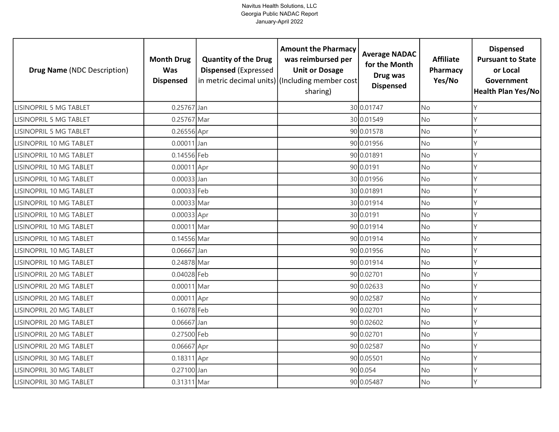| <b>Drug Name (NDC Description)</b> | <b>Month Drug</b><br><b>Was</b><br><b>Dispensed</b> | <b>Quantity of the Drug</b><br><b>Dispensed (Expressed</b> | <b>Amount the Pharmacy</b><br>was reimbursed per<br><b>Unit or Dosage</b><br>in metric decimal units) (Including member cost)<br>sharing) | <b>Average NADAC</b><br>for the Month<br>Drug was<br><b>Dispensed</b> | <b>Affiliate</b><br>Pharmacy<br>Yes/No | <b>Dispensed</b><br><b>Pursuant to State</b><br>or Local<br>Government<br><b>Health Plan Yes/No</b> |
|------------------------------------|-----------------------------------------------------|------------------------------------------------------------|-------------------------------------------------------------------------------------------------------------------------------------------|-----------------------------------------------------------------------|----------------------------------------|-----------------------------------------------------------------------------------------------------|
| <b>LISINOPRIL 5 MG TABLET</b>      | 0.25767 Jan                                         |                                                            |                                                                                                                                           | 30 0.01747                                                            | <b>No</b>                              | Υ                                                                                                   |
| <b>LISINOPRIL 5 MG TABLET</b>      | 0.25767 Mar                                         |                                                            |                                                                                                                                           | 30 0.01549                                                            | No                                     | Υ                                                                                                   |
| <b>LISINOPRIL 5 MG TABLET</b>      | 0.26556 Apr                                         |                                                            |                                                                                                                                           | 90 0.01578                                                            | <b>No</b>                              | Υ                                                                                                   |
| LISINOPRIL 10 MG TABLET            | 0.00011 Jan                                         |                                                            |                                                                                                                                           | 90 0.01956                                                            | No                                     | Υ                                                                                                   |
| LISINOPRIL 10 MG TABLET            | 0.14556 Feb                                         |                                                            |                                                                                                                                           | 90 0.01891                                                            | <b>No</b>                              | Y                                                                                                   |
| LISINOPRIL 10 MG TABLET            | 0.00011 Apr                                         |                                                            |                                                                                                                                           | 90 0.0191                                                             | No                                     |                                                                                                     |
| LISINOPRIL 10 MG TABLET            | 0.00033 Jan                                         |                                                            |                                                                                                                                           | 30 0.01956                                                            | No                                     |                                                                                                     |
| LISINOPRIL 10 MG TABLET            | 0.00033 Feb                                         |                                                            |                                                                                                                                           | 30 0.01891                                                            | No                                     |                                                                                                     |
| LISINOPRIL 10 MG TABLET            | 0.00033 Mar                                         |                                                            |                                                                                                                                           | 30 0.01914                                                            | <b>No</b>                              |                                                                                                     |
| LISINOPRIL 10 MG TABLET            | 0.00033 Apr                                         |                                                            |                                                                                                                                           | 30 0.0191                                                             | <b>No</b>                              |                                                                                                     |
| LISINOPRIL 10 MG TABLET            | 0.00011 Mar                                         |                                                            |                                                                                                                                           | 90 0.01914                                                            | No                                     |                                                                                                     |
| LISINOPRIL 10 MG TABLET            | 0.14556 Mar                                         |                                                            |                                                                                                                                           | 90 0.01914                                                            | <b>No</b>                              |                                                                                                     |
| LISINOPRIL 10 MG TABLET            | 0.06667 Jan                                         |                                                            |                                                                                                                                           | 90 0.01956                                                            | No                                     |                                                                                                     |
| LISINOPRIL 10 MG TABLET            | 0.24878 Mar                                         |                                                            |                                                                                                                                           | 90 0.01914                                                            | <b>No</b>                              | Υ                                                                                                   |
| LISINOPRIL 20 MG TABLET            | 0.04028 Feb                                         |                                                            |                                                                                                                                           | 90 0.02701                                                            | No                                     |                                                                                                     |
| LISINOPRIL 20 MG TABLET            | 0.00011 Mar                                         |                                                            |                                                                                                                                           | 90 0.02633                                                            | <b>No</b>                              | Υ                                                                                                   |
| LISINOPRIL 20 MG TABLET            | 0.00011 Apr                                         |                                                            |                                                                                                                                           | 90 0.02587                                                            | No                                     |                                                                                                     |
| LISINOPRIL 20 MG TABLET            | 0.16078 Feb                                         |                                                            |                                                                                                                                           | 90 0.02701                                                            | <b>No</b>                              | γ                                                                                                   |
| LISINOPRIL 20 MG TABLET            | $0.06667$ Jan                                       |                                                            |                                                                                                                                           | 90 0.02602                                                            | No                                     | Υ                                                                                                   |
| LISINOPRIL 20 MG TABLET            | 0.27500 Feb                                         |                                                            |                                                                                                                                           | 90 0.02701                                                            | No                                     | γ                                                                                                   |
| LISINOPRIL 20 MG TABLET            | 0.06667 Apr                                         |                                                            |                                                                                                                                           | 90 0.02587                                                            | No                                     |                                                                                                     |
| LISINOPRIL 30 MG TABLET            | 0.18311 Apr                                         |                                                            |                                                                                                                                           | 90 0.05501                                                            | No                                     |                                                                                                     |
| LISINOPRIL 30 MG TABLET            | 0.27100 Jan                                         |                                                            |                                                                                                                                           | 90 0.054                                                              | No                                     |                                                                                                     |
| LISINOPRIL 30 MG TABLET            | 0.31311 Mar                                         |                                                            |                                                                                                                                           | 90 0.05487                                                            | No                                     |                                                                                                     |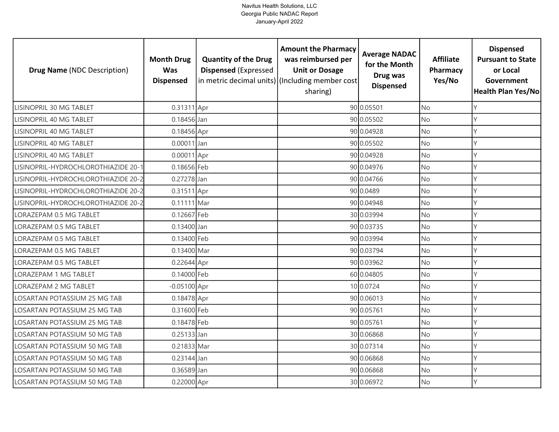| <b>Drug Name (NDC Description)</b>  | <b>Month Drug</b><br><b>Was</b><br><b>Dispensed</b> | <b>Quantity of the Drug</b><br><b>Dispensed (Expressed</b> | <b>Amount the Pharmacy</b><br>was reimbursed per<br><b>Unit or Dosage</b><br>in metric decimal units) (Including member cost)<br>sharing) | <b>Average NADAC</b><br>for the Month<br>Drug was<br><b>Dispensed</b> | <b>Affiliate</b><br>Pharmacy<br>Yes/No | <b>Dispensed</b><br><b>Pursuant to State</b><br>or Local<br>Government<br><b>Health Plan Yes/No</b> |
|-------------------------------------|-----------------------------------------------------|------------------------------------------------------------|-------------------------------------------------------------------------------------------------------------------------------------------|-----------------------------------------------------------------------|----------------------------------------|-----------------------------------------------------------------------------------------------------|
| LISINOPRIL 30 MG TABLET             | 0.31311 Apr                                         |                                                            |                                                                                                                                           | 90 0.05501                                                            | <b>No</b>                              |                                                                                                     |
| LISINOPRIL 40 MG TABLET             | 0.18456 Jan                                         |                                                            |                                                                                                                                           | 90 0.05502                                                            | No                                     |                                                                                                     |
| LISINOPRIL 40 MG TABLET             | 0.18456 Apr                                         |                                                            |                                                                                                                                           | 90 0.04928                                                            | <b>No</b>                              |                                                                                                     |
| <b>LISINOPRIL 40 MG TABLET</b>      | 0.00011 Jan                                         |                                                            |                                                                                                                                           | 90 0.05502                                                            | <b>No</b>                              |                                                                                                     |
| LISINOPRIL 40 MG TABLET             | 0.00011 Apr                                         |                                                            |                                                                                                                                           | 90 0.04928                                                            | <b>No</b>                              |                                                                                                     |
| LISINOPRIL-HYDROCHLOROTHIAZIDE 20-1 | 0.18656 Feb                                         |                                                            |                                                                                                                                           | 90 0.04976                                                            | <b>No</b>                              |                                                                                                     |
| LISINOPRIL-HYDROCHLOROTHIAZIDE 20-2 | 0.27278 Jan                                         |                                                            |                                                                                                                                           | 90 0.04766                                                            | No                                     |                                                                                                     |
| LISINOPRIL-HYDROCHLOROTHIAZIDE 20-2 | 0.31511 Apr                                         |                                                            |                                                                                                                                           | 90 0.0489                                                             | <b>No</b>                              |                                                                                                     |
| LISINOPRIL-HYDROCHLOROTHIAZIDE 20-2 | 0.11111 Mar                                         |                                                            |                                                                                                                                           | 90 0.04948                                                            | <b>No</b>                              |                                                                                                     |
| LORAZEPAM 0.5 MG TABLET             | 0.12667 Feb                                         |                                                            |                                                                                                                                           | 30 0.03994                                                            | <b>No</b>                              |                                                                                                     |
| LORAZEPAM 0.5 MG TABLET             | $0.13400$ Jan                                       |                                                            |                                                                                                                                           | 90 0.03735                                                            | No                                     | γ                                                                                                   |
| LORAZEPAM 0.5 MG TABLET             | 0.13400 Feb                                         |                                                            |                                                                                                                                           | 90 0.03994                                                            | <b>No</b>                              |                                                                                                     |
| LORAZEPAM 0.5 MG TABLET             | 0.13400 Mar                                         |                                                            |                                                                                                                                           | 90 0.03794                                                            | <b>No</b>                              |                                                                                                     |
| LORAZEPAM 0.5 MG TABLET             | 0.22644 Apr                                         |                                                            |                                                                                                                                           | 90 0.03962                                                            | <b>No</b>                              | Υ                                                                                                   |
| LORAZEPAM 1 MG TABLET               | 0.14000 Feb                                         |                                                            |                                                                                                                                           | 60 0.04805                                                            | <b>No</b>                              | Υ                                                                                                   |
| LORAZEPAM 2 MG TABLET               | $-0.05100$ Apr                                      |                                                            |                                                                                                                                           | 10 0.0724                                                             | <b>No</b>                              | Υ                                                                                                   |
| LOSARTAN POTASSIUM 25 MG TAB        | 0.18478 Apr                                         |                                                            |                                                                                                                                           | 90 0.06013                                                            | No                                     | Υ                                                                                                   |
| LOSARTAN POTASSIUM 25 MG TAB        | 0.31600 Feb                                         |                                                            |                                                                                                                                           | 90 0.05761                                                            | <b>No</b>                              | γ                                                                                                   |
| LOSARTAN POTASSIUM 25 MG TAB        | 0.18478 Feb                                         |                                                            |                                                                                                                                           | 90 0.05761                                                            | No                                     | Υ                                                                                                   |
| LOSARTAN POTASSIUM 50 MG TAB        | 0.25133 Jan                                         |                                                            |                                                                                                                                           | 30 0.06868                                                            | <b>No</b>                              | Y                                                                                                   |
| LOSARTAN POTASSIUM 50 MG TAB        | 0.21833 Mar                                         |                                                            |                                                                                                                                           | 30 0.07314                                                            | No                                     |                                                                                                     |
| LOSARTAN POTASSIUM 50 MG TAB        | 0.23144 Jan                                         |                                                            |                                                                                                                                           | 90 0.06868                                                            | No                                     | V                                                                                                   |
| LOSARTAN POTASSIUM 50 MG TAB        | 0.36589 Jan                                         |                                                            |                                                                                                                                           | 90 0.06868                                                            | <b>No</b>                              |                                                                                                     |
| LOSARTAN POTASSIUM 50 MG TAB        | 0.22000 Apr                                         |                                                            |                                                                                                                                           | 30 0.06972                                                            | No                                     | γ                                                                                                   |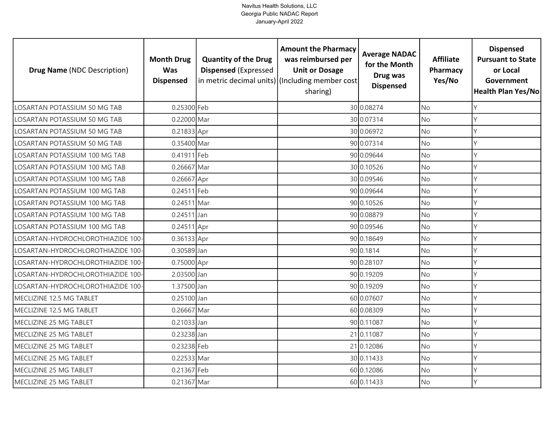| <b>Drug Name (NDC Description)</b> | <b>Month Drug</b><br><b>Was</b><br><b>Dispensed</b> | <b>Quantity of the Drug</b><br><b>Dispensed (Expressed</b> | <b>Amount the Pharmacy</b><br>was reimbursed per<br><b>Unit or Dosage</b><br>in metric decimal units) (Including member cost<br>sharing) | <b>Average NADAC</b><br>for the Month<br>Drug was<br><b>Dispensed</b> | <b>Affiliate</b><br>Pharmacy<br>Yes/No | <b>Dispensed</b><br><b>Pursuant to State</b><br>or Local<br>Government<br>Health Plan Yes/No |
|------------------------------------|-----------------------------------------------------|------------------------------------------------------------|------------------------------------------------------------------------------------------------------------------------------------------|-----------------------------------------------------------------------|----------------------------------------|----------------------------------------------------------------------------------------------|
| LOSARTAN POTASSIUM 50 MG TAB       | 0.25300 Feb                                         |                                                            |                                                                                                                                          | 30 0.08274                                                            | <b>No</b>                              | Y                                                                                            |
| LOSARTAN POTASSIUM 50 MG TAB       | 0.22000 Mar                                         |                                                            |                                                                                                                                          | 30 0.07314                                                            | No                                     | Y                                                                                            |
| LOSARTAN POTASSIUM 50 MG TAB       | 0.21833 Apr                                         |                                                            |                                                                                                                                          | 30 0.06972                                                            | <b>No</b>                              | Y                                                                                            |
| LOSARTAN POTASSIUM 50 MG TAB       | 0.35400 Mar                                         |                                                            |                                                                                                                                          | 90 0.07314                                                            | <b>No</b>                              | Y                                                                                            |
| LOSARTAN POTASSIUM 100 MG TAB      | 0.41911 Feb                                         |                                                            |                                                                                                                                          | 90 0.09644                                                            | <b>No</b>                              | Y                                                                                            |
| LOSARTAN POTASSIUM 100 MG TAB      | 0.26667 Mar                                         |                                                            |                                                                                                                                          | 30 0.10526                                                            | <b>No</b>                              | Y                                                                                            |
| LOSARTAN POTASSIUM 100 MG TAB      | 0.26667 Apr                                         |                                                            |                                                                                                                                          | 30 0.09546                                                            | No                                     | Y                                                                                            |
| LOSARTAN POTASSIUM 100 MG TAB      | $0.24511$ Feb                                       |                                                            |                                                                                                                                          | 90 0.09644                                                            | No                                     | Y                                                                                            |
| LOSARTAN POTASSIUM 100 MG TAB      | 0.24511 Mar                                         |                                                            |                                                                                                                                          | 90 0.10526                                                            | No                                     | γ                                                                                            |
| LOSARTAN POTASSIUM 100 MG TAB      | $0.24511$ Jan                                       |                                                            |                                                                                                                                          | 90 0.08879                                                            | <b>No</b>                              | Y                                                                                            |
| LOSARTAN POTASSIUM 100 MG TAB      | 0.24511 Apr                                         |                                                            |                                                                                                                                          | 90 0.09546                                                            | No                                     | γ                                                                                            |
| LOSARTAN-HYDROCHLOROTHIAZIDE 100-  | 0.36133 Apr                                         |                                                            |                                                                                                                                          | 90 0.18649                                                            | <b>No</b>                              | $\vee$                                                                                       |
| LOSARTAN-HYDROCHLOROTHIAZIDE 100-  | 0.30589 Jan                                         |                                                            |                                                                                                                                          | 90 0.1814                                                             | No                                     | $\vee$                                                                                       |
| LOSARTAN-HYDROCHLOROTHIAZIDE 100-  | 0.75000 Apr                                         |                                                            |                                                                                                                                          | 90 0.28107                                                            | No                                     | Y                                                                                            |
| LOSARTAN-HYDROCHLOROTHIAZIDE 100-  | 2.03500 Jan                                         |                                                            |                                                                                                                                          | 90 0.19209                                                            | <b>No</b>                              | Y                                                                                            |
| LOSARTAN-HYDROCHLOROTHIAZIDE 100-  | 1.37500 Jan                                         |                                                            |                                                                                                                                          | 90 0.19209                                                            | <b>No</b>                              | Y                                                                                            |
| MECLIZINE 12.5 MG TABLET           | 0.25100 Jan                                         |                                                            |                                                                                                                                          | 60 0.07607                                                            | <b>No</b>                              | Y                                                                                            |
| MECLIZINE 12.5 MG TABLET           | 0.26667 Mar                                         |                                                            |                                                                                                                                          | 60 0.08309                                                            | <b>No</b>                              | Y                                                                                            |
| MECLIZINE 25 MG TABLET             | 0.21033 Jan                                         |                                                            |                                                                                                                                          | 90 0.11087                                                            | No                                     | Y                                                                                            |
| MECLIZINE 25 MG TABLET             | 0.23238 Jan                                         |                                                            |                                                                                                                                          | 21 0.11087                                                            | <b>No</b>                              | Υ                                                                                            |
| MECLIZINE 25 MG TABLET             | 0.23238 Feb                                         |                                                            |                                                                                                                                          | 21 0.12086                                                            | No                                     | Y                                                                                            |
| MECLIZINE 25 MG TABLET             | 0.22533 Mar                                         |                                                            |                                                                                                                                          | 30 0.11433                                                            | No                                     | Y                                                                                            |
| MECLIZINE 25 MG TABLET             | 0.21367 Feb                                         |                                                            |                                                                                                                                          | 60 0.12086                                                            | No                                     | Υ                                                                                            |
| MECLIZINE 25 MG TABLET             | 0.21367 Mar                                         |                                                            |                                                                                                                                          | 60 0.11433                                                            | No                                     | Y                                                                                            |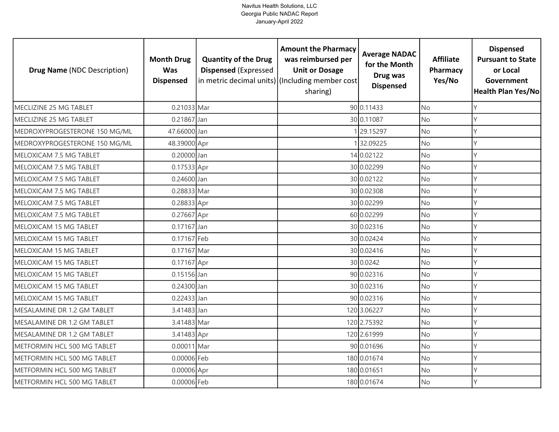| <b>Drug Name (NDC Description)</b> | <b>Month Drug</b><br><b>Was</b><br><b>Dispensed</b> | <b>Quantity of the Drug</b><br><b>Dispensed (Expressed</b> | <b>Amount the Pharmacy</b><br>was reimbursed per<br><b>Unit or Dosage</b><br>in metric decimal units) (Including member cost<br>sharing) | <b>Average NADAC</b><br>for the Month<br>Drug was<br><b>Dispensed</b> | <b>Affiliate</b><br>Pharmacy<br>Yes/No | <b>Dispensed</b><br><b>Pursuant to State</b><br>or Local<br>Government<br><b>Health Plan Yes/No</b> |
|------------------------------------|-----------------------------------------------------|------------------------------------------------------------|------------------------------------------------------------------------------------------------------------------------------------------|-----------------------------------------------------------------------|----------------------------------------|-----------------------------------------------------------------------------------------------------|
| MECLIZINE 25 MG TABLET             | 0.21033 Mar                                         |                                                            |                                                                                                                                          | 90 0.11433                                                            | <b>No</b>                              |                                                                                                     |
| MECLIZINE 25 MG TABLET             | $0.21867$ Jan                                       |                                                            |                                                                                                                                          | 30 0.11087                                                            | <b>No</b>                              | Υ                                                                                                   |
| MEDROXYPROGESTERONE 150 MG/ML      | 47.66000 Jan                                        |                                                            |                                                                                                                                          | 29.15297                                                              | <b>No</b>                              | Υ                                                                                                   |
| MEDROXYPROGESTERONE 150 MG/ML      | 48.39000 Apr                                        |                                                            |                                                                                                                                          | 32.09225                                                              | No                                     |                                                                                                     |
| MELOXICAM 7.5 MG TABLET            | 0.20000 Jan                                         |                                                            |                                                                                                                                          | 14 0.02122                                                            | <b>No</b>                              | γ                                                                                                   |
| MELOXICAM 7.5 MG TABLET            | 0.17533 Apr                                         |                                                            |                                                                                                                                          | 30 0.02299                                                            | No                                     |                                                                                                     |
| MELOXICAM 7.5 MG TABLET            | 0.24600 Jan                                         |                                                            |                                                                                                                                          | 30 0.02122                                                            | No                                     | Y                                                                                                   |
| MELOXICAM 7.5 MG TABLET            | 0.28833 Mar                                         |                                                            |                                                                                                                                          | 30 0.02308                                                            | <b>No</b>                              |                                                                                                     |
| MELOXICAM 7.5 MG TABLET            | 0.28833 Apr                                         |                                                            |                                                                                                                                          | 30 0.02299                                                            | No                                     |                                                                                                     |
| MELOXICAM 7.5 MG TABLET            | 0.27667 Apr                                         |                                                            |                                                                                                                                          | 60 0.02299                                                            | <b>No</b>                              |                                                                                                     |
| MELOXICAM 15 MG TABLET             | 0.17167 Jan                                         |                                                            |                                                                                                                                          | 30 0.02316                                                            | No                                     |                                                                                                     |
| MELOXICAM 15 MG TABLET             | 0.17167 Feb                                         |                                                            |                                                                                                                                          | 30 0.02424                                                            | <b>No</b>                              |                                                                                                     |
| MELOXICAM 15 MG TABLET             | 0.17167 Mar                                         |                                                            |                                                                                                                                          | 30 0.02416                                                            | <b>No</b>                              |                                                                                                     |
| MELOXICAM 15 MG TABLET             | 0.17167 Apr                                         |                                                            |                                                                                                                                          | 30 0.0242                                                             | No                                     | Υ                                                                                                   |
| MELOXICAM 15 MG TABLET             | 0.15156 Jan                                         |                                                            |                                                                                                                                          | 90 0.02316                                                            | No                                     | Υ                                                                                                   |
| MELOXICAM 15 MG TABLET             | 0.24300 Jan                                         |                                                            |                                                                                                                                          | 30 0.02316                                                            | <b>No</b>                              | Υ                                                                                                   |
| MELOXICAM 15 MG TABLET             | $0.22433$ Jan                                       |                                                            |                                                                                                                                          | 90 0.02316                                                            | <b>No</b>                              | Y                                                                                                   |
| MESALAMINE DR 1.2 GM TABLET        | 3.41483 Jan                                         |                                                            |                                                                                                                                          | 120 3.06227                                                           | <b>No</b>                              |                                                                                                     |
| MESALAMINE DR 1.2 GM TABLET        | 3.41483 Mar                                         |                                                            |                                                                                                                                          | 120 2.75392                                                           | No                                     | γ                                                                                                   |
| MESALAMINE DR 1.2 GM TABLET        | 3.41483 Apr                                         |                                                            |                                                                                                                                          | 120 2.61999                                                           | <b>No</b>                              |                                                                                                     |
| METFORMIN HCL 500 MG TABLET        | 0.00011 Mar                                         |                                                            |                                                                                                                                          | 90 0.01696                                                            | No                                     |                                                                                                     |
| METFORMIN HCL 500 MG TABLET        | 0.00006 Feb                                         |                                                            |                                                                                                                                          | 180 0.01674                                                           | No                                     | V                                                                                                   |
| METFORMIN HCL 500 MG TABLET        | 0.00006 Apr                                         |                                                            |                                                                                                                                          | 180 0.01651                                                           | No                                     |                                                                                                     |
| METFORMIN HCL 500 MG TABLET        | 0.00006 Feb                                         |                                                            |                                                                                                                                          | 180 0.01674                                                           | <b>No</b>                              | Y                                                                                                   |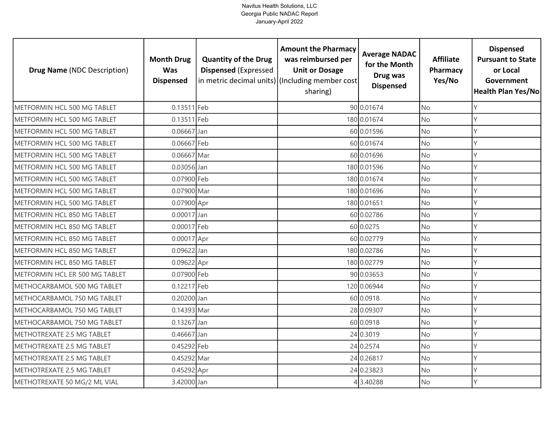| <b>Drug Name (NDC Description)</b> | <b>Month Drug</b><br><b>Was</b><br><b>Dispensed</b> | <b>Quantity of the Drug</b><br><b>Dispensed (Expressed</b> | <b>Amount the Pharmacy</b><br>was reimbursed per<br><b>Unit or Dosage</b><br>in metric decimal units) (Including member cost<br>sharing) | <b>Average NADAC</b><br>for the Month<br>Drug was<br><b>Dispensed</b> | <b>Affiliate</b><br>Pharmacy<br>Yes/No | <b>Dispensed</b><br><b>Pursuant to State</b><br>or Local<br>Government<br><b>Health Plan Yes/No</b> |
|------------------------------------|-----------------------------------------------------|------------------------------------------------------------|------------------------------------------------------------------------------------------------------------------------------------------|-----------------------------------------------------------------------|----------------------------------------|-----------------------------------------------------------------------------------------------------|
| METFORMIN HCL 500 MG TABLET        | $0.13511$ Feb                                       |                                                            |                                                                                                                                          | 90 0.01674                                                            | <b>No</b>                              | γ                                                                                                   |
| METFORMIN HCL 500 MG TABLET        | 0.13511 Feb                                         |                                                            |                                                                                                                                          | 180 0.01674                                                           | <b>No</b>                              | Υ                                                                                                   |
| METFORMIN HCL 500 MG TABLET        | $0.06667$ Jan                                       |                                                            |                                                                                                                                          | 60 0.01596                                                            | <b>No</b>                              | Υ                                                                                                   |
| METFORMIN HCL 500 MG TABLET        | 0.06667 Feb                                         |                                                            |                                                                                                                                          | 60 0.01674                                                            | No                                     | Υ                                                                                                   |
| METFORMIN HCL 500 MG TABLET        | 0.06667 Mar                                         |                                                            |                                                                                                                                          | 60 0.01696                                                            | <b>No</b>                              | γ                                                                                                   |
| METFORMIN HCL 500 MG TABLET        | 0.03056 Jan                                         |                                                            |                                                                                                                                          | 180 0.01596                                                           | <b>No</b>                              | γ                                                                                                   |
| METFORMIN HCL 500 MG TABLET        | 0.07900 Feb                                         |                                                            |                                                                                                                                          | 180 0.01674                                                           | No                                     | V                                                                                                   |
| METFORMIN HCL 500 MG TABLET        | 0.07900 Mar                                         |                                                            |                                                                                                                                          | 180 0.01696                                                           | <b>No</b>                              |                                                                                                     |
| METFORMIN HCL 500 MG TABLET        | 0.07900 Apr                                         |                                                            |                                                                                                                                          | 180 0.01651                                                           | No                                     |                                                                                                     |
| METFORMIN HCL 850 MG TABLET        | $0.00017$ Jan                                       |                                                            |                                                                                                                                          | 60 0.02786                                                            | <b>No</b>                              | γ                                                                                                   |
| METFORMIN HCL 850 MG TABLET        | 0.00017 Feb                                         |                                                            |                                                                                                                                          | 60 0.0275                                                             | No                                     | V                                                                                                   |
| METFORMIN HCL 850 MG TABLET        | $0.00017$ Apr                                       |                                                            |                                                                                                                                          | 60 0.02779                                                            | <b>No</b>                              | Y                                                                                                   |
| METFORMIN HCL 850 MG TABLET        | 0.09622 Jan                                         |                                                            |                                                                                                                                          | 180 0.02786                                                           | No                                     |                                                                                                     |
| METFORMIN HCL 850 MG TABLET        | 0.09622 Apr                                         |                                                            |                                                                                                                                          | 180 0.02779                                                           | <b>No</b>                              | Υ                                                                                                   |
| METFORMIN HCL ER 500 MG TABLET     | 0.07900 Feb                                         |                                                            |                                                                                                                                          | 90 0.03653                                                            | No                                     | Υ                                                                                                   |
| METHOCARBAMOL 500 MG TABLET        | 0.12217 Feb                                         |                                                            |                                                                                                                                          | 120 0.06944                                                           | <b>No</b>                              | Υ                                                                                                   |
| METHOCARBAMOL 750 MG TABLET        | 0.20200 Jan                                         |                                                            |                                                                                                                                          | 60 0.0918                                                             | <b>No</b>                              | Υ                                                                                                   |
| METHOCARBAMOL 750 MG TABLET        | 0.14393 Mar                                         |                                                            |                                                                                                                                          | 28 0.09307                                                            | <b>No</b>                              | γ                                                                                                   |
| METHOCARBAMOL 750 MG TABLET        | 0.13267 Jan                                         |                                                            |                                                                                                                                          | 60 0.0918                                                             | No                                     | Υ                                                                                                   |
| METHOTREXATE 2.5 MG TABLET         | 0.46667 Jan                                         |                                                            |                                                                                                                                          | 24 0.3019                                                             | <b>No</b>                              | Y                                                                                                   |
| METHOTREXATE 2.5 MG TABLET         | 0.45292 Feb                                         |                                                            |                                                                                                                                          | 24 0.2574                                                             | No                                     |                                                                                                     |
| METHOTREXATE 2.5 MG TABLET         | 0.45292 Mar                                         |                                                            |                                                                                                                                          | 24 0.26817                                                            | No                                     | V                                                                                                   |
| METHOTREXATE 2.5 MG TABLET         | 0.45292 Apr                                         |                                                            |                                                                                                                                          | 24 0.23823                                                            | <b>No</b>                              |                                                                                                     |
| METHOTREXATE 50 MG/2 ML VIAL       | 3.42000 Jan                                         |                                                            |                                                                                                                                          | 3.40288                                                               | No                                     | γ                                                                                                   |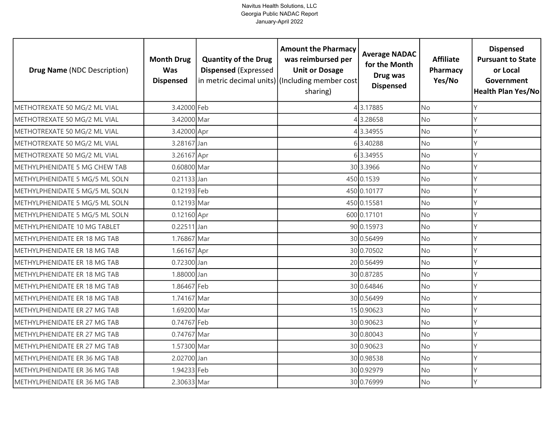| <b>Drug Name (NDC Description)</b> | <b>Month Drug</b><br><b>Was</b><br><b>Dispensed</b> | <b>Quantity of the Drug</b><br><b>Dispensed (Expressed</b> | <b>Amount the Pharmacy</b><br>was reimbursed per<br><b>Unit or Dosage</b><br>in metric decimal units) (Including member cost<br>sharing) | <b>Average NADAC</b><br>for the Month<br>Drug was<br><b>Dispensed</b> | <b>Affiliate</b><br>Pharmacy<br>Yes/No | <b>Dispensed</b><br><b>Pursuant to State</b><br>or Local<br>Government<br><b>Health Plan Yes/No</b> |
|------------------------------------|-----------------------------------------------------|------------------------------------------------------------|------------------------------------------------------------------------------------------------------------------------------------------|-----------------------------------------------------------------------|----------------------------------------|-----------------------------------------------------------------------------------------------------|
| METHOTREXATE 50 MG/2 ML VIAL       | 3.42000 Feb                                         |                                                            |                                                                                                                                          | 43.17885                                                              | <b>No</b>                              | Υ                                                                                                   |
| METHOTREXATE 50 MG/2 ML VIAL       | 3.42000 Mar                                         |                                                            |                                                                                                                                          | 3.28658                                                               | <b>No</b>                              | Y                                                                                                   |
| METHOTREXATE 50 MG/2 ML VIAL       | 3.42000 Apr                                         |                                                            |                                                                                                                                          | 43.34955                                                              | <b>No</b>                              | Υ                                                                                                   |
| METHOTREXATE 50 MG/2 ML VIAL       | 3.28167 Jan                                         |                                                            |                                                                                                                                          | 63.40288                                                              | <b>No</b>                              | Υ                                                                                                   |
| METHOTREXATE 50 MG/2 ML VIAL       | 3.26167 Apr                                         |                                                            |                                                                                                                                          | 63.34955                                                              | <b>No</b>                              | γ                                                                                                   |
| METHYLPHENIDATE 5 MG CHEW TAB      | 0.60800 Mar                                         |                                                            |                                                                                                                                          | 30 3.3966                                                             | <b>No</b>                              | Υ                                                                                                   |
| METHYLPHENIDATE 5 MG/5 ML SOLN     | $0.21133$ Jan                                       |                                                            |                                                                                                                                          | 450 0.1539                                                            | <b>No</b>                              | γ                                                                                                   |
| METHYLPHENIDATE 5 MG/5 ML SOLN     | 0.12193 Feb                                         |                                                            |                                                                                                                                          | 450 0.10177                                                           | <b>No</b>                              |                                                                                                     |
| METHYLPHENIDATE 5 MG/5 ML SOLN     | 0.12193 Mar                                         |                                                            |                                                                                                                                          | 450 0.15581                                                           | <b>No</b>                              | Y                                                                                                   |
| METHYLPHENIDATE 5 MG/5 ML SOLN     | 0.12160 Apr                                         |                                                            |                                                                                                                                          | 600 0.17101                                                           | <b>No</b>                              | Υ                                                                                                   |
| METHYLPHENIDATE 10 MG TABLET       | $0.22511$ Jan                                       |                                                            |                                                                                                                                          | 90 0.15973                                                            | <b>No</b>                              | Y                                                                                                   |
| METHYLPHENIDATE ER 18 MG TAB       | 1.76867 Mar                                         |                                                            |                                                                                                                                          | 30 0.56499                                                            | <b>No</b>                              |                                                                                                     |
| METHYLPHENIDATE ER 18 MG TAB       | 1.66167 Apr                                         |                                                            |                                                                                                                                          | 30 0.70502                                                            | No                                     |                                                                                                     |
| METHYLPHENIDATE ER 18 MG TAB       | 0.72300 Jan                                         |                                                            |                                                                                                                                          | 20 0.56499                                                            | <b>No</b>                              | γ                                                                                                   |
| METHYLPHENIDATE ER 18 MG TAB       | 1.88000 Jan                                         |                                                            |                                                                                                                                          | 30 0.87285                                                            | No                                     | γ                                                                                                   |
| METHYLPHENIDATE ER 18 MG TAB       | 1.86467 Feb                                         |                                                            |                                                                                                                                          | 30 0.64846                                                            | <b>No</b>                              | γ                                                                                                   |
| METHYLPHENIDATE ER 18 MG TAB       | 1.74167 Mar                                         |                                                            |                                                                                                                                          | 30 0.56499                                                            | <b>No</b>                              | Y                                                                                                   |
| METHYLPHENIDATE ER 27 MG TAB       | 1.69200 Mar                                         |                                                            |                                                                                                                                          | 15 0.90623                                                            | <b>No</b>                              | Υ                                                                                                   |
| METHYLPHENIDATE ER 27 MG TAB       | 0.74767 Feb                                         |                                                            |                                                                                                                                          | 30 0.90623                                                            | <b>No</b>                              | γ                                                                                                   |
| METHYLPHENIDATE ER 27 MG TAB       | 0.74767 Mar                                         |                                                            |                                                                                                                                          | 30 0.80043                                                            | <b>No</b>                              | γ                                                                                                   |
| METHYLPHENIDATE ER 27 MG TAB       | 1.57300 Mar                                         |                                                            |                                                                                                                                          | 30 0.90623                                                            | <b>No</b>                              | Υ                                                                                                   |
| METHYLPHENIDATE ER 36 MG TAB       | 2.02700 Jan                                         |                                                            |                                                                                                                                          | 30 0.98538                                                            | No                                     | Y                                                                                                   |
| METHYLPHENIDATE ER 36 MG TAB       | 1.94233 Feb                                         |                                                            |                                                                                                                                          | 30 0.92979                                                            | No                                     |                                                                                                     |
| METHYLPHENIDATE ER 36 MG TAB       | 2.30633 Mar                                         |                                                            |                                                                                                                                          | 30 0.76999                                                            | <b>No</b>                              | Y                                                                                                   |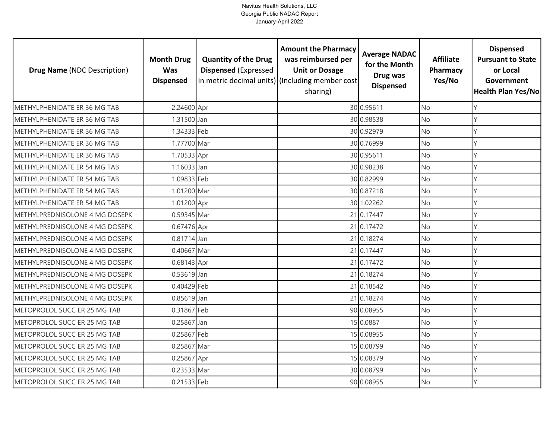| <b>Drug Name (NDC Description)</b>    | <b>Month Drug</b><br><b>Was</b><br><b>Dispensed</b> | <b>Quantity of the Drug</b><br><b>Dispensed (Expressed</b> | <b>Amount the Pharmacy</b><br>was reimbursed per<br><b>Unit or Dosage</b><br>in metric decimal units) (Including member cost<br>sharing) | <b>Average NADAC</b><br>for the Month<br>Drug was<br><b>Dispensed</b> | <b>Affiliate</b><br>Pharmacy<br>Yes/No | <b>Dispensed</b><br><b>Pursuant to State</b><br>or Local<br>Government<br><b>Health Plan Yes/No</b> |
|---------------------------------------|-----------------------------------------------------|------------------------------------------------------------|------------------------------------------------------------------------------------------------------------------------------------------|-----------------------------------------------------------------------|----------------------------------------|-----------------------------------------------------------------------------------------------------|
| METHYLPHENIDATE ER 36 MG TAB          | 2.24600 Apr                                         |                                                            |                                                                                                                                          | 30 0.95611                                                            | <b>No</b>                              | γ                                                                                                   |
| METHYLPHENIDATE ER 36 MG TAB          | 1.31500 Jan                                         |                                                            |                                                                                                                                          | 30 0.98538                                                            | <b>No</b>                              | Υ                                                                                                   |
| METHYLPHENIDATE ER 36 MG TAB          | 1.34333 Feb                                         |                                                            |                                                                                                                                          | 30 0.92979                                                            | <b>No</b>                              | Υ                                                                                                   |
| METHYLPHENIDATE ER 36 MG TAB          | 1.77700 Mar                                         |                                                            |                                                                                                                                          | 30 0.76999                                                            | <b>No</b>                              | Υ                                                                                                   |
| METHYLPHENIDATE ER 36 MG TAB          | 1.70533 Apr                                         |                                                            |                                                                                                                                          | 30 0.95611                                                            | <b>No</b>                              | γ                                                                                                   |
| METHYLPHENIDATE ER 54 MG TAB          | 1.16033 Jan                                         |                                                            |                                                                                                                                          | 30 0.98238                                                            | <b>No</b>                              | Υ                                                                                                   |
| METHYLPHENIDATE ER 54 MG TAB          | 1.09833 Feb                                         |                                                            |                                                                                                                                          | 30 0.82999                                                            | <b>No</b>                              | Y                                                                                                   |
| METHYLPHENIDATE ER 54 MG TAB          | 1.01200 Mar                                         |                                                            |                                                                                                                                          | 30 0.87218                                                            | <b>No</b>                              |                                                                                                     |
| METHYLPHENIDATE ER 54 MG TAB          | 1.01200 Apr                                         |                                                            |                                                                                                                                          | 30 1.02262                                                            | No                                     |                                                                                                     |
| METHYLPREDNISOLONE 4 MG DOSEPK        | 0.59345 Mar                                         |                                                            |                                                                                                                                          | 21 0.17447                                                            | <b>No</b>                              | γ                                                                                                   |
| <b>METHYLPREDNISOLONE 4 MG DOSEPK</b> | 0.67476 Apr                                         |                                                            |                                                                                                                                          | 21 0.17472                                                            | No                                     | V                                                                                                   |
| METHYLPREDNISOLONE 4 MG DOSEPK        | $0.81714$ Jan                                       |                                                            |                                                                                                                                          | 21 0.18274                                                            | <b>No</b>                              | Y                                                                                                   |
| METHYLPREDNISOLONE 4 MG DOSEPK        | 0.40667 Mar                                         |                                                            |                                                                                                                                          | 21 0.17447                                                            | No                                     |                                                                                                     |
| METHYLPREDNISOLONE 4 MG DOSEPK        | 0.68143 Apr                                         |                                                            |                                                                                                                                          | 21 0.17472                                                            | <b>No</b>                              | Υ                                                                                                   |
| METHYLPREDNISOLONE 4 MG DOSEPK        | 0.53619 Jan                                         |                                                            |                                                                                                                                          | 21 0.18274                                                            | No                                     | Υ                                                                                                   |
| METHYLPREDNISOLONE 4 MG DOSEPK        | 0.40429 Feb                                         |                                                            |                                                                                                                                          | 21 0.18542                                                            | <b>No</b>                              | Υ                                                                                                   |
| METHYLPREDNISOLONE 4 MG DOSEPK        | 0.85619 Jan                                         |                                                            |                                                                                                                                          | 21 0.18274                                                            | <b>No</b>                              | Υ                                                                                                   |
| METOPROLOL SUCC ER 25 MG TAB          | 0.31867 Feb                                         |                                                            |                                                                                                                                          | 90 0.08955                                                            | <b>No</b>                              | γ                                                                                                   |
| METOPROLOL SUCC ER 25 MG TAB          | 0.25867 Jan                                         |                                                            |                                                                                                                                          | 15 0.0887                                                             | No                                     | Υ                                                                                                   |
| METOPROLOL SUCC ER 25 MG TAB          | 0.25867 Feb                                         |                                                            |                                                                                                                                          | 15 0.08955                                                            | <b>No</b>                              | γ                                                                                                   |
| METOPROLOL SUCC ER 25 MG TAB          | 0.25867 Mar                                         |                                                            |                                                                                                                                          | 15 0.08799                                                            | <b>No</b>                              | γ                                                                                                   |
| METOPROLOL SUCC ER 25 MG TAB          | 0.25867 Apr                                         |                                                            |                                                                                                                                          | 15 0.08379                                                            | No                                     | V                                                                                                   |
| METOPROLOL SUCC ER 25 MG TAB          | 0.23533 Mar                                         |                                                            |                                                                                                                                          | 30 0.08799                                                            | <b>No</b>                              |                                                                                                     |
| METOPROLOL SUCC ER 25 MG TAB          | 0.21533 Feb                                         |                                                            |                                                                                                                                          | 90 0.08955                                                            | No                                     | γ                                                                                                   |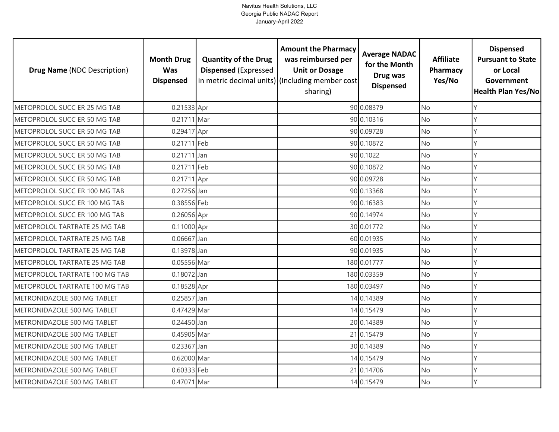| <b>Drug Name (NDC Description)</b> | <b>Month Drug</b><br><b>Was</b><br><b>Dispensed</b> | <b>Quantity of the Drug</b><br><b>Dispensed (Expressed</b> | <b>Amount the Pharmacy</b><br>was reimbursed per<br><b>Unit or Dosage</b><br>in metric decimal units) (Including member cost<br>sharing) | <b>Average NADAC</b><br>for the Month<br>Drug was<br><b>Dispensed</b> | <b>Affiliate</b><br>Pharmacy<br>Yes/No | <b>Dispensed</b><br><b>Pursuant to State</b><br>or Local<br>Government<br><b>Health Plan Yes/No</b> |
|------------------------------------|-----------------------------------------------------|------------------------------------------------------------|------------------------------------------------------------------------------------------------------------------------------------------|-----------------------------------------------------------------------|----------------------------------------|-----------------------------------------------------------------------------------------------------|
| METOPROLOL SUCC ER 25 MG TAB       | 0.21533 Apr                                         |                                                            |                                                                                                                                          | 90 0.08379                                                            | <b>No</b>                              | Υ                                                                                                   |
| METOPROLOL SUCC ER 50 MG TAB       | 0.21711 Mar                                         |                                                            |                                                                                                                                          | 90 0.10316                                                            | <b>No</b>                              | Y                                                                                                   |
| METOPROLOL SUCC ER 50 MG TAB       | 0.29417 Apr                                         |                                                            |                                                                                                                                          | 90 0.09728                                                            | <b>No</b>                              | Υ                                                                                                   |
| METOPROLOL SUCC ER 50 MG TAB       | 0.21711 Feb                                         |                                                            |                                                                                                                                          | 90 0.10872                                                            | <b>No</b>                              | Υ                                                                                                   |
| METOPROLOL SUCC ER 50 MG TAB       | 0.21711 Jan                                         |                                                            |                                                                                                                                          | 90 0.1022                                                             | <b>No</b>                              |                                                                                                     |
| METOPROLOL SUCC ER 50 MG TAB       | 0.21711 Feb                                         |                                                            |                                                                                                                                          | 90 0.10872                                                            | <b>No</b>                              |                                                                                                     |
| METOPROLOL SUCC ER 50 MG TAB       | 0.21711 Apr                                         |                                                            |                                                                                                                                          | 90 0.09728                                                            | No                                     | γ                                                                                                   |
| METOPROLOL SUCC ER 100 MG TAB      | 0.27256 Jan                                         |                                                            |                                                                                                                                          | 90 0.13368                                                            | <b>No</b>                              |                                                                                                     |
| METOPROLOL SUCC ER 100 MG TAB      | 0.38556 Feb                                         |                                                            |                                                                                                                                          | 90 0.16383                                                            | <b>No</b>                              |                                                                                                     |
| METOPROLOL SUCC ER 100 MG TAB      | 0.26056 Apr                                         |                                                            |                                                                                                                                          | 90 0.14974                                                            | <b>No</b>                              | Υ                                                                                                   |
| METOPROLOL TARTRATE 25 MG TAB      | 0.11000 Apr                                         |                                                            |                                                                                                                                          | 30 0.01772                                                            | <b>No</b>                              | Y                                                                                                   |
| METOPROLOL TARTRATE 25 MG TAB      | $0.06667$ Jan                                       |                                                            |                                                                                                                                          | 60 0.01935                                                            | <b>No</b>                              |                                                                                                     |
| METOPROLOL TARTRATE 25 MG TAB      | 0.13978 Jan                                         |                                                            |                                                                                                                                          | 90 0.01935                                                            | No                                     |                                                                                                     |
| METOPROLOL TARTRATE 25 MG TAB      | 0.05556 Mar                                         |                                                            |                                                                                                                                          | 180 0.01777                                                           | <b>No</b>                              | Υ                                                                                                   |
| METOPROLOL TARTRATE 100 MG TAB     | 0.18072 Jan                                         |                                                            |                                                                                                                                          | 180 0.03359                                                           | No                                     | Υ                                                                                                   |
| METOPROLOL TARTRATE 100 MG TAB     | 0.18528 Apr                                         |                                                            |                                                                                                                                          | 180 0.03497                                                           | No                                     | γ                                                                                                   |
| METRONIDAZOLE 500 MG TABLET        | 0.25857 Jan                                         |                                                            |                                                                                                                                          | 14 0.14389                                                            | <b>No</b>                              | Y                                                                                                   |
| METRONIDAZOLE 500 MG TABLET        | 0.47429 Mar                                         |                                                            |                                                                                                                                          | 14 0.15479                                                            | <b>No</b>                              | Υ                                                                                                   |
| METRONIDAZOLE 500 MG TABLET        | 0.24450 Jan                                         |                                                            |                                                                                                                                          | 20 0.14389                                                            | <b>No</b>                              | γ                                                                                                   |
| METRONIDAZOLE 500 MG TABLET        | 0.45905 Mar                                         |                                                            |                                                                                                                                          | 21 0.15479                                                            | <b>No</b>                              | Y                                                                                                   |
| METRONIDAZOLE 500 MG TABLET        | 0.23367 Jan                                         |                                                            |                                                                                                                                          | 30 0.14389                                                            | <b>No</b>                              | Υ                                                                                                   |
| METRONIDAZOLE 500 MG TABLET        | 0.62000 Mar                                         |                                                            |                                                                                                                                          | 14 0.15479                                                            | <b>No</b>                              | V                                                                                                   |
| METRONIDAZOLE 500 MG TABLET        | 0.60333 Feb                                         |                                                            |                                                                                                                                          | 21 0.14706                                                            | No                                     |                                                                                                     |
| METRONIDAZOLE 500 MG TABLET        | 0.47071 Mar                                         |                                                            |                                                                                                                                          | 14 0.15479                                                            | <b>No</b>                              | γ                                                                                                   |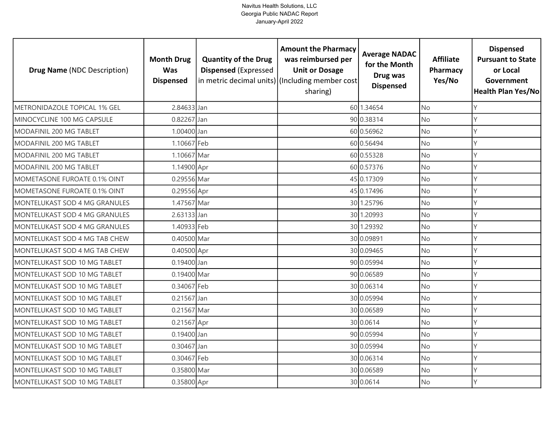| <b>Drug Name (NDC Description)</b> | <b>Month Drug</b><br><b>Was</b><br><b>Dispensed</b> | <b>Quantity of the Drug</b><br><b>Dispensed (Expressed</b> | <b>Amount the Pharmacy</b><br>was reimbursed per<br><b>Unit or Dosage</b><br>in metric decimal units) (Including member cost<br>sharing) | <b>Average NADAC</b><br>for the Month<br>Drug was<br><b>Dispensed</b> | <b>Affiliate</b><br>Pharmacy<br>Yes/No | <b>Dispensed</b><br><b>Pursuant to State</b><br>or Local<br>Government<br><b>Health Plan Yes/No</b> |
|------------------------------------|-----------------------------------------------------|------------------------------------------------------------|------------------------------------------------------------------------------------------------------------------------------------------|-----------------------------------------------------------------------|----------------------------------------|-----------------------------------------------------------------------------------------------------|
| METRONIDAZOLE TOPICAL 1% GEL       | 2.84633 Jan                                         |                                                            |                                                                                                                                          | 60 1.34654                                                            | <b>No</b>                              | Υ                                                                                                   |
| MINOCYCLINE 100 MG CAPSULE         | 0.82267 Jan                                         |                                                            |                                                                                                                                          | 90 0.38314                                                            | <b>No</b>                              | Υ                                                                                                   |
| MODAFINIL 200 MG TABLET            | 1.00400 Jan                                         |                                                            |                                                                                                                                          | 60 0.56962                                                            | <b>No</b>                              |                                                                                                     |
| MODAFINIL 200 MG TABLET            | 1.10667 Feb                                         |                                                            |                                                                                                                                          | 60 0.56494                                                            | <b>No</b>                              |                                                                                                     |
| MODAFINIL 200 MG TABLET            | 1.10667 Mar                                         |                                                            |                                                                                                                                          | 60 0.55328                                                            | <b>No</b>                              |                                                                                                     |
| MODAFINIL 200 MG TABLET            | 1.14900 Apr                                         |                                                            |                                                                                                                                          | 60 0.57376                                                            | No                                     |                                                                                                     |
| MOMETASONE FUROATE 0.1% OINT       | 0.29556 Mar                                         |                                                            |                                                                                                                                          | 45 0.17309                                                            | No                                     | Y                                                                                                   |
| MOMETASONE FUROATE 0.1% OINT       | 0.29556 Apr                                         |                                                            |                                                                                                                                          | 45 0.17496                                                            | <b>No</b>                              |                                                                                                     |
| MONTELUKAST SOD 4 MG GRANULES      | 1.47567 Mar                                         |                                                            |                                                                                                                                          | 30 1.25796                                                            | <b>No</b>                              |                                                                                                     |
| MONTELUKAST SOD 4 MG GRANULES      | 2.63133 Jan                                         |                                                            |                                                                                                                                          | 30 1.20993                                                            | <b>No</b>                              | Υ                                                                                                   |
| MONTELUKAST SOD 4 MG GRANULES      | 1.40933 Feb                                         |                                                            |                                                                                                                                          | 30 1.29392                                                            | <b>No</b>                              |                                                                                                     |
| MONTELUKAST SOD 4 MG TAB CHEW      | 0.40500 Mar                                         |                                                            |                                                                                                                                          | 30 0.09891                                                            | <b>No</b>                              |                                                                                                     |
| MONTELUKAST SOD 4 MG TAB CHEW      | 0.40500 Apr                                         |                                                            |                                                                                                                                          | 30 0.09465                                                            | No                                     |                                                                                                     |
| MONTELUKAST SOD 10 MG TABLET       | 0.19400 Jan                                         |                                                            |                                                                                                                                          | 90 0.05994                                                            | <b>No</b>                              | γ                                                                                                   |
| MONTELUKAST SOD 10 MG TABLET       | 0.19400 Mar                                         |                                                            |                                                                                                                                          | 90 0.06589                                                            | No                                     | γ                                                                                                   |
| MONTELUKAST SOD 10 MG TABLET       | 0.34067 Feb                                         |                                                            |                                                                                                                                          | 30 0.06314                                                            | <b>No</b>                              |                                                                                                     |
| MONTELUKAST SOD 10 MG TABLET       | 0.21567 Jan                                         |                                                            |                                                                                                                                          | 30 0.05994                                                            | <b>No</b>                              | Y                                                                                                   |
| MONTELUKAST SOD 10 MG TABLET       | 0.21567 Mar                                         |                                                            |                                                                                                                                          | 30 0.06589                                                            | <b>No</b>                              |                                                                                                     |
| MONTELUKAST SOD 10 MG TABLET       | 0.21567 Apr                                         |                                                            |                                                                                                                                          | 30 0.0614                                                             | No                                     |                                                                                                     |
| MONTELUKAST SOD 10 MG TABLET       | 0.19400 Jan                                         |                                                            |                                                                                                                                          | 90 0.05994                                                            | <b>No</b>                              | γ                                                                                                   |
| MONTELUKAST SOD 10 MG TABLET       | 0.30467 Jan                                         |                                                            |                                                                                                                                          | 30 0.05994                                                            | <b>No</b>                              | Υ                                                                                                   |
| MONTELUKAST SOD 10 MG TABLET       | 0.30467 Feb                                         |                                                            |                                                                                                                                          | 30 0.06314                                                            | <b>No</b>                              | Y                                                                                                   |
| MONTELUKAST SOD 10 MG TABLET       | 0.35800 Mar                                         |                                                            |                                                                                                                                          | 30 0.06589                                                            | No                                     |                                                                                                     |
| MONTELUKAST SOD 10 MG TABLET       | 0.35800 Apr                                         |                                                            |                                                                                                                                          | 30 0.0614                                                             | <b>No</b>                              | Y                                                                                                   |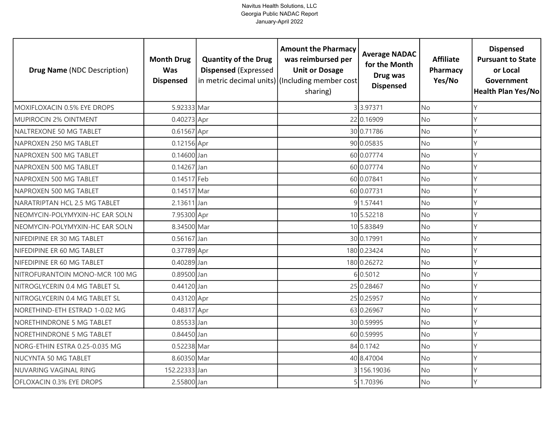| <b>Drug Name (NDC Description)</b> | <b>Month Drug</b><br><b>Was</b><br><b>Dispensed</b> | <b>Quantity of the Drug</b><br><b>Dispensed (Expressed</b> | <b>Amount the Pharmacy</b><br>was reimbursed per<br><b>Unit or Dosage</b><br>in metric decimal units) (Including member cost<br>sharing) | <b>Average NADAC</b><br>for the Month<br>Drug was<br><b>Dispensed</b> | <b>Affiliate</b><br>Pharmacy<br>Yes/No | <b>Dispensed</b><br><b>Pursuant to State</b><br>or Local<br>Government<br><b>Health Plan Yes/No</b> |
|------------------------------------|-----------------------------------------------------|------------------------------------------------------------|------------------------------------------------------------------------------------------------------------------------------------------|-----------------------------------------------------------------------|----------------------------------------|-----------------------------------------------------------------------------------------------------|
| MOXIFLOXACIN 0.5% EYE DROPS        | 5.92333 Mar                                         |                                                            |                                                                                                                                          | 33.97371                                                              | <b>No</b>                              | Y                                                                                                   |
| MUPIROCIN 2% OINTMENT              | 0.40273 Apr                                         |                                                            |                                                                                                                                          | 22 0.16909                                                            | No                                     | Y                                                                                                   |
| NALTREXONE 50 MG TABLET            | 0.61567 Apr                                         |                                                            |                                                                                                                                          | 30 0.71786                                                            | <b>No</b>                              | Y                                                                                                   |
| NAPROXEN 250 MG TABLET             | 0.12156 Apr                                         |                                                            |                                                                                                                                          | 90 0.05835                                                            | No                                     | Y                                                                                                   |
| NAPROXEN 500 MG TABLET             | 0.14600 Jan                                         |                                                            |                                                                                                                                          | 60 0.07774                                                            | <b>No</b>                              | Y                                                                                                   |
| NAPROXEN 500 MG TABLET             | 0.14267 Jan                                         |                                                            |                                                                                                                                          | 60 0.07774                                                            | No                                     | Y                                                                                                   |
| NAPROXEN 500 MG TABLET             | 0.14517 Feb                                         |                                                            |                                                                                                                                          | 60 0.07841                                                            | No                                     | Y                                                                                                   |
| NAPROXEN 500 MG TABLET             | 0.14517 Mar                                         |                                                            |                                                                                                                                          | 60 0.07731                                                            | No                                     | γ                                                                                                   |
| NARATRIPTAN HCL 2.5 MG TABLET      | 2.13611 Jan                                         |                                                            |                                                                                                                                          | 9 1.57441                                                             | No                                     | Y                                                                                                   |
| NEOMYCIN-POLYMYXIN-HC EAR SOLN     | 7.95300 Apr                                         |                                                            |                                                                                                                                          | 10 5.52218                                                            | No                                     | Υ                                                                                                   |
| NEOMYCIN-POLYMYXIN-HC EAR SOLN     | 8.34500 Mar                                         |                                                            |                                                                                                                                          | 10 5.83849                                                            | No                                     | Y                                                                                                   |
| NIFEDIPINE ER 30 MG TABLET         | $0.56167$ Jan                                       |                                                            |                                                                                                                                          | 30 0.17991                                                            | <b>No</b>                              | $\mathsf{Y}$                                                                                        |
| NIFEDIPINE ER 60 MG TABLET         | 0.37789 Apr                                         |                                                            |                                                                                                                                          | 180 0.23424                                                           | No                                     | $\vee$                                                                                              |
| NIFEDIPINE ER 60 MG TABLET         | 0.40289 Jan                                         |                                                            |                                                                                                                                          | 180 0.26272                                                           | <b>No</b>                              | Y                                                                                                   |
| NITROFURANTOIN MONO-MCR 100 MG     | 0.89500 Jan                                         |                                                            |                                                                                                                                          | 60.5012                                                               | No                                     | Y                                                                                                   |
| NITROGLYCERIN 0.4 MG TABLET SL     | 0.44120 Jan                                         |                                                            |                                                                                                                                          | 25 0.28467                                                            | <b>No</b>                              | Y                                                                                                   |
| NITROGLYCERIN 0.4 MG TABLET SL     | 0.43120 Apr                                         |                                                            |                                                                                                                                          | 25 0.25957                                                            | No                                     | Y                                                                                                   |
| NORETHIND-ETH ESTRAD 1-0.02 MG     | 0.48317 Apr                                         |                                                            |                                                                                                                                          | 63 0.26967                                                            | <b>No</b>                              | Υ                                                                                                   |
| NORETHINDRONE 5 MG TABLET          | 0.85533 Jan                                         |                                                            |                                                                                                                                          | 30 0.59995                                                            | No                                     | Υ                                                                                                   |
| NORETHINDRONE 5 MG TABLET          | 0.84450 Jan                                         |                                                            |                                                                                                                                          | 60 0.59995                                                            | No                                     | Y                                                                                                   |
| NORG-ETHIN ESTRA 0.25-0.035 MG     | 0.52238 Mar                                         |                                                            |                                                                                                                                          | 84 0.1742                                                             | No                                     | Υ                                                                                                   |
| NUCYNTA 50 MG TABLET               | 8.60350 Mar                                         |                                                            |                                                                                                                                          | 40 8.47004                                                            | No                                     | Y                                                                                                   |
| NUVARING VAGINAL RING              | 152.22333 Jan                                       |                                                            |                                                                                                                                          | 3 156.19036                                                           | No                                     | Υ                                                                                                   |
| OFLOXACIN 0.3% EYE DROPS           | 2.55800 Jan                                         |                                                            |                                                                                                                                          | 5 1.70396                                                             | No                                     | $\vee$                                                                                              |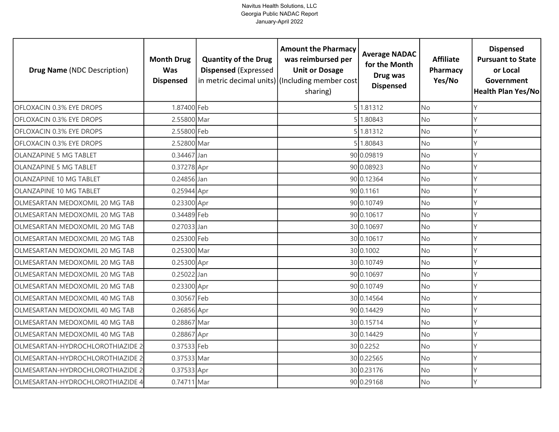| <b>Drug Name (NDC Description)</b> | <b>Month Drug</b><br><b>Was</b><br><b>Dispensed</b> | <b>Quantity of the Drug</b><br><b>Dispensed (Expressed</b> | <b>Amount the Pharmacy</b><br>was reimbursed per<br><b>Unit or Dosage</b><br>in metric decimal units) (Including member cost<br>sharing) | <b>Average NADAC</b><br>for the Month<br>Drug was<br><b>Dispensed</b> | <b>Affiliate</b><br>Pharmacy<br>Yes/No | <b>Dispensed</b><br><b>Pursuant to State</b><br>or Local<br>Government<br><b>Health Plan Yes/No</b> |
|------------------------------------|-----------------------------------------------------|------------------------------------------------------------|------------------------------------------------------------------------------------------------------------------------------------------|-----------------------------------------------------------------------|----------------------------------------|-----------------------------------------------------------------------------------------------------|
| OFLOXACIN 0.3% EYE DROPS           | 1.87400 Feb                                         |                                                            |                                                                                                                                          | 5 1.81312                                                             | <b>No</b>                              | Υ                                                                                                   |
| <b>OFLOXACIN 0.3% EYE DROPS</b>    | 2.55800 Mar                                         |                                                            |                                                                                                                                          | 51.80843                                                              | <b>No</b>                              | Υ                                                                                                   |
| OFLOXACIN 0.3% EYE DROPS           | 2.55800 Feb                                         |                                                            |                                                                                                                                          | 5 1.81312                                                             | <b>No</b>                              |                                                                                                     |
| OFLOXACIN 0.3% EYE DROPS           | 2.52800 Mar                                         |                                                            |                                                                                                                                          | 1.80843                                                               | <b>No</b>                              |                                                                                                     |
| <b>OLANZAPINE 5 MG TABLET</b>      | 0.34467 Jan                                         |                                                            |                                                                                                                                          | 90 0.09819                                                            | <b>No</b>                              |                                                                                                     |
| <b>OLANZAPINE 5 MG TABLET</b>      | 0.37278 Apr                                         |                                                            |                                                                                                                                          | 90 0.08923                                                            | <b>No</b>                              |                                                                                                     |
| OLANZAPINE 10 MG TABLET            | 0.24856 Jan                                         |                                                            |                                                                                                                                          | 90 0.12364                                                            | <b>No</b>                              |                                                                                                     |
| OLANZAPINE 10 MG TABLET            | $0.25944$ Apr                                       |                                                            |                                                                                                                                          | 90 0.1161                                                             | <b>No</b>                              |                                                                                                     |
| OLMESARTAN MEDOXOMIL 20 MG TAB     | 0.23300 Apr                                         |                                                            |                                                                                                                                          | 90 0.10749                                                            | <b>No</b>                              |                                                                                                     |
| OLMESARTAN MEDOXOMIL 20 MG TAB     | 0.34489 Feb                                         |                                                            |                                                                                                                                          | 90 0.10617                                                            | <b>No</b>                              | Υ                                                                                                   |
| OLMESARTAN MEDOXOMIL 20 MG TAB     | 0.27033 Jan                                         |                                                            |                                                                                                                                          | 30 0.10697                                                            | <b>No</b>                              |                                                                                                     |
| OLMESARTAN MEDOXOMIL 20 MG TAB     | 0.25300 Feb                                         |                                                            |                                                                                                                                          | 30 0.10617                                                            | <b>No</b>                              |                                                                                                     |
| OLMESARTAN MEDOXOMIL 20 MG TAB     | 0.25300 Mar                                         |                                                            |                                                                                                                                          | 30 0.1002                                                             | No                                     |                                                                                                     |
| OLMESARTAN MEDOXOMIL 20 MG TAB     | 0.25300 Apr                                         |                                                            |                                                                                                                                          | 30 0.10749                                                            | <b>No</b>                              | γ                                                                                                   |
| OLMESARTAN MEDOXOMIL 20 MG TAB     | 0.25022 Jan                                         |                                                            |                                                                                                                                          | 90 0.10697                                                            | No                                     | γ                                                                                                   |
| OLMESARTAN MEDOXOMIL 20 MG TAB     | 0.23300 Apr                                         |                                                            |                                                                                                                                          | 90 0.10749                                                            | No                                     |                                                                                                     |
| OLMESARTAN MEDOXOMIL 40 MG TAB     | 0.30567 Feb                                         |                                                            |                                                                                                                                          | 30 0.14564                                                            | <b>No</b>                              | Y                                                                                                   |
| OLMESARTAN MEDOXOMIL 40 MG TAB     | 0.26856 Apr                                         |                                                            |                                                                                                                                          | 90 0.14429                                                            | <b>No</b>                              |                                                                                                     |
| OLMESARTAN MEDOXOMIL 40 MG TAB     | 0.28867 Mar                                         |                                                            |                                                                                                                                          | 30 0.15714                                                            | No                                     |                                                                                                     |
| OLMESARTAN MEDOXOMIL 40 MG TAB     | 0.28867 Apr                                         |                                                            |                                                                                                                                          | 30 0.14429                                                            | <b>No</b>                              |                                                                                                     |
| OLMESARTAN-HYDROCHLOROTHIAZIDE 2   | 0.37533 Feb                                         |                                                            |                                                                                                                                          | 30 0.2252                                                             | <b>No</b>                              |                                                                                                     |
| OLMESARTAN-HYDROCHLOROTHIAZIDE 2   | 0.37533 Mar                                         |                                                            |                                                                                                                                          | 30 0.22565                                                            | <b>No</b>                              |                                                                                                     |
| OLMESARTAN-HYDROCHLOROTHIAZIDE 2   | 0.37533 Apr                                         |                                                            |                                                                                                                                          | 30 0.23176                                                            | No                                     |                                                                                                     |
| OLMESARTAN-HYDROCHLOROTHIAZIDE 4   | 0.74711 Mar                                         |                                                            |                                                                                                                                          | 90 0.29168                                                            | No                                     |                                                                                                     |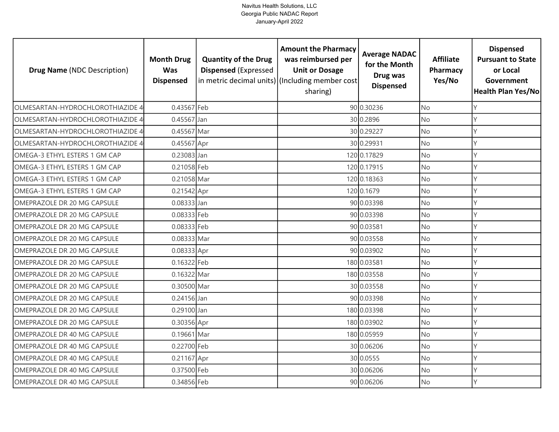| <b>Drug Name (NDC Description)</b> | <b>Month Drug</b><br><b>Was</b><br><b>Dispensed</b> | <b>Quantity of the Drug</b><br><b>Dispensed (Expressed</b> | <b>Amount the Pharmacy</b><br>was reimbursed per<br><b>Unit or Dosage</b><br>in metric decimal units) (Including member cost<br>sharing) | <b>Average NADAC</b><br>for the Month<br>Drug was<br><b>Dispensed</b> | <b>Affiliate</b><br>Pharmacy<br>Yes/No | <b>Dispensed</b><br><b>Pursuant to State</b><br>or Local<br>Government<br><b>Health Plan Yes/No</b> |
|------------------------------------|-----------------------------------------------------|------------------------------------------------------------|------------------------------------------------------------------------------------------------------------------------------------------|-----------------------------------------------------------------------|----------------------------------------|-----------------------------------------------------------------------------------------------------|
| OLMESARTAN-HYDROCHLOROTHIAZIDE 4   | 0.43567 Feb                                         |                                                            |                                                                                                                                          | 90 0.30236                                                            | <b>No</b>                              | Y                                                                                                   |
| OLMESARTAN-HYDROCHLOROTHIAZIDE 4   | 0.45567 Jan                                         |                                                            |                                                                                                                                          | 30 0.2896                                                             | <b>No</b>                              | Y                                                                                                   |
| OLMESARTAN-HYDROCHLOROTHIAZIDE 4   | 0.45567 Mar                                         |                                                            |                                                                                                                                          | 30 0.29227                                                            | <b>No</b>                              | $\mathsf{Y}$                                                                                        |
| OLMESARTAN-HYDROCHLOROTHIAZIDE 4   | 0.45567 Apr                                         |                                                            |                                                                                                                                          | 30 0.29931                                                            | No                                     | Y                                                                                                   |
| OMEGA-3 ETHYL ESTERS 1 GM CAP      | 0.23083 Jan                                         |                                                            |                                                                                                                                          | 120 0.17829                                                           | <b>No</b>                              | Y                                                                                                   |
| OMEGA-3 ETHYL ESTERS 1 GM CAP      | 0.21058 Feb                                         |                                                            |                                                                                                                                          | 120 0.17915                                                           | No                                     | Y                                                                                                   |
| OMEGA-3 ETHYL ESTERS 1 GM CAP      | 0.21058 Mar                                         |                                                            |                                                                                                                                          | 120 0.18363                                                           | No                                     | $\vee$                                                                                              |
| OMEGA-3 ETHYL ESTERS 1 GM CAP      | 0.21542 Apr                                         |                                                            |                                                                                                                                          | 120 0.1679                                                            | No                                     | Υ                                                                                                   |
| OMEPRAZOLE DR 20 MG CAPSULE        | 0.08333 Jan                                         |                                                            |                                                                                                                                          | 90 0.03398                                                            | No                                     |                                                                                                     |
| OMEPRAZOLE DR 20 MG CAPSULE        | 0.08333 Feb                                         |                                                            |                                                                                                                                          | 90 0.03398                                                            | No                                     | Y                                                                                                   |
| OMEPRAZOLE DR 20 MG CAPSULE        | 0.08333 Feb                                         |                                                            |                                                                                                                                          | 90 0.03581                                                            | No                                     | $\vee$                                                                                              |
| OMEPRAZOLE DR 20 MG CAPSULE        | 0.08333 Mar                                         |                                                            |                                                                                                                                          | 90 0.03558                                                            | <b>No</b>                              | $\mathsf{Y}$                                                                                        |
| OMEPRAZOLE DR 20 MG CAPSULE        | 0.08333 Apr                                         |                                                            |                                                                                                                                          | 90 0.03902                                                            | No                                     | Y                                                                                                   |
| OMEPRAZOLE DR 20 MG CAPSULE        | 0.16322 Feb                                         |                                                            |                                                                                                                                          | 180 0.03581                                                           | <b>No</b>                              | Y                                                                                                   |
| OMEPRAZOLE DR 20 MG CAPSULE        | 0.16322 Mar                                         |                                                            |                                                                                                                                          | 180 0.03558                                                           | No                                     | Y                                                                                                   |
| OMEPRAZOLE DR 20 MG CAPSULE        | 0.30500 Mar                                         |                                                            |                                                                                                                                          | 30 0.03558                                                            | <b>No</b>                              | Y                                                                                                   |
| OMEPRAZOLE DR 20 MG CAPSULE        | 0.24156 Jan                                         |                                                            |                                                                                                                                          | 90 0.03398                                                            | No                                     | Y                                                                                                   |
| OMEPRAZOLE DR 20 MG CAPSULE        | 0.29100 Jan                                         |                                                            |                                                                                                                                          | 180 0.03398                                                           | <b>No</b>                              | Y                                                                                                   |
| OMEPRAZOLE DR 20 MG CAPSULE        | 0.30356 Apr                                         |                                                            |                                                                                                                                          | 180 0.03902                                                           | No                                     | Y                                                                                                   |
| OMEPRAZOLE DR 40 MG CAPSULE        | 0.19661 Mar                                         |                                                            |                                                                                                                                          | 180 0.05959                                                           | <b>No</b>                              | Y                                                                                                   |
| OMEPRAZOLE DR 40 MG CAPSULE        | 0.22700 Feb                                         |                                                            |                                                                                                                                          | 30 0.06206                                                            | No                                     |                                                                                                     |
| OMEPRAZOLE DR 40 MG CAPSULE        | 0.21167 Apr                                         |                                                            |                                                                                                                                          | 30 0.0555                                                             | No                                     | $\vee$                                                                                              |
| OMEPRAZOLE DR 40 MG CAPSULE        | 0.37500 Feb                                         |                                                            |                                                                                                                                          | 30 0.06206                                                            | No                                     | Y                                                                                                   |
| OMEPRAZOLE DR 40 MG CAPSULE        | 0.34856 Feb                                         |                                                            |                                                                                                                                          | 90 0.06206                                                            | No                                     | Y                                                                                                   |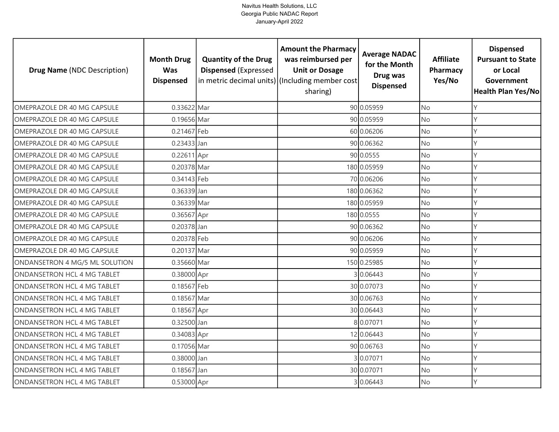| <b>Drug Name (NDC Description)</b> | <b>Month Drug</b><br>Was<br><b>Dispensed</b> | <b>Quantity of the Drug</b><br><b>Dispensed (Expressed</b> | <b>Amount the Pharmacy</b><br>was reimbursed per<br><b>Unit or Dosage</b><br>in metric decimal units) (Including member cost<br>sharing) | <b>Average NADAC</b><br>for the Month<br>Drug was<br><b>Dispensed</b> | <b>Affiliate</b><br>Pharmacy<br>Yes/No | <b>Dispensed</b><br><b>Pursuant to State</b><br>or Local<br>Government<br>Health Plan Yes/No |
|------------------------------------|----------------------------------------------|------------------------------------------------------------|------------------------------------------------------------------------------------------------------------------------------------------|-----------------------------------------------------------------------|----------------------------------------|----------------------------------------------------------------------------------------------|
| OMEPRAZOLE DR 40 MG CAPSULE        | 0.33622 Mar                                  |                                                            |                                                                                                                                          | 90 0.05959                                                            | <b>No</b>                              | Y                                                                                            |
| OMEPRAZOLE DR 40 MG CAPSULE        | 0.19656 Mar                                  |                                                            |                                                                                                                                          | 90 0.05959                                                            | <b>No</b>                              | Y                                                                                            |
| OMEPRAZOLE DR 40 MG CAPSULE        | 0.21467 Feb                                  |                                                            |                                                                                                                                          | 60 0.06206                                                            | <b>No</b>                              | Y                                                                                            |
| OMEPRAZOLE DR 40 MG CAPSULE        | 0.23433 Jan                                  |                                                            |                                                                                                                                          | 90 0.06362                                                            | No                                     | Y                                                                                            |
| OMEPRAZOLE DR 40 MG CAPSULE        | 0.22611 Apr                                  |                                                            |                                                                                                                                          | 90 0.0555                                                             | <b>No</b>                              | Y                                                                                            |
| OMEPRAZOLE DR 40 MG CAPSULE        | 0.20378 Mar                                  |                                                            |                                                                                                                                          | 180 0.05959                                                           | No                                     | Y                                                                                            |
| OMEPRAZOLE DR 40 MG CAPSULE        | 0.34143 Feb                                  |                                                            |                                                                                                                                          | 70 0.06206                                                            | No                                     | Y                                                                                            |
| OMEPRAZOLE DR 40 MG CAPSULE        | 0.36339 Jan                                  |                                                            |                                                                                                                                          | 180 0.06362                                                           | No                                     |                                                                                              |
| OMEPRAZOLE DR 40 MG CAPSULE        | 0.36339 Mar                                  |                                                            |                                                                                                                                          | 180 0.05959                                                           | <b>No</b>                              | γ                                                                                            |
| OMEPRAZOLE DR 40 MG CAPSULE        | 0.36567 Apr                                  |                                                            |                                                                                                                                          | 180 0.0555                                                            | No                                     | Y                                                                                            |
| OMEPRAZOLE DR 40 MG CAPSULE        | 0.20378 Jan                                  |                                                            |                                                                                                                                          | 90 0.06362                                                            | No                                     | $\vee$                                                                                       |
| OMEPRAZOLE DR 40 MG CAPSULE        | 0.20378 Feb                                  |                                                            |                                                                                                                                          | 90 0.06206                                                            | <b>No</b>                              | Y                                                                                            |
| OMEPRAZOLE DR 40 MG CAPSULE        | 0.20137 Mar                                  |                                                            |                                                                                                                                          | 90 0.05959                                                            | No                                     | $\mathsf{Y}$                                                                                 |
| ONDANSETRON 4 MG/5 ML SOLUTION     | 0.35660 Mar                                  |                                                            |                                                                                                                                          | 150 0.25985                                                           | No                                     | Y                                                                                            |
| ONDANSETRON HCL 4 MG TABLET        | 0.38000 Apr                                  |                                                            |                                                                                                                                          | 30.06443                                                              | No                                     | Y                                                                                            |
| ONDANSETRON HCL 4 MG TABLET        | 0.18567 Feb                                  |                                                            |                                                                                                                                          | 30 0.07073                                                            | <b>No</b>                              | Y                                                                                            |
| ONDANSETRON HCL 4 MG TABLET        | 0.18567 Mar                                  |                                                            |                                                                                                                                          | 30 0.06763                                                            | <b>No</b>                              | Y                                                                                            |
| ONDANSETRON HCL 4 MG TABLET        | 0.18567 Apr                                  |                                                            |                                                                                                                                          | 30 0.06443                                                            | <b>No</b>                              | Y                                                                                            |
| ONDANSETRON HCL 4 MG TABLET        | 0.32500 Jan                                  |                                                            |                                                                                                                                          | 8 0.07071                                                             | No                                     | Y                                                                                            |
| ONDANSETRON HCL 4 MG TABLET        | 0.34083 Apr                                  |                                                            |                                                                                                                                          | 12 0.06443                                                            | <b>No</b>                              | Y                                                                                            |
| ONDANSETRON HCL 4 MG TABLET        | 0.17056 Mar                                  |                                                            |                                                                                                                                          | 90 0.06763                                                            | <b>No</b>                              | Y                                                                                            |
| ONDANSETRON HCL 4 MG TABLET        | 0.38000 Jan                                  |                                                            |                                                                                                                                          | 30.07071                                                              | No                                     | Y                                                                                            |
| ONDANSETRON HCL 4 MG TABLET        | 0.18567 Jan                                  |                                                            |                                                                                                                                          | 30 0.07071                                                            | No                                     | Υ                                                                                            |
| ONDANSETRON HCL 4 MG TABLET        | 0.53000 Apr                                  |                                                            |                                                                                                                                          | 3 0.06443                                                             | <b>No</b>                              | Y                                                                                            |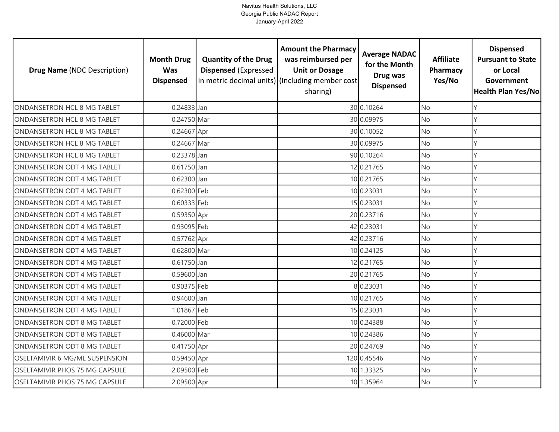| <b>Drug Name (NDC Description)</b> | <b>Month Drug</b><br><b>Was</b><br><b>Dispensed</b> | <b>Quantity of the Drug</b><br><b>Dispensed (Expressed</b> | <b>Amount the Pharmacy</b><br>was reimbursed per<br><b>Unit or Dosage</b><br>in metric decimal units) (Including member cost<br>sharing) | <b>Average NADAC</b><br>for the Month<br>Drug was<br><b>Dispensed</b> | <b>Affiliate</b><br>Pharmacy<br>Yes/No | <b>Dispensed</b><br><b>Pursuant to State</b><br>or Local<br>Government<br>Health Plan Yes/No |
|------------------------------------|-----------------------------------------------------|------------------------------------------------------------|------------------------------------------------------------------------------------------------------------------------------------------|-----------------------------------------------------------------------|----------------------------------------|----------------------------------------------------------------------------------------------|
| ONDANSETRON HCL 8 MG TABLET        | 0.24833 Jan                                         |                                                            |                                                                                                                                          | 30 0.10264                                                            | <b>No</b>                              | Y                                                                                            |
| ONDANSETRON HCL 8 MG TABLET        | 0.24750 Mar                                         |                                                            |                                                                                                                                          | 30 0.09975                                                            | No                                     | Y                                                                                            |
| ONDANSETRON HCL 8 MG TABLET        | 0.24667 Apr                                         |                                                            |                                                                                                                                          | 30 0.10052                                                            | No                                     | $\mathsf{Y}$                                                                                 |
| ONDANSETRON HCL 8 MG TABLET        | 0.24667 Mar                                         |                                                            |                                                                                                                                          | 30 0.09975                                                            | <b>No</b>                              | Y                                                                                            |
| ONDANSETRON HCL 8 MG TABLET        | 0.23378 Jan                                         |                                                            |                                                                                                                                          | 90 0.10264                                                            | <b>No</b>                              | γ                                                                                            |
| ONDANSETRON ODT 4 MG TABLET        | 0.61750 Jan                                         |                                                            |                                                                                                                                          | 12 0.21765                                                            | <b>No</b>                              |                                                                                              |
| ONDANSETRON ODT 4 MG TABLET        | 0.62300 Jan                                         |                                                            |                                                                                                                                          | 10 0.21765                                                            | No                                     | Y                                                                                            |
| ONDANSETRON ODT 4 MG TABLET        | 0.62300 Feb                                         |                                                            |                                                                                                                                          | 10 0.23031                                                            | No                                     |                                                                                              |
| ONDANSETRON ODT 4 MG TABLET        | 0.60333 Feb                                         |                                                            |                                                                                                                                          | 15 0.23031                                                            | No                                     | γ                                                                                            |
| ONDANSETRON ODT 4 MG TABLET        | 0.59350 Apr                                         |                                                            |                                                                                                                                          | 20 0.23716                                                            | No                                     | $\mathsf{Y}$                                                                                 |
| ONDANSETRON ODT 4 MG TABLET        | 0.93095 Feb                                         |                                                            |                                                                                                                                          | 42 0.23031                                                            | No                                     | $\mathsf{Y}$                                                                                 |
| ONDANSETRON ODT 4 MG TABLET        | 0.57762 Apr                                         |                                                            |                                                                                                                                          | 42 0.23716                                                            | No                                     | $\vee$                                                                                       |
| ONDANSETRON ODT 4 MG TABLET        | 0.62800 Mar                                         |                                                            |                                                                                                                                          | 10 0.24125                                                            | No                                     | Y                                                                                            |
| ONDANSETRON ODT 4 MG TABLET        | 0.61750 Jan                                         |                                                            |                                                                                                                                          | 12 0.21765                                                            | No                                     | Y                                                                                            |
| ONDANSETRON ODT 4 MG TABLET        | 0.59600 Jan                                         |                                                            |                                                                                                                                          | 20 0.21765                                                            | No                                     | Y                                                                                            |
| ONDANSETRON ODT 4 MG TABLET        | 0.90375 Feb                                         |                                                            |                                                                                                                                          | 8 0.23031                                                             | <b>No</b>                              | Y                                                                                            |
| ONDANSETRON ODT 4 MG TABLET        | 0.94600 Jan                                         |                                                            |                                                                                                                                          | 10 0.21765                                                            | No                                     | Y                                                                                            |
| ONDANSETRON ODT 4 MG TABLET        | 1.01867 Feb                                         |                                                            |                                                                                                                                          | 15 0.23031                                                            | <b>No</b>                              | Y                                                                                            |
| ONDANSETRON ODT 8 MG TABLET        | 0.72000 Feb                                         |                                                            |                                                                                                                                          | 10 0.24388                                                            | No                                     | Y                                                                                            |
| ONDANSETRON ODT 8 MG TABLET        | 0.46000 Mar                                         |                                                            |                                                                                                                                          | 10 0.24386                                                            | No                                     | Y                                                                                            |
| ONDANSETRON ODT 8 MG TABLET        | 0.41750 Apr                                         |                                                            |                                                                                                                                          | 20 0.24769                                                            | No                                     | Y                                                                                            |
| OSELTAMIVIR 6 MG/ML SUSPENSION     | 0.59450 Apr                                         |                                                            |                                                                                                                                          | 120 0.45546                                                           | No                                     | γ                                                                                            |
| OSELTAMIVIR PHOS 75 MG CAPSULE     | 2.09500 Feb                                         |                                                            |                                                                                                                                          | 10 1.33325                                                            | No                                     | Y                                                                                            |
| OSELTAMIVIR PHOS 75 MG CAPSULE     | 2.09500 Apr                                         |                                                            |                                                                                                                                          | 10 1.35964                                                            | No                                     | $\mathsf{Y}$                                                                                 |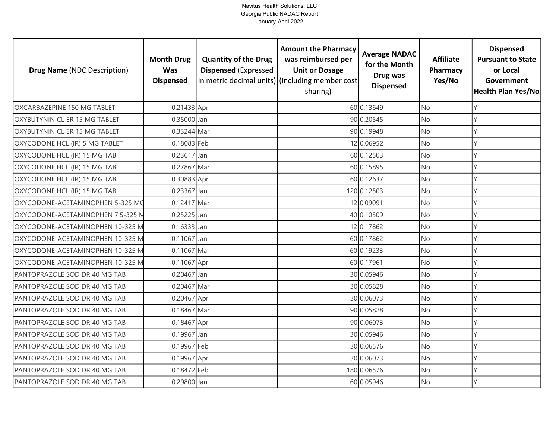| <b>Drug Name (NDC Description)</b> | <b>Month Drug</b><br>Was<br><b>Dispensed</b> | <b>Quantity of the Drug</b><br><b>Dispensed (Expressed</b> | <b>Amount the Pharmacy</b><br>was reimbursed per<br><b>Unit or Dosage</b><br>in metric decimal units) (Including member cost<br>sharing) | <b>Average NADAC</b><br>for the Month<br>Drug was<br><b>Dispensed</b> | <b>Affiliate</b><br>Pharmacy<br>Yes/No | <b>Dispensed</b><br><b>Pursuant to State</b><br>or Local<br>Government<br>Health Plan Yes/No |
|------------------------------------|----------------------------------------------|------------------------------------------------------------|------------------------------------------------------------------------------------------------------------------------------------------|-----------------------------------------------------------------------|----------------------------------------|----------------------------------------------------------------------------------------------|
| OXCARBAZEPINE 150 MG TABLET        | 0.21433 Apr                                  |                                                            |                                                                                                                                          | 60 0.13649                                                            | <b>No</b>                              | Y                                                                                            |
| OXYBUTYNIN CL ER 15 MG TABLET      | 0.35000 Jan                                  |                                                            |                                                                                                                                          | 90 0.20545                                                            | <b>No</b>                              | Y                                                                                            |
| OXYBUTYNIN CL ER 15 MG TABLET      | 0.33244 Mar                                  |                                                            |                                                                                                                                          | 90 0.19948                                                            | <b>No</b>                              | Y                                                                                            |
| OXYCODONE HCL (IR) 5 MG TABLET     | 0.18083 Feb                                  |                                                            |                                                                                                                                          | 12 0.06952                                                            | No                                     | Y                                                                                            |
| OXYCODONE HCL (IR) 15 MG TAB       | 0.23617 Jan                                  |                                                            |                                                                                                                                          | 60 0.12503                                                            | <b>No</b>                              | Υ                                                                                            |
| OXYCODONE HCL (IR) 15 MG TAB       | 0.27867 Mar                                  |                                                            |                                                                                                                                          | 60 0.15895                                                            | No                                     | Y                                                                                            |
| OXYCODONE HCL (IR) 15 MG TAB       | 0.30883 Apr                                  |                                                            |                                                                                                                                          | 60 0.12637                                                            | No                                     | Y                                                                                            |
| OXYCODONE HCL (IR) 15 MG TAB       | 0.23367 Jan                                  |                                                            |                                                                                                                                          | 120 0.12503                                                           | No                                     | Υ                                                                                            |
| OXYCODONE-ACETAMINOPHEN 5-325 MG   | 0.12417 Mar                                  |                                                            |                                                                                                                                          | 12 0.09091                                                            | No                                     | Y                                                                                            |
| OXYCODONE-ACETAMINOPHEN 7.5-325 M  | 0.25225 Jan                                  |                                                            |                                                                                                                                          | 40 0.10509                                                            | No                                     | Y                                                                                            |
| OXYCODONE-ACETAMINOPHEN 10-325 M   | $0.16333$ Jan                                |                                                            |                                                                                                                                          | 12 0.17862                                                            | No                                     | $\vee$                                                                                       |
| OXYCODONE-ACETAMINOPHEN 10-325 M   | $0.11067$ Jan                                |                                                            |                                                                                                                                          | 60 0.17862                                                            | No                                     | Y                                                                                            |
| OXYCODONE-ACETAMINOPHEN 10-325 M   | 0.11067 Mar                                  |                                                            |                                                                                                                                          | 60 0.19233                                                            | No                                     | Y                                                                                            |
| OXYCODONE-ACETAMINOPHEN 10-325 M   | 0.11067 Apr                                  |                                                            |                                                                                                                                          | 60 0.17961                                                            | No                                     | Y                                                                                            |
| PANTOPRAZOLE SOD DR 40 MG TAB      | 0.20467 Jan                                  |                                                            |                                                                                                                                          | 30 0.05946                                                            | No                                     | Y                                                                                            |
| PANTOPRAZOLE SOD DR 40 MG TAB      | 0.20467 Mar                                  |                                                            |                                                                                                                                          | 30 0.05828                                                            | No                                     | Y                                                                                            |
| PANTOPRAZOLE SOD DR 40 MG TAB      | 0.20467 Apr                                  |                                                            |                                                                                                                                          | 30 0.06073                                                            | <b>No</b>                              | Y                                                                                            |
| PANTOPRAZOLE SOD DR 40 MG TAB      | 0.18467 Mar                                  |                                                            |                                                                                                                                          | 90 0.05828                                                            | <b>No</b>                              | Y                                                                                            |
| PANTOPRAZOLE SOD DR 40 MG TAB      | 0.18467 Apr                                  |                                                            |                                                                                                                                          | 90 0.06073                                                            | No                                     | Y                                                                                            |
| PANTOPRAZOLE SOD DR 40 MG TAB      | 0.19967 Jan                                  |                                                            |                                                                                                                                          | 30 0.05946                                                            | <b>No</b>                              | Y                                                                                            |
| PANTOPRAZOLE SOD DR 40 MG TAB      | 0.19967 Feb                                  |                                                            |                                                                                                                                          | 30 0.06576                                                            | <b>No</b>                              | Y                                                                                            |
| PANTOPRAZOLE SOD DR 40 MG TAB      | 0.19967 Apr                                  |                                                            |                                                                                                                                          | 30 0.06073                                                            | No                                     | Y                                                                                            |
| PANTOPRAZOLE SOD DR 40 MG TAB      | 0.18472 Feb                                  |                                                            |                                                                                                                                          | 180 0.06576                                                           | No                                     | Υ                                                                                            |
| PANTOPRAZOLE SOD DR 40 MG TAB      | 0.29800 Jan                                  |                                                            |                                                                                                                                          | 60 0.05946                                                            | No                                     | Y                                                                                            |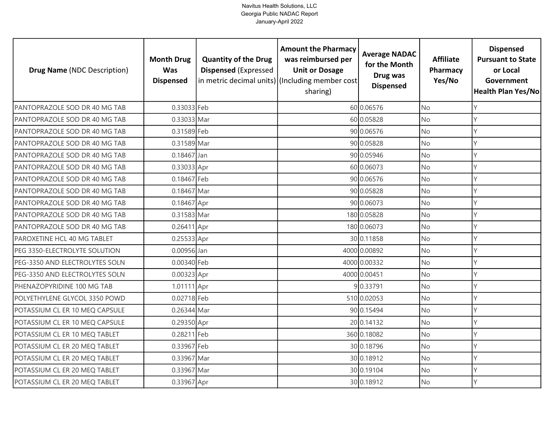| <b>Drug Name (NDC Description)</b> | <b>Month Drug</b><br><b>Was</b><br><b>Dispensed</b> | <b>Quantity of the Drug</b><br><b>Dispensed (Expressed</b> | <b>Amount the Pharmacy</b><br>was reimbursed per<br><b>Unit or Dosage</b><br>in metric decimal units) (Including member cost<br>sharing) | <b>Average NADAC</b><br>for the Month<br>Drug was<br><b>Dispensed</b> | <b>Affiliate</b><br>Pharmacy<br>Yes/No | <b>Dispensed</b><br><b>Pursuant to State</b><br>or Local<br>Government<br>Health Plan Yes/No |
|------------------------------------|-----------------------------------------------------|------------------------------------------------------------|------------------------------------------------------------------------------------------------------------------------------------------|-----------------------------------------------------------------------|----------------------------------------|----------------------------------------------------------------------------------------------|
| PANTOPRAZOLE SOD DR 40 MG TAB      | 0.33033 Feb                                         |                                                            |                                                                                                                                          | 60 0.06576                                                            | <b>No</b>                              | γ                                                                                            |
| PANTOPRAZOLE SOD DR 40 MG TAB      | 0.33033 Mar                                         |                                                            |                                                                                                                                          | 60 0.05828                                                            | <b>No</b>                              | Υ                                                                                            |
| PANTOPRAZOLE SOD DR 40 MG TAB      | 0.31589 Feb                                         |                                                            |                                                                                                                                          | 90 0.06576                                                            | <b>No</b>                              | Y                                                                                            |
| PANTOPRAZOLE SOD DR 40 MG TAB      | 0.31589 Mar                                         |                                                            |                                                                                                                                          | 90 0.05828                                                            | <b>No</b>                              | Υ                                                                                            |
| PANTOPRAZOLE SOD DR 40 MG TAB      | 0.18467 Jan                                         |                                                            |                                                                                                                                          | 90 0.05946                                                            | <b>No</b>                              | Υ                                                                                            |
| PANTOPRAZOLE SOD DR 40 MG TAB      | 0.33033 Apr                                         |                                                            |                                                                                                                                          | 60 0.06073                                                            | <b>No</b>                              | Υ                                                                                            |
| PANTOPRAZOLE SOD DR 40 MG TAB      | 0.18467 Feb                                         |                                                            |                                                                                                                                          | 90 0.06576                                                            | <b>No</b>                              | γ                                                                                            |
| PANTOPRAZOLE SOD DR 40 MG TAB      | 0.18467 Mar                                         |                                                            |                                                                                                                                          | 90 0.05828                                                            | No                                     |                                                                                              |
| PANTOPRAZOLE SOD DR 40 MG TAB      | 0.18467 Apr                                         |                                                            |                                                                                                                                          | 90 0.06073                                                            | No                                     |                                                                                              |
| PANTOPRAZOLE SOD DR 40 MG TAB      | 0.31583 Mar                                         |                                                            |                                                                                                                                          | 180 0.05828                                                           | <b>No</b>                              | Υ                                                                                            |
| PANTOPRAZOLE SOD DR 40 MG TAB      | 0.26411 Apr                                         |                                                            |                                                                                                                                          | 180 0.06073                                                           | <b>No</b>                              | γ                                                                                            |
| PAROXETINE HCL 40 MG TABLET        | 0.25533 Apr                                         |                                                            |                                                                                                                                          | 30 0.11858                                                            | <b>No</b>                              | Y                                                                                            |
| PEG 3350-ELECTROLYTE SOLUTION      | 0.00956 Jan                                         |                                                            |                                                                                                                                          | 4000 0.00892                                                          | <b>No</b>                              | Y                                                                                            |
| PEG-3350 AND ELECTROLYTES SOLN     | 0.00340 Feb                                         |                                                            |                                                                                                                                          | 4000 0.00332                                                          | <b>No</b>                              | Υ                                                                                            |
| PEG-3350 AND ELECTROLYTES SOLN     | 0.00323 Apr                                         |                                                            |                                                                                                                                          | 4000 0.00451                                                          | No                                     | Υ                                                                                            |
| PHENAZOPYRIDINE 100 MG TAB         | 1.01111 Apr                                         |                                                            |                                                                                                                                          | 9 0.33791                                                             | <b>No</b>                              | γ                                                                                            |
| POLYETHYLENE GLYCOL 3350 POWD      | 0.02718 Feb                                         |                                                            |                                                                                                                                          | 510 0.02053                                                           | <b>No</b>                              | Υ                                                                                            |
| POTASSIUM CL ER 10 MEQ CAPSULE     | 0.26344 Mar                                         |                                                            |                                                                                                                                          | 90 0.15494                                                            | <b>No</b>                              | Υ                                                                                            |
| POTASSIUM CL ER 10 MEQ CAPSULE     | 0.29350 Apr                                         |                                                            |                                                                                                                                          | 20 0.14132                                                            | <b>No</b>                              | γ                                                                                            |
| POTASSIUM CL ER 10 MEQ TABLET      | 0.28211 Feb                                         |                                                            |                                                                                                                                          | 360 0.18082                                                           | <b>No</b>                              | γ                                                                                            |
| POTASSIUM CL ER 20 MEQ TABLET      | 0.33967 Feb                                         |                                                            |                                                                                                                                          | 30 0.18796                                                            | No                                     | Υ                                                                                            |
| POTASSIUM CL ER 20 MEQ TABLET      | 0.33967 Mar                                         |                                                            |                                                                                                                                          | 30 0.18912                                                            | <b>No</b>                              | γ                                                                                            |
| POTASSIUM CL ER 20 MEQ TABLET      | 0.33967 Mar                                         |                                                            |                                                                                                                                          | 30 0.19104                                                            | No                                     |                                                                                              |
| POTASSIUM CL ER 20 MEQ TABLET      | 0.33967 Apr                                         |                                                            |                                                                                                                                          | 30 0.18912                                                            | <b>No</b>                              | γ                                                                                            |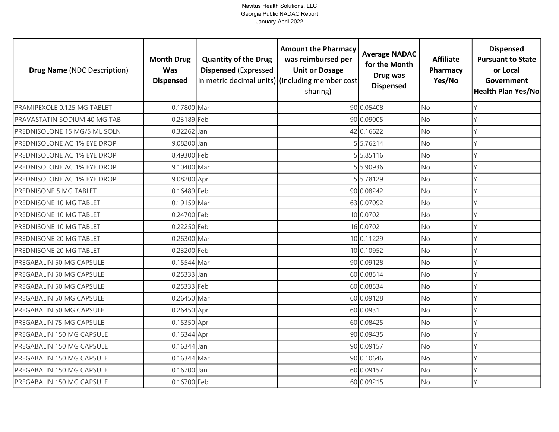| <b>Drug Name (NDC Description)</b> | <b>Month Drug</b><br><b>Was</b><br><b>Dispensed</b> | <b>Quantity of the Drug</b><br><b>Dispensed (Expressed</b> | <b>Amount the Pharmacy</b><br>was reimbursed per<br><b>Unit or Dosage</b><br>in metric decimal units) (Including member cost<br>sharing) | <b>Average NADAC</b><br>for the Month<br>Drug was<br><b>Dispensed</b> | <b>Affiliate</b><br>Pharmacy<br>Yes/No | <b>Dispensed</b><br><b>Pursuant to State</b><br>or Local<br>Government<br><b>Health Plan Yes/No</b> |
|------------------------------------|-----------------------------------------------------|------------------------------------------------------------|------------------------------------------------------------------------------------------------------------------------------------------|-----------------------------------------------------------------------|----------------------------------------|-----------------------------------------------------------------------------------------------------|
| PRAMIPEXOLE 0.125 MG TABLET        | 0.17800 Mar                                         |                                                            |                                                                                                                                          | 90 0.05408                                                            | <b>No</b>                              | Υ                                                                                                   |
| PRAVASTATIN SODIUM 40 MG TAB       | 0.23189 Feb                                         |                                                            |                                                                                                                                          | 90 0.09005                                                            | <b>No</b>                              | Y                                                                                                   |
| PREDNISOLONE 15 MG/5 ML SOLN       | 0.32262 Jan                                         |                                                            |                                                                                                                                          | 42 0.16622                                                            | <b>No</b>                              | Υ                                                                                                   |
| PREDNISOLONE AC 1% EYE DROP        | 9.08200 Jan                                         |                                                            |                                                                                                                                          | 5 5.76214                                                             | <b>No</b>                              | Υ                                                                                                   |
| PREDNISOLONE AC 1% EYE DROP        | 8.49300 Feb                                         |                                                            |                                                                                                                                          | 55.85116                                                              | <b>No</b>                              | γ                                                                                                   |
| PREDNISOLONE AC 1% EYE DROP        | 9.10400 Mar                                         |                                                            |                                                                                                                                          | 55.90936                                                              | No                                     | Υ                                                                                                   |
| PREDNISOLONE AC 1% EYE DROP        | 9.08200 Apr                                         |                                                            |                                                                                                                                          | 55.78129                                                              | No                                     | Y                                                                                                   |
| PREDNISONE 5 MG TABLET             | 0.16489 Feb                                         |                                                            |                                                                                                                                          | 90 0.08242                                                            | No                                     |                                                                                                     |
| PREDNISONE 10 MG TABLET            | 0.19159 Mar                                         |                                                            |                                                                                                                                          | 63 0.07092                                                            | No                                     |                                                                                                     |
| PREDNISONE 10 MG TABLET            | 0.24700 Feb                                         |                                                            |                                                                                                                                          | 10 0.0702                                                             | <b>No</b>                              |                                                                                                     |
| PREDNISONE 10 MG TABLET            | 0.22250 Feb                                         |                                                            |                                                                                                                                          | 16 0.0702                                                             | No                                     |                                                                                                     |
| PREDNISONE 20 MG TABLET            | 0.26300 Mar                                         |                                                            |                                                                                                                                          | 10 0.11229                                                            | <b>No</b>                              |                                                                                                     |
| PREDNISONE 20 MG TABLET            | 0.23200 Feb                                         |                                                            |                                                                                                                                          | 10 0.10952                                                            | <b>No</b>                              |                                                                                                     |
| PREGABALIN 50 MG CAPSULE           | 0.15544 Mar                                         |                                                            |                                                                                                                                          | 90 0.09128                                                            | <b>No</b>                              | Y                                                                                                   |
| PREGABALIN 50 MG CAPSULE           | $0.25333$ Jan                                       |                                                            |                                                                                                                                          | 60 0.08514                                                            | No                                     | Υ                                                                                                   |
| PREGABALIN 50 MG CAPSULE           | 0.25333 Feb                                         |                                                            |                                                                                                                                          | 60 0.08534                                                            | <b>No</b>                              | Υ                                                                                                   |
| PREGABALIN 50 MG CAPSULE           | 0.26450 Mar                                         |                                                            |                                                                                                                                          | 60 0.09128                                                            | <b>No</b>                              | Y                                                                                                   |
| PREGABALIN 50 MG CAPSULE           | 0.26450 Apr                                         |                                                            |                                                                                                                                          | 60 0.0931                                                             | <b>No</b>                              | Υ                                                                                                   |
| PREGABALIN 75 MG CAPSULE           | 0.15350 Apr                                         |                                                            |                                                                                                                                          | 60 0.08425                                                            | <b>No</b>                              | γ                                                                                                   |
| PREGABALIN 150 MG CAPSULE          | 0.16344 Apr                                         |                                                            |                                                                                                                                          | 90 0.09435                                                            | <b>No</b>                              |                                                                                                     |
| PREGABALIN 150 MG CAPSULE          | 0.16344 Jan                                         |                                                            |                                                                                                                                          | 90 0.09157                                                            | <b>No</b>                              | Υ                                                                                                   |
| PREGABALIN 150 MG CAPSULE          | 0.16344 Mar                                         |                                                            |                                                                                                                                          | 90 0.10646                                                            | <b>No</b>                              | Y                                                                                                   |
| PREGABALIN 150 MG CAPSULE          | 0.16700 Jan                                         |                                                            |                                                                                                                                          | 60 0.09157                                                            | No                                     |                                                                                                     |
| PREGABALIN 150 MG CAPSULE          | 0.16700 Feb                                         |                                                            |                                                                                                                                          | 60 0.09215                                                            | <b>No</b>                              | γ                                                                                                   |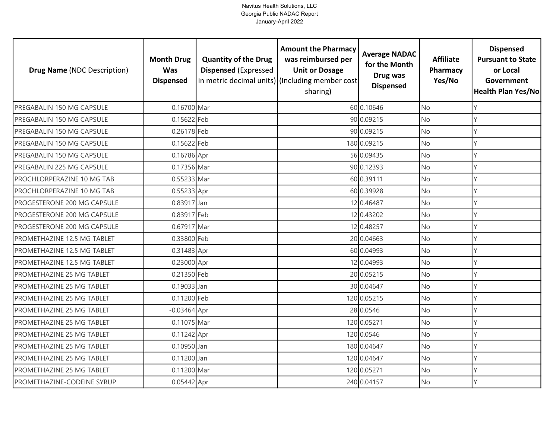| <b>Drug Name (NDC Description)</b> | <b>Month Drug</b><br><b>Was</b><br><b>Dispensed</b> | <b>Quantity of the Drug</b><br><b>Dispensed (Expressed</b> | <b>Amount the Pharmacy</b><br>was reimbursed per<br><b>Unit or Dosage</b><br>in metric decimal units) (Including member cost<br>sharing) | <b>Average NADAC</b><br>for the Month<br>Drug was<br><b>Dispensed</b> | <b>Affiliate</b><br>Pharmacy<br>Yes/No | <b>Dispensed</b><br><b>Pursuant to State</b><br>or Local<br>Government<br><b>Health Plan Yes/No</b> |
|------------------------------------|-----------------------------------------------------|------------------------------------------------------------|------------------------------------------------------------------------------------------------------------------------------------------|-----------------------------------------------------------------------|----------------------------------------|-----------------------------------------------------------------------------------------------------|
| PREGABALIN 150 MG CAPSULE          | 0.16700 Mar                                         |                                                            |                                                                                                                                          | 60 0.10646                                                            | <b>No</b>                              | Y                                                                                                   |
| PREGABALIN 150 MG CAPSULE          | 0.15622 Feb                                         |                                                            |                                                                                                                                          | 90 0.09215                                                            | No                                     | Y                                                                                                   |
| PREGABALIN 150 MG CAPSULE          | 0.26178 Feb                                         |                                                            |                                                                                                                                          | 90 0.09215                                                            | <b>No</b>                              | Y                                                                                                   |
| PREGABALIN 150 MG CAPSULE          | 0.15622 Feb                                         |                                                            |                                                                                                                                          | 180 0.09215                                                           | No                                     | Y                                                                                                   |
| PREGABALIN 150 MG CAPSULE          | 0.16786 Apr                                         |                                                            |                                                                                                                                          | 56 0.09435                                                            | <b>No</b>                              | Y                                                                                                   |
| PREGABALIN 225 MG CAPSULE          | 0.17356 Mar                                         |                                                            |                                                                                                                                          | 90 0.12393                                                            | No                                     | Y                                                                                                   |
| PROCHLORPERAZINE 10 MG TAB         | 0.55233 Mar                                         |                                                            |                                                                                                                                          | 60 0.39111                                                            | No                                     | Y                                                                                                   |
| PROCHLORPERAZINE 10 MG TAB         | 0.55233 Apr                                         |                                                            |                                                                                                                                          | 60 0.39928                                                            | No                                     | γ                                                                                                   |
| PROGESTERONE 200 MG CAPSULE        | 0.83917 Jan                                         |                                                            |                                                                                                                                          | 12 0.46487                                                            | No                                     | V                                                                                                   |
| PROGESTERONE 200 MG CAPSULE        | 0.83917 Feb                                         |                                                            |                                                                                                                                          | 12 0.43202                                                            | No                                     | Y                                                                                                   |
| PROGESTERONE 200 MG CAPSULE        | 0.67917 Mar                                         |                                                            |                                                                                                                                          | 12 0.48257                                                            | No                                     | Y                                                                                                   |
| PROMETHAZINE 12.5 MG TABLET        | 0.33800 Feb                                         |                                                            |                                                                                                                                          | 20 0.04663                                                            | <b>No</b>                              | $\mathsf{Y}$                                                                                        |
| PROMETHAZINE 12.5 MG TABLET        | 0.31483 Apr                                         |                                                            |                                                                                                                                          | 60 0.04993                                                            | No                                     | $\vee$                                                                                              |
| PROMETHAZINE 12.5 MG TABLET        | 0.23000 Apr                                         |                                                            |                                                                                                                                          | 12 0.04993                                                            | <b>No</b>                              | Y                                                                                                   |
| PROMETHAZINE 25 MG TABLET          | 0.21350 Feb                                         |                                                            |                                                                                                                                          | 20 0.05215                                                            | No                                     | Y                                                                                                   |
| PROMETHAZINE 25 MG TABLET          | $0.19033$ Jan                                       |                                                            |                                                                                                                                          | 30 0.04647                                                            | <b>No</b>                              | Y                                                                                                   |
| PROMETHAZINE 25 MG TABLET          | 0.11200 Feb                                         |                                                            |                                                                                                                                          | 120 0.05215                                                           | No                                     | Y                                                                                                   |
| PROMETHAZINE 25 MG TABLET          | $-0.03464$ Apr                                      |                                                            |                                                                                                                                          | 28 0.0546                                                             | <b>No</b>                              | Υ                                                                                                   |
| PROMETHAZINE 25 MG TABLET          | 0.11075 Mar                                         |                                                            |                                                                                                                                          | 120 0.05271                                                           | No                                     | Υ                                                                                                   |
| PROMETHAZINE 25 MG TABLET          | 0.11242 Apr                                         |                                                            |                                                                                                                                          | 120 0.0546                                                            | No                                     | Y                                                                                                   |
| PROMETHAZINE 25 MG TABLET          | 0.10950 Jan                                         |                                                            |                                                                                                                                          | 180 0.04647                                                           | No                                     | Υ                                                                                                   |
| PROMETHAZINE 25 MG TABLET          | 0.11200 Jan                                         |                                                            |                                                                                                                                          | 120 0.04647                                                           | No                                     | Y                                                                                                   |
| PROMETHAZINE 25 MG TABLET          | 0.11200 Mar                                         |                                                            |                                                                                                                                          | 120 0.05271                                                           | No                                     | Υ                                                                                                   |
| PROMETHAZINE-CODEINE SYRUP         | 0.05442 Apr                                         |                                                            |                                                                                                                                          | 240 0.04157                                                           | No.                                    | Y                                                                                                   |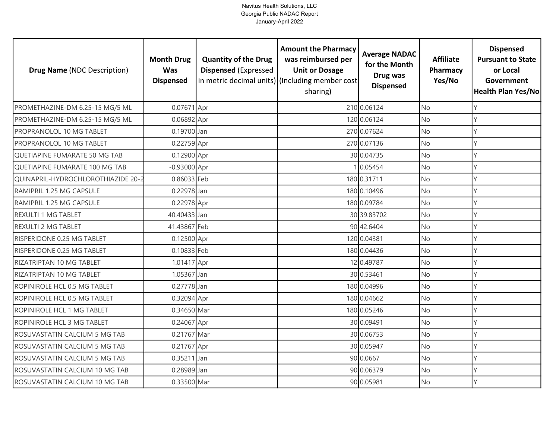| <b>Drug Name (NDC Description)</b> | <b>Month Drug</b><br><b>Was</b><br><b>Dispensed</b> | <b>Quantity of the Drug</b><br><b>Dispensed (Expressed</b> | <b>Amount the Pharmacy</b><br>was reimbursed per<br><b>Unit or Dosage</b><br>in metric decimal units) (Including member cost<br>sharing) | <b>Average NADAC</b><br>for the Month<br>Drug was<br><b>Dispensed</b> | <b>Affiliate</b><br>Pharmacy<br>Yes/No | <b>Dispensed</b><br><b>Pursuant to State</b><br>or Local<br>Government<br><b>Health Plan Yes/No</b> |
|------------------------------------|-----------------------------------------------------|------------------------------------------------------------|------------------------------------------------------------------------------------------------------------------------------------------|-----------------------------------------------------------------------|----------------------------------------|-----------------------------------------------------------------------------------------------------|
| PROMETHAZINE-DM 6.25-15 MG/5 ML    | 0.07671 Apr                                         |                                                            |                                                                                                                                          | 210 0.06124                                                           | <b>No</b>                              | γ                                                                                                   |
| PROMETHAZINE-DM 6.25-15 MG/5 ML    | 0.06892 Apr                                         |                                                            |                                                                                                                                          | 120 0.06124                                                           | <b>No</b>                              | Υ                                                                                                   |
| PROPRANOLOL 10 MG TABLET           | 0.19700 Jan                                         |                                                            |                                                                                                                                          | 270 0.07624                                                           | <b>No</b>                              | Υ                                                                                                   |
| PROPRANOLOL 10 MG TABLET           | 0.22759 Apr                                         |                                                            |                                                                                                                                          | 270 0.07136                                                           | <b>No</b>                              |                                                                                                     |
| QUETIAPINE FUMARATE 50 MG TAB      | 0.12900 Apr                                         |                                                            |                                                                                                                                          | 30 0.04735                                                            | <b>No</b>                              | γ                                                                                                   |
| QUETIAPINE FUMARATE 100 MG TAB     | $-0.93000$ Apr                                      |                                                            |                                                                                                                                          | 0.05454                                                               | <b>No</b>                              | Υ                                                                                                   |
| QUINAPRIL-HYDROCHLOROTHIAZIDE 20-2 | 0.86033 Feb                                         |                                                            |                                                                                                                                          | 180 0.31711                                                           | No                                     |                                                                                                     |
| RAMIPRIL 1.25 MG CAPSULE           | 0.22978 Jan                                         |                                                            |                                                                                                                                          | 180 0.10496                                                           | <b>No</b>                              |                                                                                                     |
| RAMIPRIL 1.25 MG CAPSULE           | 0.22978 Apr                                         |                                                            |                                                                                                                                          | 180 0.09784                                                           | <b>No</b>                              |                                                                                                     |
| <b>REXULTI 1 MG TABLET</b>         | 40.40433 Jan                                        |                                                            |                                                                                                                                          | 30 39.83702                                                           | No                                     |                                                                                                     |
| REXULTI 2 MG TABLET                | 41.43867 Feb                                        |                                                            |                                                                                                                                          | 90 42.6404                                                            | <b>No</b>                              |                                                                                                     |
| RISPERIDONE 0.25 MG TABLET         | 0.12500 Apr                                         |                                                            |                                                                                                                                          | 120 0.04381                                                           | <b>No</b>                              |                                                                                                     |
| RISPERIDONE 0.25 MG TABLET         | 0.10833 Feb                                         |                                                            |                                                                                                                                          | 180 0.04436                                                           | <b>No</b>                              |                                                                                                     |
| RIZATRIPTAN 10 MG TABLET           | 1.01417 Apr                                         |                                                            |                                                                                                                                          | 12 0.49787                                                            | <b>No</b>                              | Υ                                                                                                   |
| RIZATRIPTAN 10 MG TABLET           | 1.05367 Jan                                         |                                                            |                                                                                                                                          | 30 0.53461                                                            | <b>No</b>                              | Υ                                                                                                   |
| ROPINIROLE HCL 0.5 MG TABLET       | 0.27778 Jan                                         |                                                            |                                                                                                                                          | 180 0.04996                                                           | <b>No</b>                              | Υ                                                                                                   |
| ROPINIROLE HCL 0.5 MG TABLET       | 0.32094 Apr                                         |                                                            |                                                                                                                                          | 180 0.04662                                                           | <b>No</b>                              | Υ                                                                                                   |
| ROPINIROLE HCL 1 MG TABLET         | 0.34650 Mar                                         |                                                            |                                                                                                                                          | 180 0.05246                                                           | <b>No</b>                              | γ                                                                                                   |
| ROPINIROLE HCL 3 MG TABLET         | 0.24067 Apr                                         |                                                            |                                                                                                                                          | 30 0.09491                                                            | No                                     | Υ                                                                                                   |
| ROSUVASTATIN CALCIUM 5 MG TAB      | 0.21767 Mar                                         |                                                            |                                                                                                                                          | 30 0.06753                                                            | <b>No</b>                              | Y                                                                                                   |
| ROSUVASTATIN CALCIUM 5 MG TAB      | 0.21767 Apr                                         |                                                            |                                                                                                                                          | 30 0.05947                                                            | <b>No</b>                              | γ                                                                                                   |
| ROSUVASTATIN CALCIUM 5 MG TAB      | 0.35211 Jan                                         |                                                            |                                                                                                                                          | 90 0.0667                                                             | No                                     | V                                                                                                   |
| ROSUVASTATIN CALCIUM 10 MG TAB     | 0.28989 Jan                                         |                                                            |                                                                                                                                          | 90 0.06379                                                            | <b>No</b>                              |                                                                                                     |
| ROSUVASTATIN CALCIUM 10 MG TAB     | 0.33500 Mar                                         |                                                            |                                                                                                                                          | 90 0.05981                                                            | No                                     | γ                                                                                                   |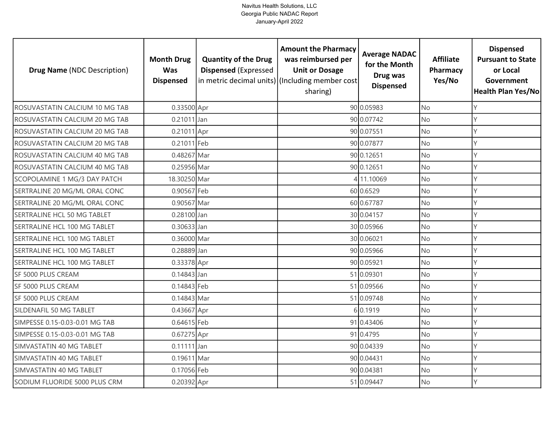| <b>Drug Name (NDC Description)</b> | <b>Month Drug</b><br><b>Was</b><br><b>Dispensed</b> | <b>Quantity of the Drug</b><br><b>Dispensed (Expressed</b> | <b>Amount the Pharmacy</b><br>was reimbursed per<br><b>Unit or Dosage</b><br>in metric decimal units) (Including member cost<br>sharing) | <b>Average NADAC</b><br>for the Month<br>Drug was<br><b>Dispensed</b> | <b>Affiliate</b><br>Pharmacy<br>Yes/No | <b>Dispensed</b><br><b>Pursuant to State</b><br>or Local<br>Government<br>Health Plan Yes/No |
|------------------------------------|-----------------------------------------------------|------------------------------------------------------------|------------------------------------------------------------------------------------------------------------------------------------------|-----------------------------------------------------------------------|----------------------------------------|----------------------------------------------------------------------------------------------|
| ROSUVASTATIN CALCIUM 10 MG TAB     | 0.33500 Apr                                         |                                                            |                                                                                                                                          | 90 0.05983                                                            | <b>No</b>                              | Y                                                                                            |
| ROSUVASTATIN CALCIUM 20 MG TAB     | 0.21011 Jan                                         |                                                            |                                                                                                                                          | 90 0.07742                                                            | No                                     | Y                                                                                            |
| ROSUVASTATIN CALCIUM 20 MG TAB     | 0.21011 Apr                                         |                                                            |                                                                                                                                          | 90 0.07551                                                            | <b>No</b>                              | Y                                                                                            |
| ROSUVASTATIN CALCIUM 20 MG TAB     | 0.21011 Feb                                         |                                                            |                                                                                                                                          | 90 0.07877                                                            | No                                     | Y                                                                                            |
| ROSUVASTATIN CALCIUM 40 MG TAB     | 0.48267 Mar                                         |                                                            |                                                                                                                                          | 90 0.12651                                                            | <b>No</b>                              | Y                                                                                            |
| ROSUVASTATIN CALCIUM 40 MG TAB     | 0.25956 Mar                                         |                                                            |                                                                                                                                          | 90 0.12651                                                            | No                                     | Y                                                                                            |
| SCOPOLAMINE 1 MG/3 DAY PATCH       | 18.30250 Mar                                        |                                                            |                                                                                                                                          | 4 11.10069                                                            | No                                     | Y                                                                                            |
| SERTRALINE 20 MG/ML ORAL CONC      | 0.90567 Feb                                         |                                                            |                                                                                                                                          | 60 0.6529                                                             | No                                     | Υ                                                                                            |
| SERTRALINE 20 MG/ML ORAL CONC      | 0.90567 Mar                                         |                                                            |                                                                                                                                          | 60 0.67787                                                            | No                                     | Y                                                                                            |
| SERTRALINE HCL 50 MG TABLET        | 0.28100 Jan                                         |                                                            |                                                                                                                                          | 30 0.04157                                                            | No                                     | Y                                                                                            |
| SERTRALINE HCL 100 MG TABLET       | 0.30633 Jan                                         |                                                            |                                                                                                                                          | 30 0.05966                                                            | No                                     | $\vee$                                                                                       |
| SERTRALINE HCL 100 MG TABLET       | 0.36000 Mar                                         |                                                            |                                                                                                                                          | 30 0.06021                                                            | <b>No</b>                              | $\mathsf{Y}$                                                                                 |
| SERTRALINE HCL 100 MG TABLET       | 0.28889 Jan                                         |                                                            |                                                                                                                                          | 90 0.05966                                                            | No                                     | $\vee$                                                                                       |
| SERTRALINE HCL 100 MG TABLET       | 0.33378 Apr                                         |                                                            |                                                                                                                                          | 90 0.05921                                                            | <b>No</b>                              | Y                                                                                            |
| SF 5000 PLUS CREAM                 | 0.14843 Jan                                         |                                                            |                                                                                                                                          | 51 0.09301                                                            | No                                     | Y                                                                                            |
| SF 5000 PLUS CREAM                 | 0.14843 Feb                                         |                                                            |                                                                                                                                          | 51 0.09566                                                            | <b>No</b>                              | Y                                                                                            |
| SF 5000 PLUS CREAM                 | 0.14843 Mar                                         |                                                            |                                                                                                                                          | 51 0.09748                                                            | No                                     | Y                                                                                            |
| SILDENAFIL 50 MG TABLET            | 0.43667 Apr                                         |                                                            |                                                                                                                                          | 6 0.1919                                                              | <b>No</b>                              | Y                                                                                            |
| SIMPESSE 0.15-0.03-0.01 MG TAB     | 0.64615 Feb                                         |                                                            |                                                                                                                                          | 91 0.43406                                                            | No                                     | Υ                                                                                            |
| SIMPESSE 0.15-0.03-0.01 MG TAB     | 0.67275 Apr                                         |                                                            |                                                                                                                                          | 91 0.4795                                                             | No                                     | Y                                                                                            |
| SIMVASTATIN 40 MG TABLET           | $0.11111$ Jan                                       |                                                            |                                                                                                                                          | 90 0.04339                                                            | No                                     | Υ                                                                                            |
| SIMVASTATIN 40 MG TABLET           | 0.19611 Mar                                         |                                                            |                                                                                                                                          | 90 0.04431                                                            | No                                     | Y                                                                                            |
| SIMVASTATIN 40 MG TABLET           | 0.17056 Feb                                         |                                                            |                                                                                                                                          | 90 0.04381                                                            | No                                     | Y                                                                                            |
| SODIUM FLUORIDE 5000 PLUS CRM      | 0.20392 Apr                                         |                                                            |                                                                                                                                          | 51 0.09447                                                            | No                                     | $\vee$                                                                                       |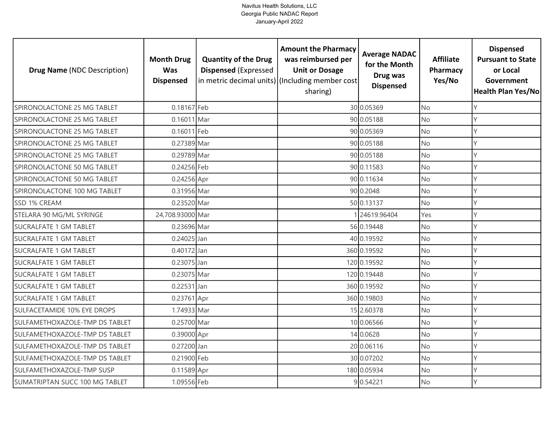| <b>Drug Name (NDC Description)</b> | <b>Month Drug</b><br><b>Was</b><br><b>Dispensed</b> | <b>Quantity of the Drug</b><br><b>Dispensed (Expressed</b> | <b>Amount the Pharmacy</b><br>was reimbursed per<br><b>Unit or Dosage</b><br>in metric decimal units) (Including member cost<br>sharing) | <b>Average NADAC</b><br>for the Month<br>Drug was<br><b>Dispensed</b> | <b>Affiliate</b><br>Pharmacy<br>Yes/No | <b>Dispensed</b><br><b>Pursuant to State</b><br>or Local<br>Government<br><b>Health Plan Yes/No</b> |
|------------------------------------|-----------------------------------------------------|------------------------------------------------------------|------------------------------------------------------------------------------------------------------------------------------------------|-----------------------------------------------------------------------|----------------------------------------|-----------------------------------------------------------------------------------------------------|
| SPIRONOLACTONE 25 MG TABLET        | 0.18167 Feb                                         |                                                            |                                                                                                                                          | 30 0.05369                                                            | <b>No</b>                              | γ                                                                                                   |
| SPIRONOLACTONE 25 MG TABLET        | 0.16011 Mar                                         |                                                            |                                                                                                                                          | 90 0.05188                                                            | <b>No</b>                              | Υ                                                                                                   |
| SPIRONOLACTONE 25 MG TABLET        | 0.16011 Feb                                         |                                                            |                                                                                                                                          | 90 0.05369                                                            | <b>No</b>                              | Υ                                                                                                   |
| SPIRONOLACTONE 25 MG TABLET        | 0.27389 Mar                                         |                                                            |                                                                                                                                          | 90 0.05188                                                            | <b>No</b>                              | Υ                                                                                                   |
| SPIRONOLACTONE 25 MG TABLET        | 0.29789 Mar                                         |                                                            |                                                                                                                                          | 90 0.05188                                                            | <b>No</b>                              | γ                                                                                                   |
| SPIRONOLACTONE 50 MG TABLET        | 0.24256 Feb                                         |                                                            |                                                                                                                                          | 90 0.11583                                                            | <b>No</b>                              | Υ                                                                                                   |
| SPIRONOLACTONE 50 MG TABLET        | 0.24256 Apr                                         |                                                            |                                                                                                                                          | 90 0.11634                                                            | No                                     | γ                                                                                                   |
| SPIRONOLACTONE 100 MG TABLET       | 0.31956 Mar                                         |                                                            |                                                                                                                                          | 90 0.2048                                                             | <b>No</b>                              |                                                                                                     |
| SSD 1% CREAM                       | 0.23520 Mar                                         |                                                            |                                                                                                                                          | 50 0.13137                                                            | No                                     |                                                                                                     |
| STELARA 90 MG/ML SYRINGE           | 24,708.93000 Mar                                    |                                                            |                                                                                                                                          | 24619.96404                                                           | Yes                                    |                                                                                                     |
| <b>SUCRALFATE 1 GM TABLET</b>      | 0.23696 Mar                                         |                                                            |                                                                                                                                          | 56 0.19448                                                            | No                                     |                                                                                                     |
| <b>SUCRALFATE 1 GM TABLET</b>      | $0.24025$ Jan                                       |                                                            |                                                                                                                                          | 40 0.19592                                                            | <b>No</b>                              |                                                                                                     |
| SUCRALFATE 1 GM TABLET             | 0.40172 Jan                                         |                                                            |                                                                                                                                          | 360 0.19592                                                           | No                                     |                                                                                                     |
| <b>SUCRALFATE 1 GM TABLET</b>      | 0.23075 Jan                                         |                                                            |                                                                                                                                          | 120 0.19592                                                           | <b>No</b>                              | Υ                                                                                                   |
| <b>SUCRALFATE 1 GM TABLET</b>      | 0.23075 Mar                                         |                                                            |                                                                                                                                          | 120 0.19448                                                           | No                                     | Υ                                                                                                   |
| <b>SUCRALFATE 1 GM TABLET</b>      | $0.22531$ Jan                                       |                                                            |                                                                                                                                          | 360 0.19592                                                           | <b>No</b>                              | Υ                                                                                                   |
| <b>SUCRALFATE 1 GM TABLET</b>      | 0.23761 Apr                                         |                                                            |                                                                                                                                          | 360 0.19803                                                           | <b>No</b>                              | Υ                                                                                                   |
| SULFACETAMIDE 10% EYE DROPS        | 1.74933 Mar                                         |                                                            |                                                                                                                                          | 15 2.60378                                                            | <b>No</b>                              | γ                                                                                                   |
| SULFAMETHOXAZOLE-TMP DS TABLET     | 0.25700 Mar                                         |                                                            |                                                                                                                                          | 10 0.06566                                                            | <b>No</b>                              | Υ                                                                                                   |
| SULFAMETHOXAZOLE-TMP DS TABLET     | 0.39000 Apr                                         |                                                            |                                                                                                                                          | 14 0.0628                                                             | <b>No</b>                              | γ                                                                                                   |
| SULFAMETHOXAZOLE-TMP DS TABLET     | 0.27200 Jan                                         |                                                            |                                                                                                                                          | 20 0.06116                                                            | <b>No</b>                              | γ                                                                                                   |
| SULFAMETHOXAZOLE-TMP DS TABLET     | 0.21900 Feb                                         |                                                            |                                                                                                                                          | 30 0.07202                                                            | No                                     | V                                                                                                   |
| SULFAMETHOXAZOLE-TMP SUSP          | 0.11589 Apr                                         |                                                            |                                                                                                                                          | 180 0.05934                                                           | <b>No</b>                              |                                                                                                     |
| SUMATRIPTAN SUCC 100 MG TABLET     | 1.09556 Feb                                         |                                                            |                                                                                                                                          | 9 0.54221                                                             | No                                     | γ                                                                                                   |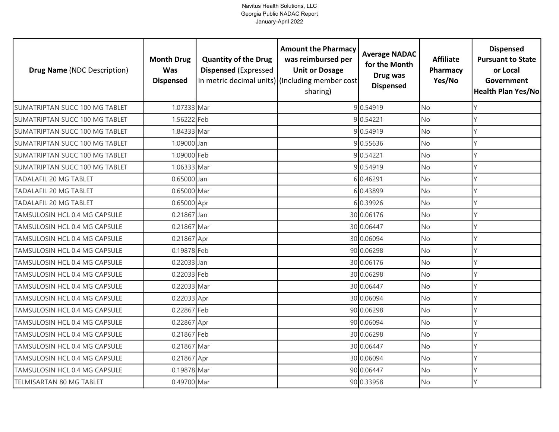| <b>Drug Name (NDC Description)</b> | <b>Month Drug</b><br><b>Was</b><br><b>Dispensed</b> | <b>Quantity of the Drug</b><br><b>Dispensed (Expressed</b> | <b>Amount the Pharmacy</b><br>was reimbursed per<br><b>Unit or Dosage</b><br>in metric decimal units) (Including member cost<br>sharing) | <b>Average NADAC</b><br>for the Month<br>Drug was<br><b>Dispensed</b> | <b>Affiliate</b><br>Pharmacy<br>Yes/No | <b>Dispensed</b><br><b>Pursuant to State</b><br>or Local<br>Government<br><b>Health Plan Yes/No</b> |
|------------------------------------|-----------------------------------------------------|------------------------------------------------------------|------------------------------------------------------------------------------------------------------------------------------------------|-----------------------------------------------------------------------|----------------------------------------|-----------------------------------------------------------------------------------------------------|
| SUMATRIPTAN SUCC 100 MG TABLET     | 1.07333 Mar                                         |                                                            |                                                                                                                                          | 9 0.54919                                                             | <b>No</b>                              | Υ                                                                                                   |
| SUMATRIPTAN SUCC 100 MG TABLET     | 1.56222 Feb                                         |                                                            |                                                                                                                                          | 9 0.54221                                                             | <b>No</b>                              | Υ                                                                                                   |
| SUMATRIPTAN SUCC 100 MG TABLET     | 1.84333 Mar                                         |                                                            |                                                                                                                                          | 9 0.54919                                                             | <b>No</b>                              |                                                                                                     |
| SUMATRIPTAN SUCC 100 MG TABLET     | 1.09000 Jan                                         |                                                            |                                                                                                                                          | 90.55636                                                              | <b>No</b>                              |                                                                                                     |
| SUMATRIPTAN SUCC 100 MG TABLET     | 1.09000 Feb                                         |                                                            |                                                                                                                                          | 9 0.54221                                                             | <b>No</b>                              |                                                                                                     |
| SUMATRIPTAN SUCC 100 MG TABLET     | 1.06333 Mar                                         |                                                            |                                                                                                                                          | 90.54919                                                              | <b>No</b>                              |                                                                                                     |
| TADALAFIL 20 MG TABLET             | 0.65000 Jan                                         |                                                            |                                                                                                                                          | 6 0.46291                                                             | <b>No</b>                              | Y                                                                                                   |
| <b>TADALAFIL 20 MG TABLET</b>      | 0.65000 Mar                                         |                                                            |                                                                                                                                          | 60.43899                                                              | <b>No</b>                              |                                                                                                     |
| <b>TADALAFIL 20 MG TABLET</b>      | 0.65000 Apr                                         |                                                            |                                                                                                                                          | 6 0.39926                                                             | <b>No</b>                              |                                                                                                     |
| TAMSULOSIN HCL 0.4 MG CAPSULE      | 0.21867 Jan                                         |                                                            |                                                                                                                                          | 30 0.06176                                                            | <b>No</b>                              | Υ                                                                                                   |
| TAMSULOSIN HCL 0.4 MG CAPSULE      | 0.21867 Mar                                         |                                                            |                                                                                                                                          | 30 0.06447                                                            | <b>No</b>                              | V                                                                                                   |
| TAMSULOSIN HCL 0.4 MG CAPSULE      | 0.21867 Apr                                         |                                                            |                                                                                                                                          | 30 0.06094                                                            | <b>No</b>                              |                                                                                                     |
| TAMSULOSIN HCL 0.4 MG CAPSULE      | 0.19878 Feb                                         |                                                            |                                                                                                                                          | 90 0.06298                                                            | <b>No</b>                              |                                                                                                     |
| TAMSULOSIN HCL 0.4 MG CAPSULE      | 0.22033 Jan                                         |                                                            |                                                                                                                                          | 30 0.06176                                                            | <b>No</b>                              | γ                                                                                                   |
| TAMSULOSIN HCL 0.4 MG CAPSULE      | 0.22033 Feb                                         |                                                            |                                                                                                                                          | 30 0.06298                                                            | No                                     | γ                                                                                                   |
| TAMSULOSIN HCL 0.4 MG CAPSULE      | 0.22033 Mar                                         |                                                            |                                                                                                                                          | 30 0.06447                                                            | No                                     | γ                                                                                                   |
| TAMSULOSIN HCL 0.4 MG CAPSULE      | 0.22033 Apr                                         |                                                            |                                                                                                                                          | 30 0.06094                                                            | <b>No</b>                              | Y                                                                                                   |
| TAMSULOSIN HCL 0.4 MG CAPSULE      | 0.22867 Feb                                         |                                                            |                                                                                                                                          | 90 0.06298                                                            | <b>No</b>                              | Υ                                                                                                   |
| TAMSULOSIN HCL 0.4 MG CAPSULE      | 0.22867 Apr                                         |                                                            |                                                                                                                                          | 90 0.06094                                                            | <b>No</b>                              |                                                                                                     |
| TAMSULOSIN HCL 0.4 MG CAPSULE      | 0.21867 Feb                                         |                                                            |                                                                                                                                          | 30 0.06298                                                            | <b>No</b>                              | γ                                                                                                   |
| TAMSULOSIN HCL 0.4 MG CAPSULE      | 0.21867 Mar                                         |                                                            |                                                                                                                                          | 30 0.06447                                                            | <b>No</b>                              | Υ                                                                                                   |
| TAMSULOSIN HCL 0.4 MG CAPSULE      | 0.21867 Apr                                         |                                                            |                                                                                                                                          | 30 0.06094                                                            | No                                     | Y                                                                                                   |
| TAMSULOSIN HCL 0.4 MG CAPSULE      | 0.19878 Mar                                         |                                                            |                                                                                                                                          | 90 0.06447                                                            | <b>No</b>                              |                                                                                                     |
| TELMISARTAN 80 MG TABLET           | 0.49700 Mar                                         |                                                            |                                                                                                                                          | 90 0.33958                                                            | No                                     | Y                                                                                                   |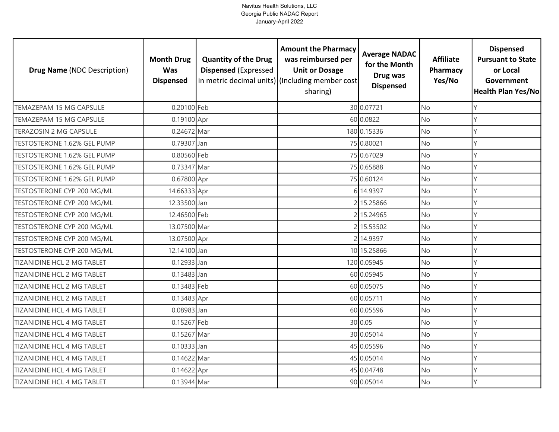| <b>Drug Name (NDC Description)</b> | <b>Month Drug</b><br><b>Was</b><br><b>Dispensed</b> | <b>Quantity of the Drug</b><br><b>Dispensed (Expressed</b> | <b>Amount the Pharmacy</b><br>was reimbursed per<br><b>Unit or Dosage</b><br>in metric decimal units) (Including member cost<br>sharing) | <b>Average NADAC</b><br>for the Month<br>Drug was<br><b>Dispensed</b> | <b>Affiliate</b><br>Pharmacy<br>Yes/No | <b>Dispensed</b><br><b>Pursuant to State</b><br>or Local<br>Government<br><b>Health Plan Yes/No</b> |
|------------------------------------|-----------------------------------------------------|------------------------------------------------------------|------------------------------------------------------------------------------------------------------------------------------------------|-----------------------------------------------------------------------|----------------------------------------|-----------------------------------------------------------------------------------------------------|
| TEMAZEPAM 15 MG CAPSULE            | 0.20100 Feb                                         |                                                            |                                                                                                                                          | 30 0.07721                                                            | <b>No</b>                              |                                                                                                     |
| TEMAZEPAM 15 MG CAPSULE            | 0.19100 Apr                                         |                                                            |                                                                                                                                          | 60 0.0822                                                             | <b>No</b>                              |                                                                                                     |
| TERAZOSIN 2 MG CAPSULE             | 0.24672 Mar                                         |                                                            |                                                                                                                                          | 180 0.15336                                                           | <b>No</b>                              |                                                                                                     |
| TESTOSTERONE 1.62% GEL PUMP        | 0.79307 Jan                                         |                                                            |                                                                                                                                          | 75 0.80021                                                            | <b>No</b>                              | γ                                                                                                   |
| TESTOSTERONE 1.62% GEL PUMP        | 0.80560 Feb                                         |                                                            |                                                                                                                                          | 75 0.67029                                                            | <b>No</b>                              | γ                                                                                                   |
| TESTOSTERONE 1.62% GEL PUMP        | 0.73347 Mar                                         |                                                            |                                                                                                                                          | 75 0.65888                                                            | <b>No</b>                              | Υ                                                                                                   |
| TESTOSTERONE 1.62% GEL PUMP        | 0.67800 Apr                                         |                                                            |                                                                                                                                          | 75 0.60124                                                            | No                                     | γ                                                                                                   |
| TESTOSTERONE CYP 200 MG/ML         | 14.66333 Apr                                        |                                                            |                                                                                                                                          | 6 14.9397                                                             | <b>No</b>                              |                                                                                                     |
| TESTOSTERONE CYP 200 MG/ML         | 12.33500 Jan                                        |                                                            |                                                                                                                                          | 215.25866                                                             | <b>No</b>                              | Y                                                                                                   |
| TESTOSTERONE CYP 200 MG/ML         | 12.46500 Feb                                        |                                                            |                                                                                                                                          | 2 15.24965                                                            | <b>No</b>                              | Υ                                                                                                   |
| TESTOSTERONE CYP 200 MG/ML         | 13.07500 Mar                                        |                                                            |                                                                                                                                          | 2 15.53502                                                            | <b>No</b>                              | Y                                                                                                   |
| TESTOSTERONE CYP 200 MG/ML         | 13.07500 Apr                                        |                                                            |                                                                                                                                          | 2 14.9397                                                             | <b>No</b>                              |                                                                                                     |
| TESTOSTERONE CYP 200 MG/ML         | 12.14100 Jan                                        |                                                            |                                                                                                                                          | 10 15.25866                                                           | No                                     |                                                                                                     |
| TIZANIDINE HCL 2 MG TABLET         | 0.12933 Jan                                         |                                                            |                                                                                                                                          | 120 0.05945                                                           | <b>No</b>                              | γ                                                                                                   |
| TIZANIDINE HCL 2 MG TABLET         | $0.13483$ Jan                                       |                                                            |                                                                                                                                          | 60 0.05945                                                            | No                                     | Υ                                                                                                   |
| TIZANIDINE HCL 2 MG TABLET         | 0.13483 Feb                                         |                                                            |                                                                                                                                          | 60 0.05075                                                            | <b>No</b>                              | γ                                                                                                   |
| TIZANIDINE HCL 2 MG TABLET         | 0.13483 Apr                                         |                                                            |                                                                                                                                          | 60 0.05711                                                            | <b>No</b>                              | Y                                                                                                   |
| TIZANIDINE HCL 4 MG TABLET         | 0.08983 Jan                                         |                                                            |                                                                                                                                          | 60 0.05596                                                            | <b>No</b>                              | Υ                                                                                                   |
| <b>TIZANIDINE HCL 4 MG TABLET</b>  | 0.15267 Feb                                         |                                                            |                                                                                                                                          | 30 0.05                                                               | <b>No</b>                              | γ                                                                                                   |
| <b>TIZANIDINE HCL 4 MG TABLET</b>  | 0.15267 Mar                                         |                                                            |                                                                                                                                          | 30 0.05014                                                            | <b>No</b>                              | γ                                                                                                   |
| TIZANIDINE HCL 4 MG TABLET         | 0.10333 Jan                                         |                                                            |                                                                                                                                          | 45 0.05596                                                            | <b>No</b>                              | Υ                                                                                                   |
| TIZANIDINE HCL 4 MG TABLET         | 0.14622 Mar                                         |                                                            |                                                                                                                                          | 45 0.05014                                                            | No                                     | Y                                                                                                   |
| TIZANIDINE HCL 4 MG TABLET         | 0.14622 Apr                                         |                                                            |                                                                                                                                          | 45 0.04748                                                            | <b>No</b>                              |                                                                                                     |
| TIZANIDINE HCL 4 MG TABLET         | 0.13944 Mar                                         |                                                            |                                                                                                                                          | 90 0.05014                                                            | <b>No</b>                              | γ                                                                                                   |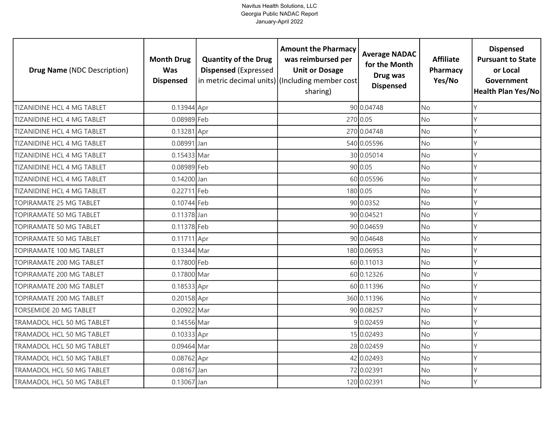| <b>Drug Name (NDC Description)</b> | <b>Month Drug</b><br><b>Was</b><br><b>Dispensed</b> | <b>Quantity of the Drug</b><br><b>Dispensed (Expressed</b> | <b>Amount the Pharmacy</b><br>was reimbursed per<br><b>Unit or Dosage</b><br>in metric decimal units) (Including member cost<br>sharing) | <b>Average NADAC</b><br>for the Month<br>Drug was<br><b>Dispensed</b> | <b>Affiliate</b><br>Pharmacy<br>Yes/No | <b>Dispensed</b><br><b>Pursuant to State</b><br>or Local<br>Government<br>Health Plan Yes/No |
|------------------------------------|-----------------------------------------------------|------------------------------------------------------------|------------------------------------------------------------------------------------------------------------------------------------------|-----------------------------------------------------------------------|----------------------------------------|----------------------------------------------------------------------------------------------|
| TIZANIDINE HCL 4 MG TABLET         | 0.13944 Apr                                         |                                                            |                                                                                                                                          | 90 0.04748                                                            | <b>No</b>                              | Y                                                                                            |
| TIZANIDINE HCL 4 MG TABLET         | 0.08989 Feb                                         |                                                            |                                                                                                                                          | 270 0.05                                                              | No                                     | Y                                                                                            |
| TIZANIDINE HCL 4 MG TABLET         | 0.13281 Apr                                         |                                                            |                                                                                                                                          | 270 0.04748                                                           | <b>No</b>                              | Y                                                                                            |
| <b>TIZANIDINE HCL 4 MG TABLET</b>  | 0.08991 Jan                                         |                                                            |                                                                                                                                          | 540 0.05596                                                           | No                                     | Y                                                                                            |
| <b>TIZANIDINE HCL 4 MG TABLET</b>  | 0.15433 Mar                                         |                                                            |                                                                                                                                          | 30 0.05014                                                            | <b>No</b>                              | Y                                                                                            |
| TIZANIDINE HCL 4 MG TABLET         | 0.08989 Feb                                         |                                                            |                                                                                                                                          | 90 0.05                                                               | No                                     | Y                                                                                            |
| TIZANIDINE HCL 4 MG TABLET         | 0.14200 Jan                                         |                                                            |                                                                                                                                          | 60 0.05596                                                            | No                                     | Y                                                                                            |
| <b>TIZANIDINE HCL 4 MG TABLET</b>  | 0.22711 Feb                                         |                                                            |                                                                                                                                          | 180 0.05                                                              | No                                     | Y                                                                                            |
| TOPIRAMATE 25 MG TABLET            | 0.10744 Feb                                         |                                                            |                                                                                                                                          | 90 0.0352                                                             | No                                     | γ                                                                                            |
| TOPIRAMATE 50 MG TABLET            | $0.11378$ Jan                                       |                                                            |                                                                                                                                          | 90 0.04521                                                            | <b>No</b>                              | Y                                                                                            |
| TOPIRAMATE 50 MG TABLET            | 0.11378 Feb                                         |                                                            |                                                                                                                                          | 90 0.04659                                                            | No                                     | $\mathsf{Y}$                                                                                 |
| TOPIRAMATE 50 MG TABLET            | 0.11711 Apr                                         |                                                            |                                                                                                                                          | 90 0.04648                                                            | No                                     | $\vee$                                                                                       |
| TOPIRAMATE 100 MG TABLET           | 0.13344 Mar                                         |                                                            |                                                                                                                                          | 180 0.06953                                                           | No                                     | Y                                                                                            |
| TOPIRAMATE 200 MG TABLET           | 0.17800 Feb                                         |                                                            |                                                                                                                                          | 60 0.11013                                                            | <b>No</b>                              | Y                                                                                            |
| TOPIRAMATE 200 MG TABLET           | 0.17800 Mar                                         |                                                            |                                                                                                                                          | 60 0.12326                                                            | No                                     | Y                                                                                            |
| TOPIRAMATE 200 MG TABLET           | 0.18533 Apr                                         |                                                            |                                                                                                                                          | 60 0.11396                                                            | <b>No</b>                              | Y                                                                                            |
| TOPIRAMATE 200 MG TABLET           | 0.20158 Apr                                         |                                                            |                                                                                                                                          | 360 0.11396                                                           | <b>No</b>                              | Y                                                                                            |
| <b>TORSEMIDE 20 MG TABLET</b>      | 0.20922 Mar                                         |                                                            |                                                                                                                                          | 90 0.08257                                                            | <b>No</b>                              | Y                                                                                            |
| TRAMADOL HCL 50 MG TABLET          | 0.14556 Mar                                         |                                                            |                                                                                                                                          | 9 0.02459                                                             | No                                     | Y                                                                                            |
| TRAMADOL HCL 50 MG TABLET          | 0.10333 Apr                                         |                                                            |                                                                                                                                          | 15 0.02493                                                            | <b>No</b>                              | Υ                                                                                            |
| TRAMADOL HCL 50 MG TABLET          | 0.09464 Mar                                         |                                                            |                                                                                                                                          | 28 0.02459                                                            | No                                     | Y                                                                                            |
| TRAMADOL HCL 50 MG TABLET          | 0.08762 Apr                                         |                                                            |                                                                                                                                          | 42 0.02493                                                            | No                                     | Y                                                                                            |
| TRAMADOL HCL 50 MG TABLET          | 0.08167 Jan                                         |                                                            |                                                                                                                                          | 72 0.02391                                                            | No                                     | Υ                                                                                            |
| TRAMADOL HCL 50 MG TABLET          | 0.13067 Jan                                         |                                                            |                                                                                                                                          | 120 0.02391                                                           | No                                     | Y                                                                                            |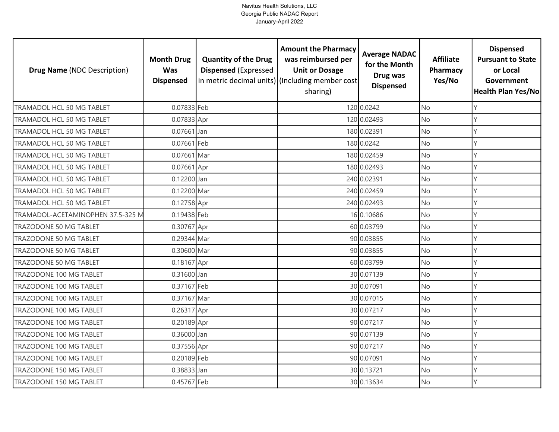| <b>Drug Name (NDC Description)</b> | <b>Month Drug</b><br><b>Was</b><br><b>Dispensed</b> | <b>Quantity of the Drug</b><br><b>Dispensed (Expressed</b> | <b>Amount the Pharmacy</b><br>was reimbursed per<br><b>Unit or Dosage</b><br>in metric decimal units) (Including member cost<br>sharing) | <b>Average NADAC</b><br>for the Month<br>Drug was<br><b>Dispensed</b> | <b>Affiliate</b><br>Pharmacy<br>Yes/No | <b>Dispensed</b><br><b>Pursuant to State</b><br>or Local<br>Government<br><b>Health Plan Yes/No</b> |
|------------------------------------|-----------------------------------------------------|------------------------------------------------------------|------------------------------------------------------------------------------------------------------------------------------------------|-----------------------------------------------------------------------|----------------------------------------|-----------------------------------------------------------------------------------------------------|
| TRAMADOL HCL 50 MG TABLET          | 0.07833 Feb                                         |                                                            |                                                                                                                                          | 120 0.0242                                                            | <b>No</b>                              | Y                                                                                                   |
| TRAMADOL HCL 50 MG TABLET          | 0.07833 Apr                                         |                                                            |                                                                                                                                          | 120 0.02493                                                           | No                                     | Y                                                                                                   |
| TRAMADOL HCL 50 MG TABLET          | $0.07661$ Jan                                       |                                                            |                                                                                                                                          | 180 0.02391                                                           | <b>No</b>                              | Y                                                                                                   |
| TRAMADOL HCL 50 MG TABLET          | 0.07661 Feb                                         |                                                            |                                                                                                                                          | 180 0.0242                                                            | No                                     | Y                                                                                                   |
| TRAMADOL HCL 50 MG TABLET          | 0.07661 Mar                                         |                                                            |                                                                                                                                          | 180 0.02459                                                           | <b>No</b>                              | Υ                                                                                                   |
| TRAMADOL HCL 50 MG TABLET          | 0.07661 Apr                                         |                                                            |                                                                                                                                          | 180 0.02493                                                           | No                                     | Y                                                                                                   |
| TRAMADOL HCL 50 MG TABLET          | 0.12200 Jan                                         |                                                            |                                                                                                                                          | 240 0.02391                                                           | No                                     | Y                                                                                                   |
| TRAMADOL HCL 50 MG TABLET          | 0.12200 Mar                                         |                                                            |                                                                                                                                          | 240 0.02459                                                           | No                                     | γ                                                                                                   |
| TRAMADOL HCL 50 MG TABLET          | 0.12758 Apr                                         |                                                            |                                                                                                                                          | 240 0.02493                                                           | No                                     | Y                                                                                                   |
| TRAMADOL-ACETAMINOPHEN 37.5-325 M  | 0.19438 Feb                                         |                                                            |                                                                                                                                          | 16 0.10686                                                            | No                                     | Y                                                                                                   |
| TRAZODONE 50 MG TABLET             | 0.30767 Apr                                         |                                                            |                                                                                                                                          | 60 0.03799                                                            | No                                     | $\vee$                                                                                              |
| <b>TRAZODONE 50 MG TABLET</b>      | 0.29344 Mar                                         |                                                            |                                                                                                                                          | 90 0.03855                                                            | <b>No</b>                              | $\mathsf{Y}$                                                                                        |
| TRAZODONE 50 MG TABLET             | 0.30600 Mar                                         |                                                            |                                                                                                                                          | 90 0.03855                                                            | No                                     | Y                                                                                                   |
| TRAZODONE 50 MG TABLET             | 0.18167 Apr                                         |                                                            |                                                                                                                                          | 60 0.03799                                                            | <b>No</b>                              | Y                                                                                                   |
| TRAZODONE 100 MG TABLET            | 0.31600 Jan                                         |                                                            |                                                                                                                                          | 30 0.07139                                                            | No                                     | Y                                                                                                   |
| TRAZODONE 100 MG TABLET            | 0.37167 Feb                                         |                                                            |                                                                                                                                          | 30 0.07091                                                            | <b>No</b>                              | Y                                                                                                   |
| TRAZODONE 100 MG TABLET            | 0.37167 Mar                                         |                                                            |                                                                                                                                          | 30 0.07015                                                            | No                                     | Y                                                                                                   |
| TRAZODONE 100 MG TABLET            | 0.26317 Apr                                         |                                                            |                                                                                                                                          | 30 0.07217                                                            | <b>No</b>                              | Υ                                                                                                   |
| TRAZODONE 100 MG TABLET            | 0.20189 Apr                                         |                                                            |                                                                                                                                          | 90 0.07217                                                            | No                                     | Υ                                                                                                   |
| TRAZODONE 100 MG TABLET            | 0.36000 Jan                                         |                                                            |                                                                                                                                          | 90 0.07139                                                            | No                                     | Y                                                                                                   |
| TRAZODONE 100 MG TABLET            | 0.37556 Apr                                         |                                                            |                                                                                                                                          | 90 0.07217                                                            | No                                     | Υ                                                                                                   |
| TRAZODONE 100 MG TABLET            | 0.20189 Feb                                         |                                                            |                                                                                                                                          | 90 0.07091                                                            | No                                     | Y                                                                                                   |
| TRAZODONE 150 MG TABLET            | 0.38833 Jan                                         |                                                            |                                                                                                                                          | 30 0.13721                                                            | No                                     | Y                                                                                                   |
| TRAZODONE 150 MG TABLET            | 0.45767 Feb                                         |                                                            |                                                                                                                                          | 30 0.13634                                                            | No                                     | $\vee$                                                                                              |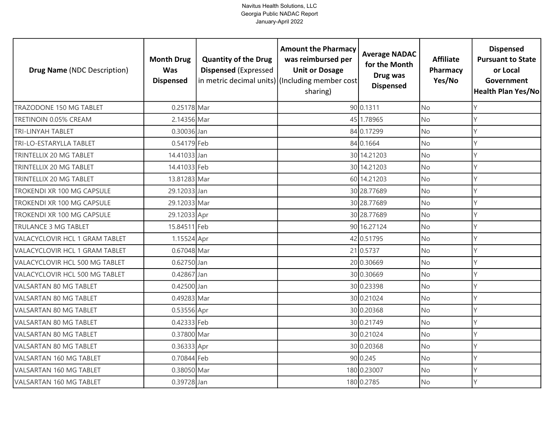| <b>Drug Name (NDC Description)</b>    | <b>Month Drug</b><br><b>Was</b><br><b>Dispensed</b> | <b>Quantity of the Drug</b><br><b>Dispensed (Expressed</b> | <b>Amount the Pharmacy</b><br>was reimbursed per<br><b>Unit or Dosage</b><br>in metric decimal units) (Including member cost<br>sharing) | <b>Average NADAC</b><br>for the Month<br>Drug was<br><b>Dispensed</b> | <b>Affiliate</b><br>Pharmacy<br>Yes/No | <b>Dispensed</b><br><b>Pursuant to State</b><br>or Local<br>Government<br><b>Health Plan Yes/No</b> |
|---------------------------------------|-----------------------------------------------------|------------------------------------------------------------|------------------------------------------------------------------------------------------------------------------------------------------|-----------------------------------------------------------------------|----------------------------------------|-----------------------------------------------------------------------------------------------------|
| TRAZODONE 150 MG TABLET               | 0.25178 Mar                                         |                                                            |                                                                                                                                          | 90 0.1311                                                             | <b>No</b>                              | Υ                                                                                                   |
| TRETINOIN 0.05% CREAM                 | 2.14356 Mar                                         |                                                            |                                                                                                                                          | 45 1.78965                                                            | <b>No</b>                              | Y                                                                                                   |
| <b>TRI-LINYAH TABLET</b>              | 0.30036 Jan                                         |                                                            |                                                                                                                                          | 84 0.17299                                                            | <b>No</b>                              | Υ                                                                                                   |
| TRI-LO-ESTARYLLA TABLET               | 0.54179 Feb                                         |                                                            |                                                                                                                                          | 84 0.1664                                                             | <b>No</b>                              | Υ                                                                                                   |
| TRINTELLIX 20 MG TABLET               | 14.41033 Jan                                        |                                                            |                                                                                                                                          | 30 14.21203                                                           | <b>No</b>                              | γ                                                                                                   |
| TRINTELLIX 20 MG TABLET               | 14.41033 Feb                                        |                                                            |                                                                                                                                          | 30 14.21203                                                           | No                                     | Υ                                                                                                   |
| TRINTELLIX 20 MG TABLET               | 13.81283 Mar                                        |                                                            |                                                                                                                                          | 60 14.21203                                                           | No                                     | Y                                                                                                   |
| TROKENDI XR 100 MG CAPSULE            | 29.12033 Jan                                        |                                                            |                                                                                                                                          | 30 28.77689                                                           | <b>No</b>                              |                                                                                                     |
| TROKENDI XR 100 MG CAPSULE            | 29.12033 Mar                                        |                                                            |                                                                                                                                          | 30 28.77689                                                           | No                                     |                                                                                                     |
| TROKENDI XR 100 MG CAPSULE            | 29.12033 Apr                                        |                                                            |                                                                                                                                          | 30 28.77689                                                           | <b>No</b>                              |                                                                                                     |
| TRULANCE 3 MG TABLET                  | 15.84511 Feb                                        |                                                            |                                                                                                                                          | 90 16.27124                                                           | No                                     |                                                                                                     |
| VALACYCLOVIR HCL 1 GRAM TABLET        | 1.15524 Apr                                         |                                                            |                                                                                                                                          | 42 0.51795                                                            | <b>No</b>                              |                                                                                                     |
| <b>VALACYCLOVIR HCL 1 GRAM TABLET</b> | 0.67048 Mar                                         |                                                            |                                                                                                                                          | 21 0.5737                                                             | <b>No</b>                              |                                                                                                     |
| VALACYCLOVIR HCL 500 MG TABLET        | 0.62750 Jan                                         |                                                            |                                                                                                                                          | 20 0.30669                                                            | <b>No</b>                              | Y                                                                                                   |
| VALACYCLOVIR HCL 500 MG TABLET        | 0.42867 Jan                                         |                                                            |                                                                                                                                          | 30 0.30669                                                            | No                                     | Υ                                                                                                   |
| <b>VALSARTAN 80 MG TABLET</b>         | 0.42500 Jan                                         |                                                            |                                                                                                                                          | 30 0.23398                                                            | <b>No</b>                              | Υ                                                                                                   |
| <b>VALSARTAN 80 MG TABLET</b>         | 0.49283 Mar                                         |                                                            |                                                                                                                                          | 30 0.21024                                                            | <b>No</b>                              | Υ                                                                                                   |
| VALSARTAN 80 MG TABLET                | 0.53556 Apr                                         |                                                            |                                                                                                                                          | 30 0.20368                                                            | <b>No</b>                              | Υ                                                                                                   |
| <b>VALSARTAN 80 MG TABLET</b>         | 0.42333 Feb                                         |                                                            |                                                                                                                                          | 30 0.21749                                                            | <b>No</b>                              | γ                                                                                                   |
| VALSARTAN 80 MG TABLET                | 0.37800 Mar                                         |                                                            |                                                                                                                                          | 30 0.21024                                                            | <b>No</b>                              |                                                                                                     |
| <b>VALSARTAN 80 MG TABLET</b>         | 0.36333 Apr                                         |                                                            |                                                                                                                                          | 30 0.20368                                                            | <b>No</b>                              | Υ                                                                                                   |
| VALSARTAN 160 MG TABLET               | 0.70844 Feb                                         |                                                            |                                                                                                                                          | 90 0.245                                                              | <b>No</b>                              | Y                                                                                                   |
| VALSARTAN 160 MG TABLET               | 0.38050 Mar                                         |                                                            |                                                                                                                                          | 180 0.23007                                                           | No                                     |                                                                                                     |
| VALSARTAN 160 MG TABLET               | 0.39728 Jan                                         |                                                            |                                                                                                                                          | 180 0.2785                                                            | <b>No</b>                              |                                                                                                     |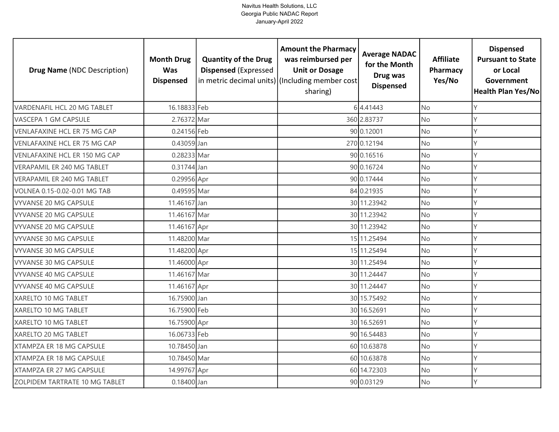| <b>Drug Name (NDC Description)</b> | <b>Month Drug</b><br><b>Was</b><br><b>Dispensed</b> | <b>Quantity of the Drug</b><br><b>Dispensed (Expressed</b> | <b>Amount the Pharmacy</b><br>was reimbursed per<br><b>Unit or Dosage</b><br>in metric decimal units) (Including member cost<br>sharing) | <b>Average NADAC</b><br>for the Month<br>Drug was<br><b>Dispensed</b> | <b>Affiliate</b><br>Pharmacy<br>Yes/No | <b>Dispensed</b><br><b>Pursuant to State</b><br>or Local<br>Government<br><b>Health Plan Yes/No</b> |
|------------------------------------|-----------------------------------------------------|------------------------------------------------------------|------------------------------------------------------------------------------------------------------------------------------------------|-----------------------------------------------------------------------|----------------------------------------|-----------------------------------------------------------------------------------------------------|
| VARDENAFIL HCL 20 MG TABLET        | 16.18833 Feb                                        |                                                            |                                                                                                                                          | 64.41443                                                              | <b>No</b>                              | Υ                                                                                                   |
| VASCEPA 1 GM CAPSULE               | 2.76372 Mar                                         |                                                            |                                                                                                                                          | 360 2.83737                                                           | <b>No</b>                              | Y                                                                                                   |
| VENLAFAXINE HCL ER 75 MG CAP       | 0.24156 Feb                                         |                                                            |                                                                                                                                          | 90 0.12001                                                            | <b>No</b>                              | Υ                                                                                                   |
| VENLAFAXINE HCL ER 75 MG CAP       | 0.43059 Jan                                         |                                                            |                                                                                                                                          | 270 0.12194                                                           | No                                     | Υ                                                                                                   |
| VENLAFAXINE HCL ER 150 MG CAP      | 0.28233 Mar                                         |                                                            |                                                                                                                                          | 90 0.16516                                                            | <b>No</b>                              | γ                                                                                                   |
| <b>VERAPAMIL ER 240 MG TABLET</b>  | 0.31744 Jan                                         |                                                            |                                                                                                                                          | 90 0.16724                                                            | No                                     | Υ                                                                                                   |
| <b>VERAPAMIL ER 240 MG TABLET</b>  | 0.29956 Apr                                         |                                                            |                                                                                                                                          | 90 0.17444                                                            | <b>No</b>                              | Y                                                                                                   |
| VOLNEA 0.15-0.02-0.01 MG TAB       | 0.49595 Mar                                         |                                                            |                                                                                                                                          | 84 0.21935                                                            | No                                     |                                                                                                     |
| VYVANSE 20 MG CAPSULE              | 11.46167 Jan                                        |                                                            |                                                                                                                                          | 30 11.23942                                                           | No                                     |                                                                                                     |
| <b>VYVANSE 20 MG CAPSULE</b>       | 11.46167 Mar                                        |                                                            |                                                                                                                                          | 30 11.23942                                                           | <b>No</b>                              |                                                                                                     |
| <b>VYVANSE 20 MG CAPSULE</b>       | 11.46167 Apr                                        |                                                            |                                                                                                                                          | 30 11.23942                                                           | No                                     |                                                                                                     |
| <b>VYVANSE 30 MG CAPSULE</b>       | 11.48200 Mar                                        |                                                            |                                                                                                                                          | 15 11.25494                                                           | <b>No</b>                              |                                                                                                     |
| <b>VYVANSE 30 MG CAPSULE</b>       | 11.48200 Apr                                        |                                                            |                                                                                                                                          | 15 11.25494                                                           | <b>No</b>                              |                                                                                                     |
| <b>VYVANSE 30 MG CAPSULE</b>       | 11.46000 Apr                                        |                                                            |                                                                                                                                          | 30 11.25494                                                           | <b>No</b>                              | Y                                                                                                   |
| <b>VYVANSE 40 MG CAPSULE</b>       | 11.46167 Mar                                        |                                                            |                                                                                                                                          | 30 11.24447                                                           | No                                     | Υ                                                                                                   |
| <b>VYVANSE 40 MG CAPSULE</b>       | 11.46167 Apr                                        |                                                            |                                                                                                                                          | 30 11.24447                                                           | <b>No</b>                              | Υ                                                                                                   |
| XARELTO 10 MG TABLET               | 16.75900 Jan                                        |                                                            |                                                                                                                                          | 30 15.75492                                                           | <b>No</b>                              | Y                                                                                                   |
| XARELTO 10 MG TABLET               | 16.75900 Feb                                        |                                                            |                                                                                                                                          | 30 16.52691                                                           | <b>No</b>                              | Υ                                                                                                   |
| XARELTO 10 MG TABLET               | 16.75900 Apr                                        |                                                            |                                                                                                                                          | 30 16.52691                                                           | <b>No</b>                              | γ                                                                                                   |
| XARELTO 20 MG TABLET               | 16.06733 Feb                                        |                                                            |                                                                                                                                          | 90 16.54483                                                           | <b>No</b>                              |                                                                                                     |
| XTAMPZA ER 18 MG CAPSULE           | 10.78450 Jan                                        |                                                            |                                                                                                                                          | 60 10.63878                                                           | <b>No</b>                              | Υ                                                                                                   |
| XTAMPZA ER 18 MG CAPSULE           | 10.78450 Mar                                        |                                                            |                                                                                                                                          | 60 10.63878                                                           | No                                     | Y                                                                                                   |
| XTAMPZA ER 27 MG CAPSULE           | 14.99767 Apr                                        |                                                            |                                                                                                                                          | 60 14.72303                                                           | No                                     |                                                                                                     |
| ZOLPIDEM TARTRATE 10 MG TABLET     | $0.18400$ Jan                                       |                                                            |                                                                                                                                          | 90 0.03129                                                            | <b>No</b>                              | γ                                                                                                   |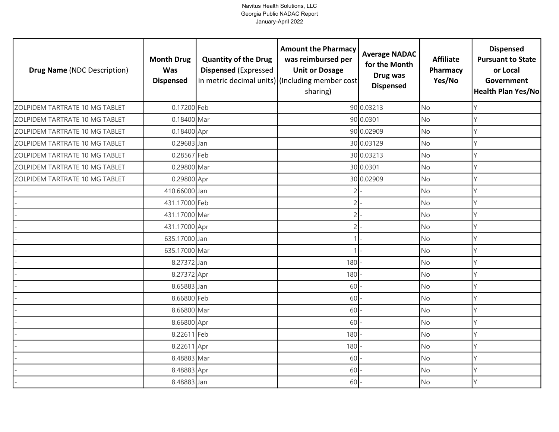| <b>Drug Name (NDC Description)</b> | <b>Month Drug</b><br><b>Was</b><br><b>Dispensed</b> | <b>Quantity of the Drug</b><br><b>Dispensed (Expressed</b> | <b>Amount the Pharmacy</b><br>was reimbursed per<br><b>Unit or Dosage</b><br>in metric decimal units) (Including member cost<br>sharing) | <b>Average NADAC</b><br>for the Month<br>Drug was<br><b>Dispensed</b> | <b>Affiliate</b><br>Pharmacy<br>Yes/No | <b>Dispensed</b><br><b>Pursuant to State</b><br>or Local<br>Government<br><b>Health Plan Yes/No</b> |
|------------------------------------|-----------------------------------------------------|------------------------------------------------------------|------------------------------------------------------------------------------------------------------------------------------------------|-----------------------------------------------------------------------|----------------------------------------|-----------------------------------------------------------------------------------------------------|
| ZOLPIDEM TARTRATE 10 MG TABLET     | 0.17200 Feb                                         |                                                            |                                                                                                                                          | 90 0.03213                                                            | <b>No</b>                              | γ                                                                                                   |
| ZOLPIDEM TARTRATE 10 MG TABLET     | 0.18400 Mar                                         |                                                            |                                                                                                                                          | 90 0.0301                                                             | <b>No</b>                              | Υ                                                                                                   |
| ZOLPIDEM TARTRATE 10 MG TABLET     | 0.18400 Apr                                         |                                                            |                                                                                                                                          | 90 0.02909                                                            | <b>No</b>                              | Y                                                                                                   |
| ZOLPIDEM TARTRATE 10 MG TABLET     | 0.29683 Jan                                         |                                                            |                                                                                                                                          | 30 0.03129                                                            | <b>No</b>                              | Υ                                                                                                   |
| ZOLPIDEM TARTRATE 10 MG TABLET     | 0.28567 Feb                                         |                                                            |                                                                                                                                          | 30 0.03213                                                            | <b>No</b>                              | V                                                                                                   |
| ZOLPIDEM TARTRATE 10 MG TABLET     | 0.29800 Mar                                         |                                                            |                                                                                                                                          | 30 0.0301                                                             | <b>No</b>                              |                                                                                                     |
| ZOLPIDEM TARTRATE 10 MG TABLET     | 0.29800 Apr                                         |                                                            |                                                                                                                                          | 30 0.02909                                                            | No                                     | Y                                                                                                   |
|                                    | 410.66000 Jan                                       |                                                            | 2                                                                                                                                        |                                                                       | No                                     |                                                                                                     |
|                                    | 431.17000 Feb                                       |                                                            | $\overline{2}$                                                                                                                           |                                                                       | <b>No</b>                              |                                                                                                     |
|                                    | 431.17000 Mar                                       |                                                            | $\overline{2}$                                                                                                                           |                                                                       | No                                     |                                                                                                     |
|                                    | 431.17000 Apr                                       |                                                            | 2                                                                                                                                        |                                                                       | <b>No</b>                              |                                                                                                     |
|                                    | 635.17000 Jan                                       |                                                            |                                                                                                                                          |                                                                       | No                                     |                                                                                                     |
|                                    | 635.17000 Mar                                       |                                                            |                                                                                                                                          |                                                                       | No                                     |                                                                                                     |
|                                    | 8.27372 Jan                                         |                                                            | 180                                                                                                                                      |                                                                       | No                                     | Υ                                                                                                   |
|                                    | 8.27372 Apr                                         |                                                            | 180                                                                                                                                      |                                                                       | <b>No</b>                              |                                                                                                     |
|                                    | 8.65883 Jan                                         |                                                            | 60                                                                                                                                       |                                                                       | No                                     | γ                                                                                                   |
|                                    | 8.66800 Feb                                         |                                                            | 60                                                                                                                                       |                                                                       | No                                     |                                                                                                     |
|                                    | 8.66800 Mar                                         |                                                            | 60                                                                                                                                       |                                                                       | No                                     |                                                                                                     |
|                                    | 8.66800 Apr                                         |                                                            | 60                                                                                                                                       |                                                                       | No                                     | Υ                                                                                                   |
|                                    | 8.22611 Feb                                         |                                                            | 180                                                                                                                                      |                                                                       | <b>No</b>                              |                                                                                                     |
|                                    | 8.22611 Apr                                         |                                                            | 180                                                                                                                                      |                                                                       | No                                     |                                                                                                     |
|                                    | 8.48883 Mar                                         |                                                            | 60                                                                                                                                       |                                                                       | <b>No</b>                              |                                                                                                     |
|                                    | 8.48883 Apr                                         |                                                            | 60                                                                                                                                       |                                                                       | No                                     |                                                                                                     |
|                                    | 8.48883 Jan                                         |                                                            | 60                                                                                                                                       |                                                                       | <b>No</b>                              |                                                                                                     |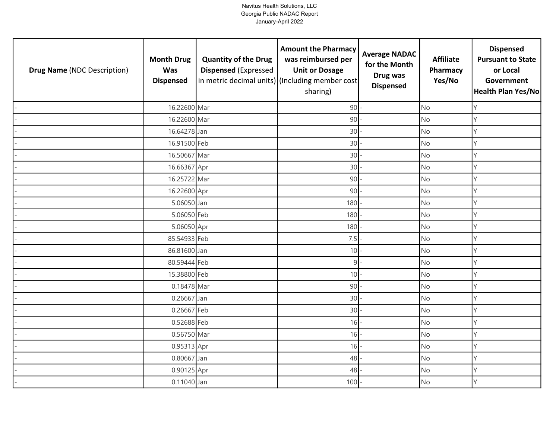| <b>Drug Name (NDC Description)</b> | <b>Month Drug</b><br><b>Was</b><br><b>Dispensed</b> | <b>Quantity of the Drug</b><br><b>Dispensed (Expressed</b> | <b>Amount the Pharmacy</b><br>was reimbursed per<br><b>Unit or Dosage</b><br>in metric decimal units) (Including member cost<br>sharing) | <b>Average NADAC</b><br>for the Month<br>Drug was<br><b>Dispensed</b> | <b>Affiliate</b><br>Pharmacy<br>Yes/No | <b>Dispensed</b><br><b>Pursuant to State</b><br>or Local<br>Government<br>Health Plan Yes/No |
|------------------------------------|-----------------------------------------------------|------------------------------------------------------------|------------------------------------------------------------------------------------------------------------------------------------------|-----------------------------------------------------------------------|----------------------------------------|----------------------------------------------------------------------------------------------|
|                                    | 16.22600 Mar                                        |                                                            | $90 -$                                                                                                                                   |                                                                       | <b>No</b>                              | Y                                                                                            |
|                                    | 16.22600 Mar                                        |                                                            | 90                                                                                                                                       |                                                                       | No                                     | Y                                                                                            |
|                                    | 16.64278 Jan                                        |                                                            | 30                                                                                                                                       |                                                                       | No                                     | $\mathsf{Y}$                                                                                 |
|                                    | 16.91500 Feb                                        |                                                            | 30                                                                                                                                       |                                                                       | <b>No</b>                              | Y                                                                                            |
|                                    | 16.50667 Mar                                        |                                                            | 30                                                                                                                                       |                                                                       | <b>No</b>                              | Y                                                                                            |
|                                    | 16.66367 Apr                                        |                                                            | 30                                                                                                                                       |                                                                       | <b>No</b>                              | Y                                                                                            |
|                                    | 16.25722 Mar                                        |                                                            | 90                                                                                                                                       |                                                                       | No                                     | Y                                                                                            |
|                                    | 16.22600 Apr                                        |                                                            | 90                                                                                                                                       |                                                                       | <b>No</b>                              | $\mathsf{Y}$                                                                                 |
|                                    | 5.06050 Jan                                         |                                                            | 180                                                                                                                                      |                                                                       | <b>No</b>                              | Y                                                                                            |
|                                    | 5.06050 Feb                                         |                                                            | 180                                                                                                                                      |                                                                       | No                                     | Y                                                                                            |
|                                    | 5.06050 Apr                                         |                                                            | 180                                                                                                                                      |                                                                       | No                                     | Y                                                                                            |
|                                    | 85.54933 Feb                                        |                                                            | 7.5                                                                                                                                      |                                                                       | No                                     | $\mathsf{Y}$                                                                                 |
|                                    | 86.81600 Jan                                        |                                                            | 10                                                                                                                                       |                                                                       | No                                     | Y                                                                                            |
|                                    | 80.59444 Feb                                        |                                                            | 9 <sup>1</sup>                                                                                                                           |                                                                       | <b>No</b>                              | Y                                                                                            |
|                                    | 15.38800 Feb                                        |                                                            | $10 -$                                                                                                                                   |                                                                       | No                                     | Y                                                                                            |
|                                    | 0.18478 Mar                                         |                                                            | 90                                                                                                                                       |                                                                       | <b>No</b>                              | Y                                                                                            |
|                                    | 0.26667 Jan                                         |                                                            | 30                                                                                                                                       |                                                                       | <b>No</b>                              | Y                                                                                            |
|                                    | 0.26667 Feb                                         |                                                            | 30                                                                                                                                       |                                                                       | <b>No</b>                              | $\mathsf{Y}$                                                                                 |
|                                    | 0.52688 Feb                                         |                                                            | 16                                                                                                                                       |                                                                       | <b>No</b>                              | Y                                                                                            |
|                                    | 0.56750 Mar                                         |                                                            | 16                                                                                                                                       |                                                                       | No                                     | Y                                                                                            |
|                                    | 0.95313 Apr                                         |                                                            | 16                                                                                                                                       |                                                                       | <b>No</b>                              | Y                                                                                            |
|                                    | 0.80667 Jan                                         |                                                            | 48                                                                                                                                       |                                                                       | <b>No</b>                              | Y                                                                                            |
|                                    | 0.90125 Apr                                         |                                                            | 48                                                                                                                                       |                                                                       | No                                     | Y                                                                                            |
|                                    | 0.11040 Jan                                         |                                                            | 100                                                                                                                                      |                                                                       | No                                     | Y                                                                                            |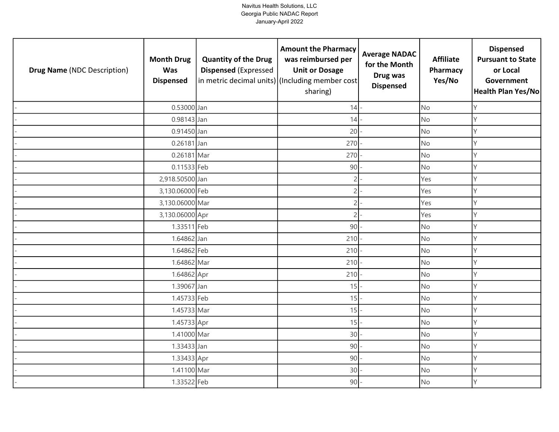| <b>Drug Name (NDC Description)</b> | <b>Month Drug</b><br><b>Was</b><br><b>Dispensed</b> | <b>Quantity of the Drug</b><br><b>Dispensed (Expressed</b> | <b>Amount the Pharmacy</b><br>was reimbursed per<br><b>Unit or Dosage</b><br>in metric decimal units) (Including member cost<br>sharing) | <b>Average NADAC</b><br>for the Month<br>Drug was<br><b>Dispensed</b> | <b>Affiliate</b><br>Pharmacy<br>Yes/No | <b>Dispensed</b><br><b>Pursuant to State</b><br>or Local<br>Government<br>Health Plan Yes/No |
|------------------------------------|-----------------------------------------------------|------------------------------------------------------------|------------------------------------------------------------------------------------------------------------------------------------------|-----------------------------------------------------------------------|----------------------------------------|----------------------------------------------------------------------------------------------|
|                                    | 0.53000 Jan                                         |                                                            | $14$ -                                                                                                                                   |                                                                       | <b>No</b>                              | Y                                                                                            |
|                                    | 0.98143 Jan                                         |                                                            | 14                                                                                                                                       |                                                                       | <b>No</b>                              | Y                                                                                            |
|                                    | 0.91450 Jan                                         |                                                            | 20                                                                                                                                       |                                                                       | No                                     | $\mathsf{Y}$                                                                                 |
|                                    | 0.26181 Jan                                         |                                                            | 270                                                                                                                                      |                                                                       | <b>No</b>                              | Y                                                                                            |
|                                    | 0.26181 Mar                                         |                                                            | 270                                                                                                                                      |                                                                       | <b>No</b>                              | Y                                                                                            |
|                                    | 0.11533 Feb                                         |                                                            | 90                                                                                                                                       |                                                                       | <b>No</b>                              | Y                                                                                            |
|                                    | 2,918.50500 Jan                                     |                                                            | 2                                                                                                                                        |                                                                       | Yes                                    | Y                                                                                            |
|                                    | 3,130.06000 Feb                                     |                                                            | 2                                                                                                                                        |                                                                       | Yes                                    | Y                                                                                            |
|                                    | 3,130.06000 Mar                                     |                                                            | 2                                                                                                                                        |                                                                       | Yes                                    | Y                                                                                            |
|                                    | 3,130.06000 Apr                                     |                                                            | 2                                                                                                                                        |                                                                       | Yes                                    | Y                                                                                            |
|                                    | 1.33511 Feb                                         |                                                            | 90                                                                                                                                       |                                                                       | No                                     | Y                                                                                            |
|                                    | 1.64862 Jan                                         |                                                            | 210                                                                                                                                      |                                                                       | No                                     | $\mathsf{Y}$                                                                                 |
|                                    | 1.64862 Feb                                         |                                                            | $210 -$                                                                                                                                  |                                                                       | No                                     | Y                                                                                            |
|                                    | 1.64862 Mar                                         |                                                            | 210                                                                                                                                      |                                                                       | <b>No</b>                              | Y                                                                                            |
|                                    | 1.64862 Apr                                         |                                                            | 210                                                                                                                                      |                                                                       | No                                     | Y                                                                                            |
|                                    | 1.39067 Jan                                         |                                                            | $15 -$                                                                                                                                   |                                                                       | <b>No</b>                              | Y                                                                                            |
|                                    | 1.45733 Feb                                         |                                                            | $15$ –                                                                                                                                   |                                                                       | <b>No</b>                              | Y                                                                                            |
|                                    | 1.45733 Mar                                         |                                                            | $15$ -                                                                                                                                   |                                                                       | <b>No</b>                              | Y                                                                                            |
|                                    | 1.45733 Apr                                         |                                                            | 15                                                                                                                                       |                                                                       | <b>No</b>                              | Y                                                                                            |
|                                    | 1.41000 Mar                                         |                                                            | 30                                                                                                                                       |                                                                       | <b>No</b>                              | Y                                                                                            |
|                                    | 1.33433 Jan                                         |                                                            | 90                                                                                                                                       |                                                                       | <b>No</b>                              | Y                                                                                            |
|                                    | 1.33433 Apr                                         |                                                            | 90                                                                                                                                       |                                                                       | <b>No</b>                              | Y                                                                                            |
|                                    | 1.41100 Mar                                         |                                                            | 30                                                                                                                                       |                                                                       | No                                     | Y                                                                                            |
|                                    | 1.33522 Feb                                         |                                                            | 90                                                                                                                                       |                                                                       | No                                     | Y                                                                                            |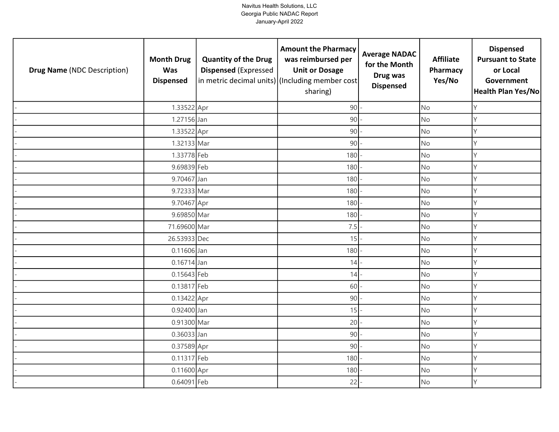| <b>Drug Name (NDC Description)</b> | <b>Month Drug</b><br><b>Was</b><br><b>Dispensed</b> | <b>Quantity of the Drug</b><br><b>Dispensed (Expressed</b> | <b>Amount the Pharmacy</b><br>was reimbursed per<br><b>Unit or Dosage</b><br>in metric decimal units) (Including member cost<br>sharing) | <b>Average NADAC</b><br>for the Month<br>Drug was<br><b>Dispensed</b> | <b>Affiliate</b><br>Pharmacy<br>Yes/No | <b>Dispensed</b><br><b>Pursuant to State</b><br>or Local<br>Government<br><b>Health Plan Yes/No</b> |
|------------------------------------|-----------------------------------------------------|------------------------------------------------------------|------------------------------------------------------------------------------------------------------------------------------------------|-----------------------------------------------------------------------|----------------------------------------|-----------------------------------------------------------------------------------------------------|
|                                    | 1.33522 Apr                                         |                                                            | 90                                                                                                                                       |                                                                       | <b>No</b>                              | Υ                                                                                                   |
|                                    | 1.27156 Jan                                         |                                                            | 90                                                                                                                                       |                                                                       | <b>No</b>                              | Υ                                                                                                   |
|                                    | 1.33522 Apr                                         |                                                            | 90                                                                                                                                       |                                                                       | No                                     | Υ                                                                                                   |
|                                    | 1.32133 Mar                                         |                                                            | 90                                                                                                                                       |                                                                       | <b>No</b>                              | Υ                                                                                                   |
|                                    | 1.33778 Feb                                         |                                                            | 180                                                                                                                                      |                                                                       | <b>No</b>                              | Y                                                                                                   |
|                                    | 9.69839 Feb                                         |                                                            | 180                                                                                                                                      |                                                                       | <b>No</b>                              | Υ                                                                                                   |
|                                    | 9.70467 Jan                                         |                                                            | 180                                                                                                                                      |                                                                       | No                                     | Y                                                                                                   |
|                                    | 9.72333 Mar                                         |                                                            | 180                                                                                                                                      |                                                                       | <b>No</b>                              | Y                                                                                                   |
|                                    | 9.70467 Apr                                         |                                                            | 180                                                                                                                                      |                                                                       | <b>No</b>                              |                                                                                                     |
|                                    | 9.69850 Mar                                         |                                                            | 180                                                                                                                                      |                                                                       | <b>No</b>                              | Υ                                                                                                   |
|                                    | 71.69600 Mar                                        |                                                            | 7.5                                                                                                                                      |                                                                       | No                                     |                                                                                                     |
|                                    | 26.53933 Dec                                        |                                                            | 15                                                                                                                                       |                                                                       | <b>No</b>                              | Υ                                                                                                   |
|                                    | 0.11606 Jan                                         |                                                            | 180                                                                                                                                      |                                                                       | No                                     | Υ                                                                                                   |
|                                    | 0.16714 Jan                                         |                                                            | 14                                                                                                                                       |                                                                       | <b>No</b>                              | Υ                                                                                                   |
|                                    | 0.15643 Feb                                         |                                                            | 14                                                                                                                                       |                                                                       | No                                     | Υ                                                                                                   |
|                                    | 0.13817 Feb                                         |                                                            | 60                                                                                                                                       |                                                                       | <b>No</b>                              | Υ                                                                                                   |
|                                    | 0.13422 Apr                                         |                                                            | 90                                                                                                                                       |                                                                       | <b>No</b>                              | Υ                                                                                                   |
|                                    | 0.92400 Jan                                         |                                                            | $15$ –                                                                                                                                   |                                                                       | <b>No</b>                              | Y                                                                                                   |
|                                    | 0.91300 Mar                                         |                                                            | 20                                                                                                                                       |                                                                       | <b>No</b>                              | Υ                                                                                                   |
|                                    | 0.36033 Jan                                         |                                                            | 90                                                                                                                                       |                                                                       | <b>No</b>                              | Υ                                                                                                   |
|                                    | 0.37589 Apr                                         |                                                            | 90                                                                                                                                       |                                                                       | <b>No</b>                              | Υ                                                                                                   |
|                                    | 0.11317 Feb                                         |                                                            | 180                                                                                                                                      |                                                                       | <b>No</b>                              | Y                                                                                                   |
|                                    | 0.11600 Apr                                         |                                                            | 180                                                                                                                                      |                                                                       | No                                     | Υ                                                                                                   |
|                                    | 0.64091 Feb                                         |                                                            | 22                                                                                                                                       |                                                                       | No                                     | γ                                                                                                   |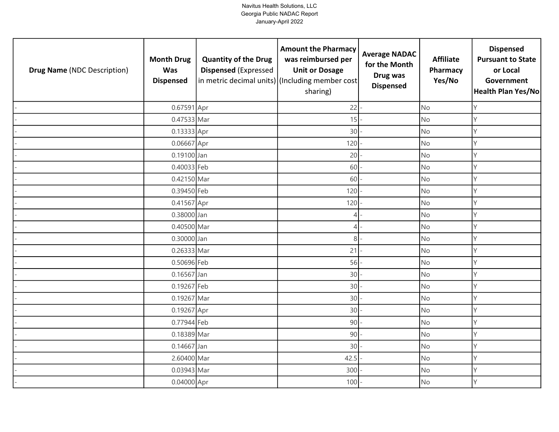| <b>Drug Name (NDC Description)</b> | <b>Month Drug</b><br><b>Was</b><br><b>Dispensed</b> | <b>Quantity of the Drug</b><br><b>Dispensed (Expressed</b> | <b>Amount the Pharmacy</b><br>was reimbursed per<br><b>Unit or Dosage</b><br>in metric decimal units) (Including member cost<br>sharing) | <b>Average NADAC</b><br>for the Month<br>Drug was<br><b>Dispensed</b> | <b>Affiliate</b><br>Pharmacy<br>Yes/No | <b>Dispensed</b><br><b>Pursuant to State</b><br>or Local<br>Government<br>Health Plan Yes/No |
|------------------------------------|-----------------------------------------------------|------------------------------------------------------------|------------------------------------------------------------------------------------------------------------------------------------------|-----------------------------------------------------------------------|----------------------------------------|----------------------------------------------------------------------------------------------|
|                                    | 0.67591 Apr                                         |                                                            | 22                                                                                                                                       |                                                                       | <b>No</b>                              | Y                                                                                            |
|                                    | 0.47533 Mar                                         |                                                            | 15                                                                                                                                       |                                                                       | No                                     | Y                                                                                            |
|                                    | 0.13333 Apr                                         |                                                            | 30                                                                                                                                       |                                                                       | No                                     | $\mathsf{Y}$                                                                                 |
|                                    | 0.06667 Apr                                         |                                                            | 120                                                                                                                                      |                                                                       | <b>No</b>                              | Y                                                                                            |
|                                    | 0.19100 Jan                                         |                                                            | 20                                                                                                                                       |                                                                       | <b>No</b>                              | Y                                                                                            |
|                                    | 0.40033 Feb                                         |                                                            | 60                                                                                                                                       |                                                                       | <b>No</b>                              | Y                                                                                            |
|                                    | 0.42150 Mar                                         |                                                            | 60                                                                                                                                       |                                                                       | No                                     | Y                                                                                            |
|                                    | 0.39450 Feb                                         |                                                            | 120                                                                                                                                      |                                                                       | <b>No</b>                              | $\mathsf{Y}$                                                                                 |
|                                    | 0.41567 Apr                                         |                                                            | 120                                                                                                                                      |                                                                       | <b>No</b>                              | Y                                                                                            |
|                                    | 0.38000 Jan                                         |                                                            | $\overline{4}$                                                                                                                           |                                                                       | No                                     | Y                                                                                            |
|                                    | 0.40500 Mar                                         |                                                            | $\overline{4}$                                                                                                                           |                                                                       | No                                     | Y                                                                                            |
|                                    | 0.30000 Jan                                         |                                                            | 8 <sup>1</sup>                                                                                                                           |                                                                       | No                                     | Y                                                                                            |
|                                    | 0.26333 Mar                                         |                                                            | 21                                                                                                                                       |                                                                       | No                                     | Y                                                                                            |
|                                    | 0.50696 Feb                                         |                                                            | 56                                                                                                                                       |                                                                       | <b>No</b>                              | Y                                                                                            |
|                                    | 0.16567 Jan                                         |                                                            | 30                                                                                                                                       |                                                                       | No                                     | Y                                                                                            |
|                                    | 0.19267 Feb                                         |                                                            | 30                                                                                                                                       |                                                                       | <b>No</b>                              | Y                                                                                            |
|                                    | 0.19267 Mar                                         |                                                            | 30                                                                                                                                       |                                                                       | No                                     | Y                                                                                            |
|                                    | 0.19267 Apr                                         |                                                            | 30                                                                                                                                       |                                                                       | <b>No</b>                              | Y                                                                                            |
|                                    | 0.77944 Feb                                         |                                                            | 90                                                                                                                                       |                                                                       | <b>No</b>                              | Y                                                                                            |
|                                    | 0.18389 Mar                                         |                                                            | 90                                                                                                                                       |                                                                       | No                                     | Y                                                                                            |
|                                    | 0.14667 Jan                                         |                                                            | 30                                                                                                                                       |                                                                       | No                                     | Y                                                                                            |
|                                    | 2.60400 Mar                                         |                                                            | 42.5                                                                                                                                     |                                                                       | <b>No</b>                              | Y                                                                                            |
|                                    | 0.03943 Mar                                         |                                                            | 300                                                                                                                                      |                                                                       | No                                     | Y                                                                                            |
|                                    | 0.04000 Apr                                         |                                                            | 100                                                                                                                                      |                                                                       | No                                     | Y                                                                                            |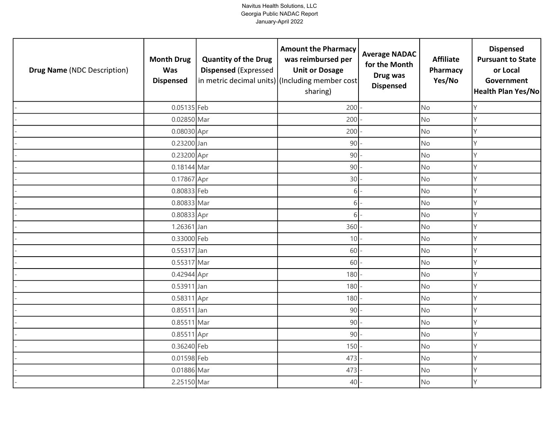| <b>Drug Name (NDC Description)</b> | <b>Month Drug</b><br><b>Was</b><br><b>Dispensed</b> | <b>Quantity of the Drug</b><br><b>Dispensed (Expressed</b> | <b>Amount the Pharmacy</b><br>was reimbursed per<br><b>Unit or Dosage</b><br>in metric decimal units) (Including member cost<br>sharing) | <b>Average NADAC</b><br>for the Month<br>Drug was<br><b>Dispensed</b> | <b>Affiliate</b><br>Pharmacy<br>Yes/No | <b>Dispensed</b><br><b>Pursuant to State</b><br>or Local<br>Government<br>Health Plan Yes/No |
|------------------------------------|-----------------------------------------------------|------------------------------------------------------------|------------------------------------------------------------------------------------------------------------------------------------------|-----------------------------------------------------------------------|----------------------------------------|----------------------------------------------------------------------------------------------|
|                                    | 0.05135 Feb                                         |                                                            | 200                                                                                                                                      |                                                                       | <b>No</b>                              | Y                                                                                            |
|                                    | 0.02850 Mar                                         |                                                            | 200                                                                                                                                      |                                                                       | No                                     | Y                                                                                            |
|                                    | 0.08030 Apr                                         |                                                            | 200                                                                                                                                      |                                                                       | No                                     | $\mathsf{Y}$                                                                                 |
|                                    | 0.23200 Jan                                         |                                                            | 90                                                                                                                                       |                                                                       | <b>No</b>                              | Y                                                                                            |
|                                    | 0.23200 Apr                                         |                                                            | 90                                                                                                                                       |                                                                       | <b>No</b>                              | Y                                                                                            |
|                                    | 0.18144 Mar                                         |                                                            | 90                                                                                                                                       |                                                                       | <b>No</b>                              | Y                                                                                            |
|                                    | 0.17867 Apr                                         |                                                            | 30                                                                                                                                       |                                                                       | No                                     | Y                                                                                            |
|                                    | 0.80833 Feb                                         |                                                            | 6                                                                                                                                        |                                                                       | <b>No</b>                              | $\mathsf{Y}$                                                                                 |
|                                    | 0.80833 Mar                                         |                                                            | $6\overline{1}$                                                                                                                          |                                                                       | <b>No</b>                              | Y                                                                                            |
|                                    | 0.80833 Apr                                         |                                                            | $6 \mid$                                                                                                                                 |                                                                       | No                                     | Y                                                                                            |
|                                    | 1.26361 Jan                                         |                                                            | 360                                                                                                                                      |                                                                       | No                                     | Y                                                                                            |
|                                    | 0.33000 Feb                                         |                                                            | 10                                                                                                                                       |                                                                       | No                                     | Y                                                                                            |
|                                    | 0.55317 Jan                                         |                                                            | 60                                                                                                                                       |                                                                       | No                                     | Y                                                                                            |
|                                    | 0.55317 Mar                                         |                                                            | 60                                                                                                                                       |                                                                       | No                                     | Y                                                                                            |
|                                    | 0.42944 Apr                                         |                                                            | 180                                                                                                                                      |                                                                       | No                                     | Y                                                                                            |
|                                    | 0.53911 Jan                                         |                                                            | 180                                                                                                                                      |                                                                       | <b>No</b>                              | Y                                                                                            |
|                                    | 0.58311 Apr                                         |                                                            | 180                                                                                                                                      |                                                                       | <b>No</b>                              | Y                                                                                            |
|                                    | 0.85511 Jan                                         |                                                            | 90                                                                                                                                       |                                                                       | <b>No</b>                              | Y                                                                                            |
|                                    | 0.85511 Mar                                         |                                                            | 90                                                                                                                                       |                                                                       | <b>No</b>                              | Y                                                                                            |
|                                    | 0.85511 Apr                                         |                                                            | 90                                                                                                                                       |                                                                       | No                                     | Y                                                                                            |
|                                    | 0.36240 Feb                                         |                                                            | 150                                                                                                                                      |                                                                       | <b>No</b>                              | Y                                                                                            |
|                                    | 0.01598 Feb                                         |                                                            | 473                                                                                                                                      |                                                                       | <b>No</b>                              | Y                                                                                            |
|                                    | 0.01886 Mar                                         |                                                            | 473                                                                                                                                      |                                                                       | No                                     | Y                                                                                            |
|                                    | 2.25150 Mar                                         |                                                            | 40                                                                                                                                       |                                                                       | No                                     | Y                                                                                            |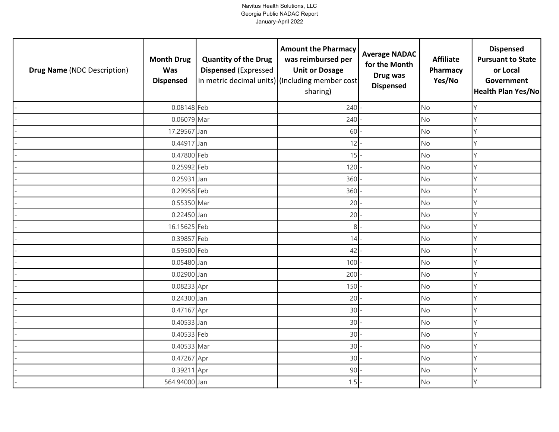| <b>Drug Name (NDC Description)</b> | <b>Month Drug</b><br><b>Was</b><br><b>Dispensed</b> | <b>Quantity of the Drug</b><br><b>Dispensed (Expressed</b> | <b>Amount the Pharmacy</b><br>was reimbursed per<br><b>Unit or Dosage</b><br>in metric decimal units) (Including member cost<br>sharing) | <b>Average NADAC</b><br>for the Month<br>Drug was<br><b>Dispensed</b> | <b>Affiliate</b><br>Pharmacy<br>Yes/No | <b>Dispensed</b><br><b>Pursuant to State</b><br>or Local<br>Government<br><b>Health Plan Yes/No</b> |
|------------------------------------|-----------------------------------------------------|------------------------------------------------------------|------------------------------------------------------------------------------------------------------------------------------------------|-----------------------------------------------------------------------|----------------------------------------|-----------------------------------------------------------------------------------------------------|
|                                    | 0.08148 Feb                                         |                                                            | 240                                                                                                                                      |                                                                       | <b>No</b>                              | Υ                                                                                                   |
|                                    | 0.06079 Mar                                         |                                                            | 240                                                                                                                                      |                                                                       | <b>No</b>                              | Υ                                                                                                   |
|                                    | 17.29567 Jan                                        |                                                            | 60                                                                                                                                       |                                                                       | No                                     | Υ                                                                                                   |
|                                    | 0.44917 Jan                                         |                                                            | 12                                                                                                                                       |                                                                       | <b>No</b>                              | Υ                                                                                                   |
|                                    | 0.47800 Feb                                         |                                                            | 15                                                                                                                                       |                                                                       | <b>No</b>                              | V                                                                                                   |
|                                    | 0.25992 Feb                                         |                                                            | 120                                                                                                                                      |                                                                       | <b>No</b>                              | Υ                                                                                                   |
|                                    | 0.25931 Jan                                         |                                                            | 360                                                                                                                                      |                                                                       | No                                     | Y                                                                                                   |
|                                    | 0.29958 Feb                                         |                                                            | 360                                                                                                                                      |                                                                       | <b>No</b>                              |                                                                                                     |
|                                    | 0.55350 Mar                                         |                                                            | 20                                                                                                                                       |                                                                       | <b>No</b>                              |                                                                                                     |
|                                    | 0.22450 Jan                                         |                                                            | 20                                                                                                                                       |                                                                       | <b>No</b>                              | γ                                                                                                   |
|                                    | 16.15625 Feb                                        |                                                            | 8 <sup>1</sup>                                                                                                                           |                                                                       | No                                     |                                                                                                     |
|                                    | 0.39857 Feb                                         |                                                            | 14                                                                                                                                       |                                                                       | <b>No</b>                              | Υ                                                                                                   |
|                                    | 0.59500 Feb                                         |                                                            | 42                                                                                                                                       |                                                                       | No                                     |                                                                                                     |
|                                    | 0.05480 Jan                                         |                                                            | 100                                                                                                                                      |                                                                       | <b>No</b>                              | Υ                                                                                                   |
|                                    | 0.02900 Jan                                         |                                                            | 200                                                                                                                                      |                                                                       | No                                     | Υ                                                                                                   |
|                                    | 0.08233 Apr                                         |                                                            | 150                                                                                                                                      |                                                                       | <b>No</b>                              | Υ                                                                                                   |
|                                    | 0.24300 Jan                                         |                                                            | 20                                                                                                                                       |                                                                       | <b>No</b>                              | Υ                                                                                                   |
|                                    | 0.47167 Apr                                         |                                                            | 30                                                                                                                                       |                                                                       | <b>No</b>                              | Y                                                                                                   |
|                                    | 0.40533 Jan                                         |                                                            | 30                                                                                                                                       |                                                                       | <b>No</b>                              |                                                                                                     |
|                                    | 0.40533 Feb                                         |                                                            | 30                                                                                                                                       |                                                                       | <b>No</b>                              | γ                                                                                                   |
|                                    | 0.40533 Mar                                         |                                                            | 30                                                                                                                                       |                                                                       | <b>No</b>                              | Υ                                                                                                   |
|                                    | 0.47267 Apr                                         |                                                            | 30                                                                                                                                       |                                                                       | <b>No</b>                              | Y                                                                                                   |
|                                    | 0.39211 Apr                                         |                                                            | 90                                                                                                                                       |                                                                       | No                                     | Υ                                                                                                   |
|                                    | 564.94000 Jan                                       |                                                            | 1.5                                                                                                                                      |                                                                       | No                                     | Υ                                                                                                   |